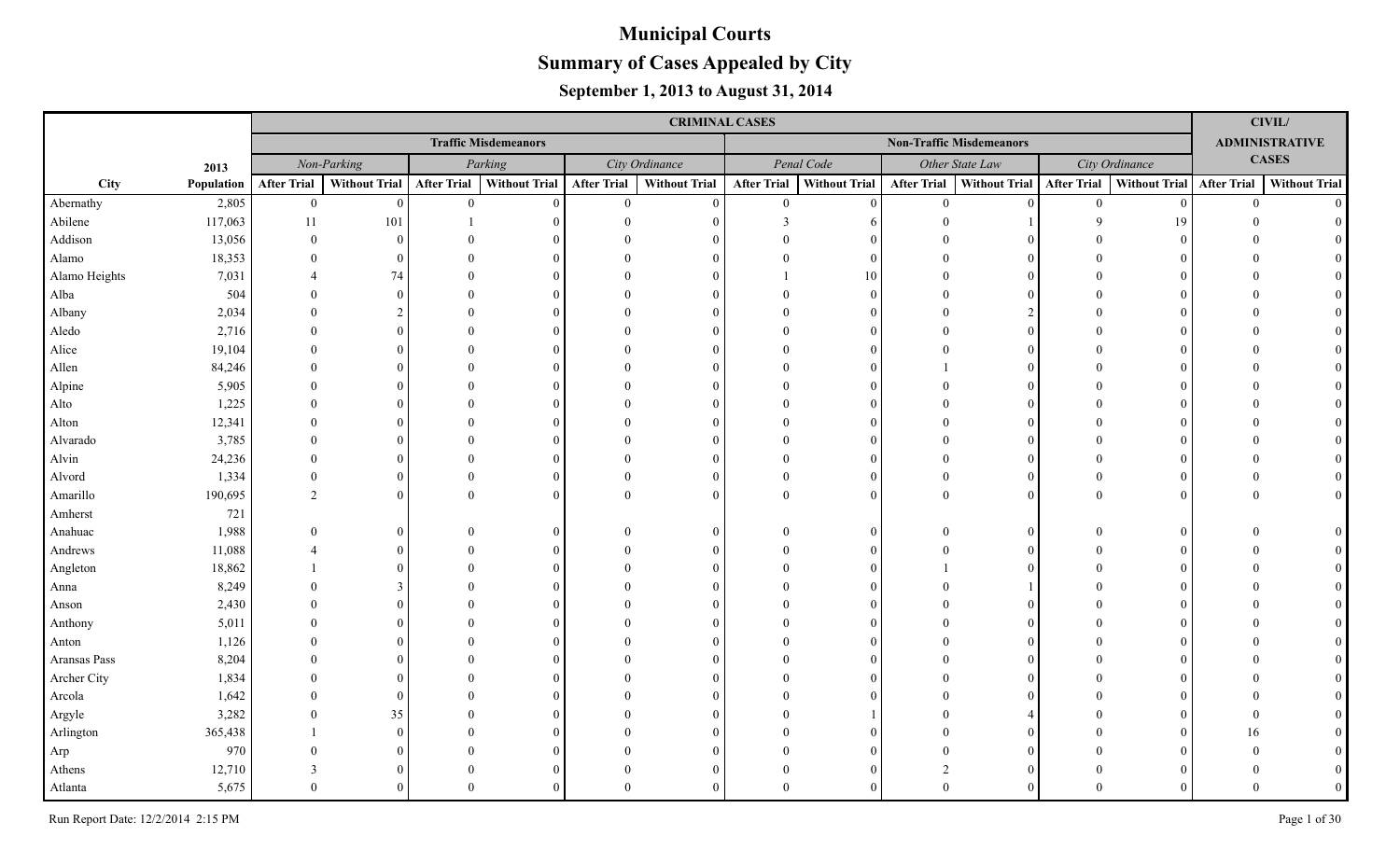|               |            |                    |                      |                    |                             |                    | <b>CRIMINAL CASES</b> |                    |                      |                    |                                 |                    |                           |                | $\mathbf{CIVIL}$      |
|---------------|------------|--------------------|----------------------|--------------------|-----------------------------|--------------------|-----------------------|--------------------|----------------------|--------------------|---------------------------------|--------------------|---------------------------|----------------|-----------------------|
|               |            |                    |                      |                    | <b>Traffic Misdemeanors</b> |                    |                       |                    |                      |                    | <b>Non-Traffic Misdemeanors</b> |                    |                           |                | <b>ADMINISTRATIVE</b> |
|               | 2013       |                    | Non-Parking          |                    | Parking                     |                    | City Ordinance        |                    | Penal Code           |                    | Other State Law                 |                    | City Ordinance            |                | <b>CASES</b>          |
| City          | Population | <b>After Trial</b> | <b>Without Trial</b> | <b>After Trial</b> | <b>Without Trial</b>        | <b>After Trial</b> | <b>Without Trial</b>  | <b>After Trial</b> | <b>Without Trial</b> | <b>After Trial</b> | Without Trial                   | <b>After Trial</b> | Without Trial After Trial |                | <b>Without Trial</b>  |
| Abernathy     | 2,805      | $\mathbf{0}$       | $\theta$             | $\overline{0}$     | $\theta$                    | $\overline{0}$     | $\mathbf{0}$          | $\mathbf{0}$       | $\Omega$             | $\overline{0}$     | $\Omega$                        | $\theta$           | $\Omega$                  | $\overline{0}$ | $\Omega$              |
| Abilene       | 117,063    | 11                 | 101                  |                    |                             |                    | $\Omega$              | 3                  |                      |                    |                                 |                    | 19                        |                |                       |
| Addison       | 13,056     | $\Omega$           | $\Omega$             |                    |                             |                    |                       |                    |                      |                    | $\Omega$                        |                    |                           |                |                       |
| Alamo         | 18,353     |                    | $\Omega$             |                    |                             |                    | $\Omega$              |                    | $\Omega$             |                    | $\Omega$                        |                    |                           |                |                       |
| Alamo Heights | 7,031      |                    | 74                   |                    |                             |                    | $\Omega$              |                    | 10                   |                    | $\Omega$                        |                    |                           |                |                       |
| Alba          | 504        | $\Omega$           | $\Omega$             |                    |                             |                    | $\Omega$              |                    | $\Omega$             |                    | $\Omega$                        |                    |                           |                |                       |
| Albany        | 2,034      | $\Omega$           |                      |                    |                             |                    | $\Omega$              |                    |                      |                    | $\mathfrak{D}$                  |                    |                           |                |                       |
| Aledo         | 2,716      |                    | $\Omega$             |                    |                             |                    | $\Omega$              |                    |                      |                    | $\Omega$                        |                    |                           |                |                       |
| Alice         | 19,104     |                    | $\Omega$             |                    |                             |                    | $\Omega$              |                    | $\Omega$             |                    | $\Omega$                        |                    |                           |                |                       |
| Allen         | 84,246     |                    | $\Omega$             |                    |                             |                    | $\Omega$              |                    | $\Omega$             |                    | $\Omega$                        |                    |                           |                |                       |
| Alpine        | 5,905      |                    | $\Omega$             |                    |                             |                    | $\Omega$              |                    |                      |                    | $\Omega$                        |                    |                           |                |                       |
| Alto          | 1,225      |                    | $\Omega$             |                    |                             |                    | $\Omega$              |                    | $\Omega$             |                    | $\Omega$                        |                    |                           |                |                       |
| Alton         | 12,341     |                    | $\Omega$             |                    |                             |                    | $\Omega$              |                    |                      |                    | $\Omega$                        |                    |                           |                |                       |
| Alvarado      | 3,785      |                    | $\Omega$             |                    |                             |                    | $\Omega$              |                    |                      |                    | $\Omega$                        |                    |                           |                |                       |
| Alvin         | 24,236     |                    | $\Omega$             |                    |                             |                    | $\Omega$              |                    |                      |                    | $\Omega$                        |                    |                           |                |                       |
| Alvord        | 1,334      | $\Omega$           | $\Omega$             |                    |                             |                    | $\Omega$              |                    | $\Omega$             |                    | $\Omega$                        |                    |                           |                |                       |
| Amarillo      | 190,695    | 2                  | $\Omega$             | $\Omega$           | $\Omega$                    |                    | $\overline{0}$        | $\Omega$           | $\Omega$             | $\Omega$           | $\overline{0}$                  |                    |                           | $\Omega$       |                       |
| Amherst       | 721        |                    |                      |                    |                             |                    |                       |                    |                      |                    |                                 |                    |                           |                |                       |
| Anahuac       | 1,988      |                    | $\Omega$             |                    |                             |                    | $\Omega$              |                    | $\Omega$             |                    | $\Omega$                        |                    |                           |                |                       |
| Andrews       | 11,088     |                    | $\Omega$             |                    |                             |                    | $\Omega$              |                    |                      |                    | $\Omega$                        |                    |                           |                |                       |
| Angleton      | 18,862     |                    |                      |                    |                             |                    | $\Omega$              |                    |                      |                    | $\Omega$                        |                    |                           |                |                       |
| Anna          | 8,249      |                    |                      |                    |                             |                    | $\Omega$              |                    |                      |                    |                                 |                    |                           |                |                       |
| Anson         | 2,430      |                    |                      |                    |                             |                    | $\Omega$              |                    |                      |                    | $\Omega$                        |                    |                           |                |                       |
| Anthony       | 5,011      |                    |                      |                    |                             |                    | $\Omega$              |                    |                      |                    | $\Omega$                        |                    |                           |                |                       |
| Anton         | 1,126      |                    | $\Omega$             |                    |                             |                    | $\Omega$              |                    |                      |                    | $\Omega$                        |                    |                           |                |                       |
| Aransas Pass  | 8,204      |                    | $\Omega$             |                    |                             |                    | $\Omega$              |                    |                      |                    | $\Omega$                        |                    |                           |                |                       |
| Archer City   | 1,834      |                    | $\Omega$             |                    |                             |                    | $\Omega$              |                    |                      |                    | $\Omega$                        |                    |                           |                |                       |
| Arcola        | 1,642      |                    | $\Omega$             |                    |                             |                    | $\Omega$              |                    |                      |                    | $\Omega$                        |                    |                           |                |                       |
| Argyle        | 3,282      |                    | 35                   |                    |                             |                    | $\Omega$              |                    |                      |                    |                                 |                    |                           | $\Omega$       |                       |
| Arlington     | 365,438    |                    | $\Omega$             |                    |                             |                    | $\Omega$              |                    |                      |                    | $\Omega$                        |                    |                           | 16             |                       |
| Arp           | 970        |                    |                      |                    |                             |                    | $\Omega$              |                    |                      |                    | $\Omega$                        |                    |                           |                |                       |
| Athens        | 12,710     |                    | $\Omega$             |                    |                             |                    | $\Omega$              |                    | $\Omega$             | $\mathcal{D}$      | $\Omega$                        |                    |                           |                |                       |
| Atlanta       | 5,675      |                    | $\Omega$             |                    |                             |                    | $\Omega$              | $\Omega$           |                      | $\Omega$           | $\Omega$                        |                    |                           |                |                       |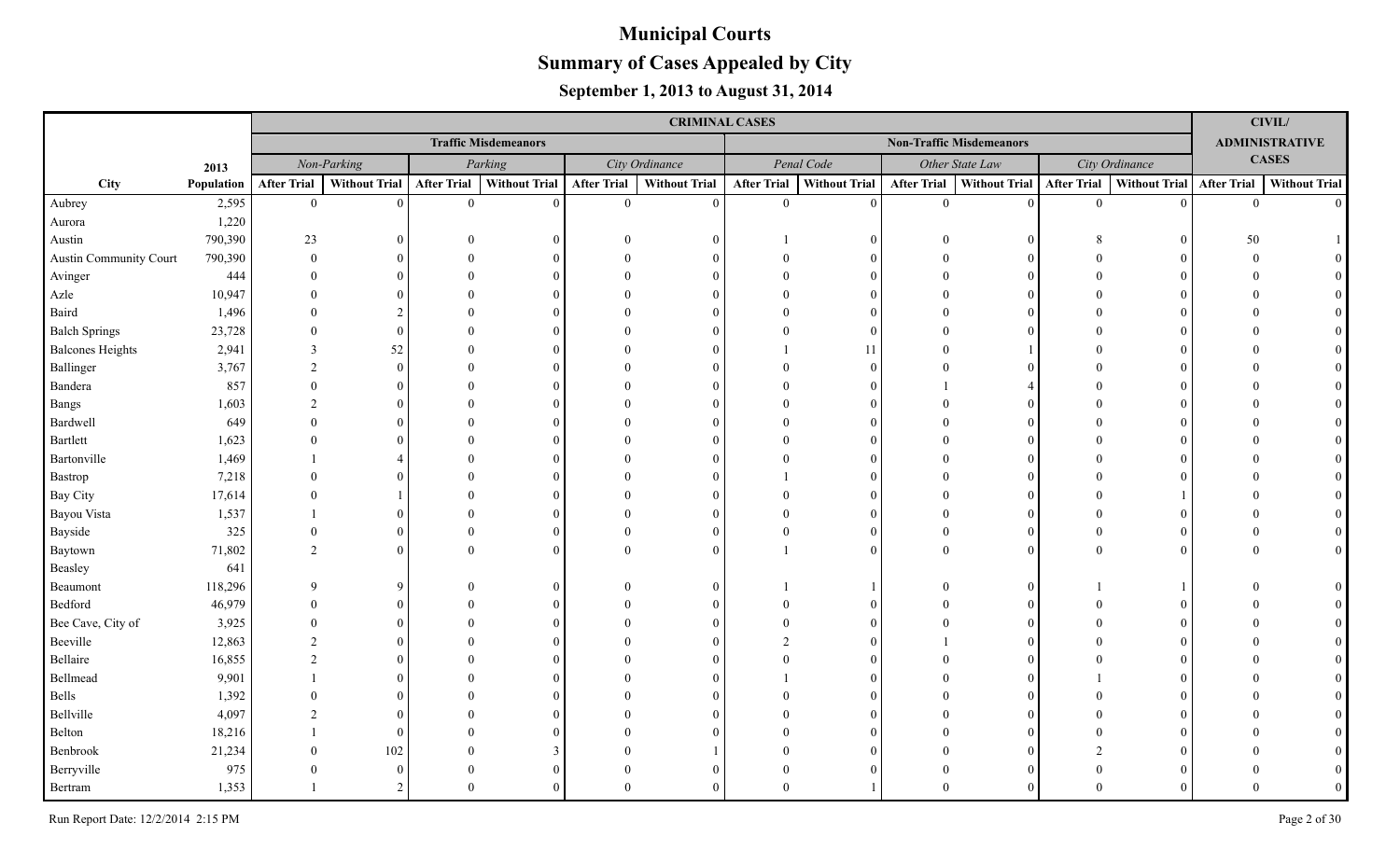|                         |            |                    |                      |                    |                             |                    | <b>CRIMINAL CASES</b> |                    |                      |                    |                                 |                    |                           |                | <b>CIVIL/</b>         |
|-------------------------|------------|--------------------|----------------------|--------------------|-----------------------------|--------------------|-----------------------|--------------------|----------------------|--------------------|---------------------------------|--------------------|---------------------------|----------------|-----------------------|
|                         |            |                    |                      |                    | <b>Traffic Misdemeanors</b> |                    |                       |                    |                      |                    | <b>Non-Traffic Misdemeanors</b> |                    |                           |                | <b>ADMINISTRATIVE</b> |
|                         | 2013       |                    | Non-Parking          |                    | Parking                     |                    | City Ordinance        |                    | Penal Code           |                    | Other State Law                 |                    | City Ordinance            |                | <b>CASES</b>          |
| City                    | Population | <b>After Trial</b> | <b>Without Trial</b> | <b>After Trial</b> | Without Trial               | <b>After Trial</b> | <b>Without Trial</b>  | <b>After Trial</b> | <b>Without Trial</b> | <b>After Trial</b> | Without Trial                   | <b>After Trial</b> | Without Trial After Trial |                | <b>Without Trial</b>  |
| Aubrey                  | 2,595      | $\mathbf{0}$       | $\Omega$             | $\overline{0}$     | $\Omega$                    | $\overline{0}$     | $\Omega$              | $\mathbf{0}$       | $\Omega$             | $\theta$           | $\vert 0 \vert$                 | $\mathbf{0}$       |                           | $\overline{0}$ | $\Omega$              |
| Aurora                  | 1,220      |                    |                      |                    |                             |                    |                       |                    |                      |                    |                                 |                    |                           |                |                       |
| Austin                  | 790,390    | 23                 | 0                    |                    |                             |                    |                       |                    |                      | $\Omega$           | $\Omega$                        |                    |                           | 50             |                       |
| Austin Community Court  | 790,390    | $\Omega$           | 0                    |                    |                             |                    |                       |                    |                      | $\Omega$           | $\Omega$                        |                    |                           |                |                       |
| Avinger                 | 444        | $\Omega$           |                      |                    |                             |                    |                       |                    |                      |                    |                                 |                    |                           |                |                       |
| Azle                    | 10,947     | $\Omega$           |                      |                    |                             |                    |                       |                    |                      |                    |                                 |                    |                           |                |                       |
| Baird                   | 1,496      | $\Omega$           |                      |                    |                             |                    |                       |                    | $\Omega$             |                    |                                 |                    |                           |                |                       |
| <b>Balch Springs</b>    | 23,728     | $\Omega$           | $\Omega$             |                    |                             |                    |                       |                    | $\Omega$             |                    |                                 |                    |                           |                |                       |
| <b>Balcones Heights</b> | 2,941      | 3                  | 52                   |                    |                             |                    |                       |                    | 11                   |                    |                                 |                    |                           |                |                       |
| Ballinger               | 3,767      | 2                  | $\theta$             |                    |                             |                    |                       |                    | $\Omega$             |                    |                                 |                    |                           |                |                       |
| Bandera                 | 857        | $\Omega$           | 0                    |                    |                             |                    |                       |                    |                      |                    |                                 |                    |                           |                |                       |
| Bangs                   | 1,603      | $\mathfrak{D}$     | 0                    |                    |                             |                    |                       |                    | $\Omega$             |                    |                                 |                    |                           |                |                       |
| Bardwell                | 649        | $\Omega$           | 0                    |                    |                             |                    |                       |                    | $\Omega$             |                    | $\Omega$                        |                    |                           |                |                       |
| Bartlett                | 1,623      | $\Omega$           |                      |                    |                             |                    |                       |                    | $\Omega$             |                    | 0                               |                    |                           |                |                       |
| Bartonville             | 1,469      |                    |                      |                    |                             |                    |                       |                    |                      |                    |                                 |                    |                           |                |                       |
| Bastrop                 | 7,218      | $\Omega$           |                      |                    |                             |                    |                       |                    |                      |                    |                                 |                    |                           |                |                       |
| Bay City                | 17,614     | $\Omega$           |                      |                    |                             |                    |                       |                    |                      |                    |                                 |                    |                           |                |                       |
| Bayou Vista             | 1,537      |                    |                      |                    |                             |                    |                       |                    |                      |                    |                                 |                    |                           |                |                       |
| Bayside                 | 325        | $\Omega$           | $\Omega$             |                    |                             |                    |                       |                    |                      |                    | $\Omega$                        |                    |                           |                |                       |
| Baytown                 | 71,802     | $\mathfrak{D}$     | $\Omega$             |                    |                             |                    |                       |                    |                      |                    | $\Omega$                        |                    |                           |                |                       |
| Beasley                 | 641        |                    |                      |                    |                             |                    |                       |                    |                      |                    |                                 |                    |                           |                |                       |
| Beaumont                | 118,296    | $\mathbf Q$        | Q                    |                    |                             |                    |                       |                    |                      |                    | $\Omega$                        |                    |                           |                |                       |
| Bedford                 | 46,979     |                    |                      |                    |                             |                    |                       |                    |                      |                    |                                 |                    |                           |                |                       |
| Bee Cave, City of       | 3,925      |                    |                      |                    |                             |                    |                       |                    |                      |                    |                                 |                    |                           |                |                       |
| Beeville                | 12,863     |                    |                      |                    |                             |                    |                       |                    |                      |                    |                                 |                    |                           |                |                       |
| Bellaire                | 16,855     |                    |                      |                    |                             |                    |                       |                    |                      |                    |                                 |                    |                           |                |                       |
| Bellmead                | 9,901      |                    |                      |                    |                             |                    |                       |                    |                      |                    |                                 |                    |                           |                |                       |
| Bells                   | 1,392      |                    |                      |                    |                             |                    |                       |                    |                      |                    | 0                               |                    |                           |                |                       |
| Bellville               | 4,097      |                    |                      |                    |                             |                    |                       |                    |                      |                    | $\Omega$                        |                    |                           |                |                       |
| Belton                  | 18,216     |                    | $\Omega$             |                    |                             |                    |                       |                    |                      |                    |                                 |                    |                           |                |                       |
| Benbrook                | 21,234     |                    | 102                  |                    |                             |                    |                       |                    |                      |                    |                                 |                    |                           |                |                       |
| Berryville              | 975        | $\Omega$           | $\Omega$             |                    |                             |                    |                       |                    |                      |                    | 0                               |                    |                           |                |                       |
| Bertram                 | 1,353      |                    |                      | $\Omega$           |                             |                    |                       |                    |                      |                    |                                 | $\Omega$           |                           |                |                       |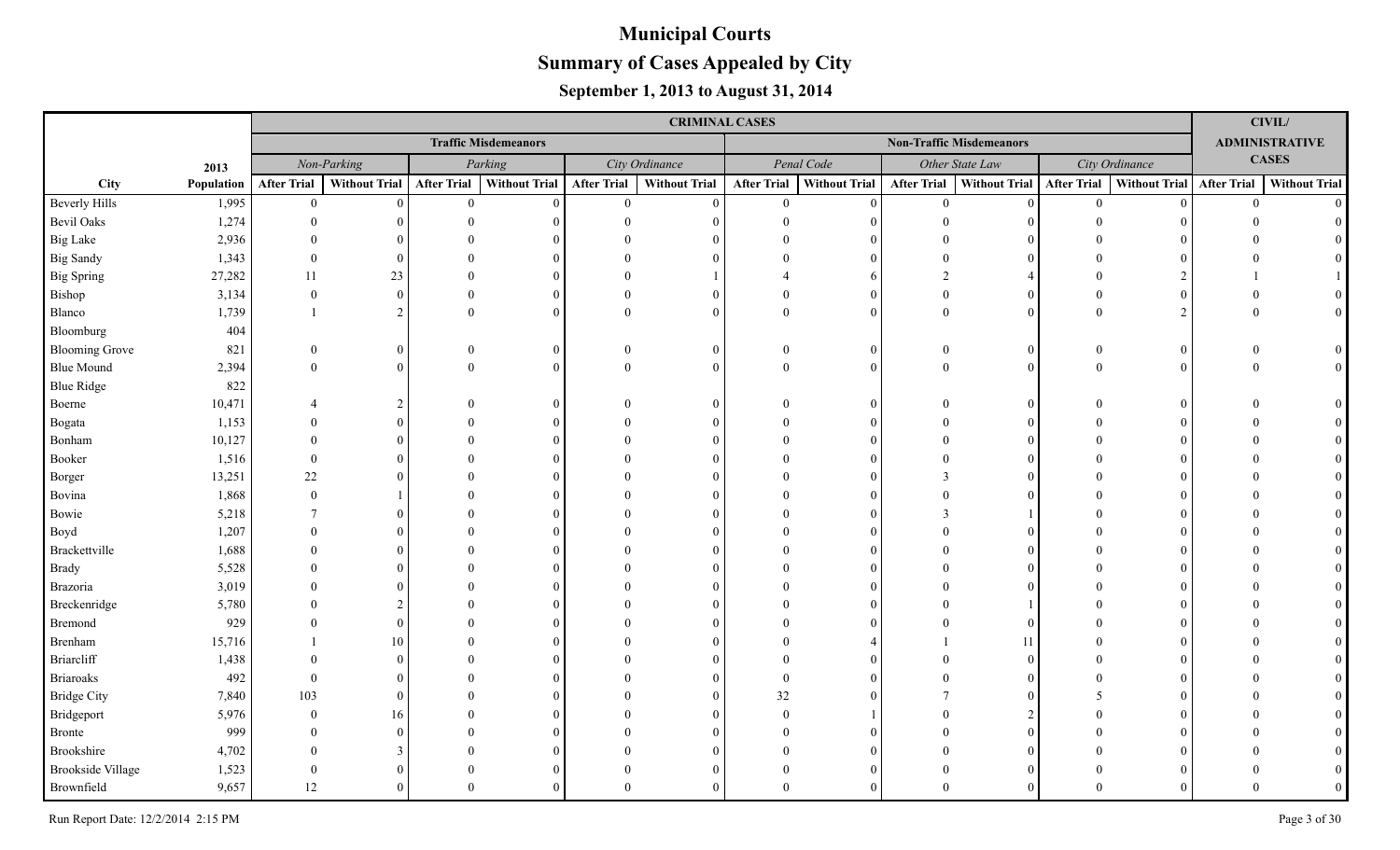|                          |            |                    |                |                    |                             |                    | <b>CRIMINAL CASES</b> |                    |                      |                    |                                 |                    |                           |                | <b>CIVIL/</b>         |
|--------------------------|------------|--------------------|----------------|--------------------|-----------------------------|--------------------|-----------------------|--------------------|----------------------|--------------------|---------------------------------|--------------------|---------------------------|----------------|-----------------------|
|                          |            |                    |                |                    | <b>Traffic Misdemeanors</b> |                    |                       |                    |                      |                    | <b>Non-Traffic Misdemeanors</b> |                    |                           |                | <b>ADMINISTRATIVE</b> |
|                          | 2013       |                    | Non-Parking    |                    | Parking                     |                    | City Ordinance        |                    | Penal Code           |                    | Other State Law                 |                    | City Ordinance            |                | <b>CASES</b>          |
| City                     | Population | <b>After Trial</b> | Without Trial  | <b>After Trial</b> | <b>Without Trial</b>        | <b>After Trial</b> | <b>Without Trial</b>  | <b>After Trial</b> | <b>Without Trial</b> | <b>After Trial</b> | <b>Without Trial</b>            | <b>After Trial</b> | Without Trial After Trial |                | <b>Without Trial</b>  |
| <b>Beverly Hills</b>     | 1,995      | $\overline{0}$     | $\Omega$       | $\mathbf{0}$       | $\theta$                    | $\overline{0}$     | $\theta$              | $\overline{0}$     | $\Omega$             | $\theta$           | $\Omega$                        | $\overline{0}$     |                           | $\overline{0}$ | $\Omega$              |
| <b>Bevil Oaks</b>        | 1,274      | $\Omega$           |                |                    |                             |                    |                       |                    | $\Omega$             |                    |                                 |                    |                           |                |                       |
| <b>Big Lake</b>          | 2,936      |                    |                |                    |                             |                    |                       |                    | $\Omega$             |                    |                                 |                    |                           |                |                       |
| <b>Big Sandy</b>         | 1,343      | $\Omega$           | $\Omega$       |                    |                             |                    | $\Omega$              |                    | $\Omega$             |                    |                                 |                    |                           |                |                       |
| <b>Big Spring</b>        | 27,282     | 11                 | 23             |                    |                             |                    |                       |                    | 6                    |                    |                                 |                    |                           |                |                       |
| Bishop                   | 3,134      | $\Omega$           | $\overline{0}$ |                    | 0                           |                    | $\Omega$              |                    | $\overline{0}$       | $\Omega$           |                                 |                    |                           |                |                       |
| Blanco                   | 1,739      |                    | $\overline{2}$ | $\Omega$           | $\Omega$                    | $\Omega$           | $\Omega$              | $\Omega$           | $\theta$             | $\Omega$           | $\Omega$                        |                    |                           |                |                       |
| Bloomburg                | 404        |                    |                |                    |                             |                    |                       |                    |                      |                    |                                 |                    |                           |                |                       |
| <b>Blooming Grove</b>    | 821        | $\Omega$           | $\overline{0}$ |                    | 0                           | $\Omega$           | $\theta$              |                    | $\overline{0}$       | $\overline{0}$     | $\theta$                        |                    |                           |                |                       |
| <b>Blue Mound</b>        | 2,394      | $\Omega$           | $\theta$       | $\Omega$           | $\Omega$                    | $\theta$           | $\Omega$              | $\Omega$           | $\theta$             | $\theta$           | $\Omega$                        |                    |                           |                |                       |
| <b>Blue Ridge</b>        | 822        |                    |                |                    |                             |                    |                       |                    |                      |                    |                                 |                    |                           |                |                       |
| Boerne                   | 10,471     |                    | $\overline{c}$ |                    | 0                           |                    | $\Omega$              |                    | $\Omega$             |                    | 0                               |                    |                           |                |                       |
| Bogata                   | 1,153      |                    | $\Omega$       |                    |                             |                    | $\Omega$              |                    | $\Omega$             |                    |                                 |                    |                           |                |                       |
| Bonham                   | 10,127     |                    | $\Omega$       |                    |                             |                    | $\Omega$              |                    | $\Omega$             |                    |                                 |                    |                           |                |                       |
| Booker                   | 1,516      | $\Omega$           |                |                    |                             |                    | $\Omega$              |                    | $\Omega$             |                    |                                 |                    |                           |                |                       |
| Borger                   | 13,251     | 22                 | $\Omega$       |                    |                             |                    | $\Omega$              |                    | $\Omega$             |                    |                                 |                    |                           |                |                       |
| Bovina                   | 1,868      | $\Omega$           |                |                    |                             |                    |                       |                    | $\Omega$             |                    |                                 |                    |                           |                |                       |
| Bowie                    | 5,218      | $\tau$             | $\Omega$       |                    |                             |                    |                       |                    | $\Omega$             |                    |                                 |                    |                           |                |                       |
| Boyd                     | 1,207      |                    |                |                    |                             |                    | $\Omega$              |                    | $\Omega$             |                    |                                 |                    |                           |                |                       |
| Brackettville            | 1,688      |                    |                |                    |                             |                    | $\Omega$              |                    | $\Omega$             |                    |                                 |                    |                           |                |                       |
| <b>Brady</b>             | 5,528      |                    |                |                    |                             |                    |                       |                    | $\Omega$             |                    |                                 |                    |                           |                |                       |
| Brazoria                 | 3,019      |                    |                |                    |                             |                    |                       |                    | $\Omega$             |                    |                                 |                    |                           |                |                       |
| Breckenridge             | 5,780      |                    |                |                    |                             |                    |                       |                    | $\Omega$             |                    |                                 |                    |                           |                |                       |
| Bremond                  | 929        |                    | $\Omega$       |                    |                             |                    | $\Omega$              |                    | $\Omega$             |                    |                                 |                    |                           |                |                       |
| Brenham                  | 15,716     |                    | 10             |                    |                             |                    | $\Omega$              |                    |                      |                    |                                 |                    |                           |                |                       |
| <b>Briarcliff</b>        | 1,438      |                    | $\Omega$       |                    |                             |                    |                       |                    | $\Omega$             |                    |                                 |                    |                           |                |                       |
| <b>Briaroaks</b>         | 492        |                    | $\Omega$       |                    |                             |                    | $\Omega$              | $\Omega$           | $\Omega$             |                    |                                 |                    |                           |                |                       |
| <b>Bridge City</b>       | 7,840      | 103                | $\Omega$       |                    |                             |                    | $\Omega$              | 32                 | $\Omega$             |                    |                                 |                    |                           |                |                       |
| Bridgeport               | 5,976      | $\Omega$           | 16             |                    |                             |                    | $\Omega$              | $\Omega$           |                      |                    |                                 |                    |                           |                |                       |
| <b>Bronte</b>            | 999        |                    | $\Omega$       |                    |                             |                    |                       |                    | $\Omega$             |                    |                                 |                    |                           |                |                       |
| Brookshire               | 4,702      |                    |                |                    |                             |                    |                       |                    | $\Omega$             |                    |                                 |                    |                           |                |                       |
| <b>Brookside Village</b> | 1,523      | $\Omega$           | $\Omega$       |                    |                             |                    | $\Omega$              |                    | $\Omega$             |                    |                                 |                    |                           |                |                       |
| Brownfield               | 9,657      | 12                 | $\Omega$       | $\Omega$           |                             | $\Omega$           | $\Omega$              | $\Omega$           | $\Omega$             |                    |                                 |                    |                           |                |                       |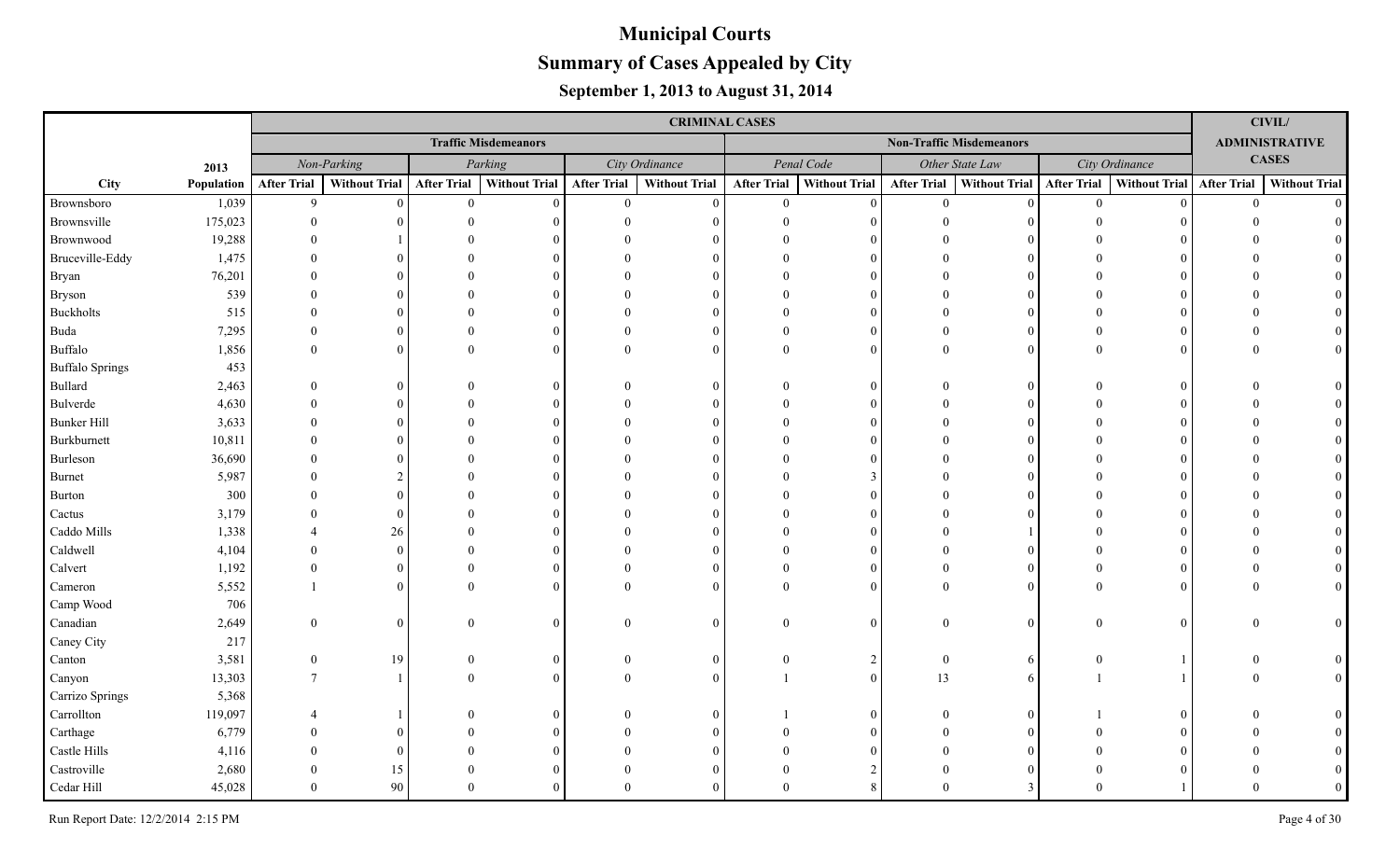|                        |            |                    |               |                    |                             |                    | <b>CRIMINAL CASES</b> |                    |                      |                    |                                 |                    |                             |          | <b>CIVIL/</b>         |
|------------------------|------------|--------------------|---------------|--------------------|-----------------------------|--------------------|-----------------------|--------------------|----------------------|--------------------|---------------------------------|--------------------|-----------------------------|----------|-----------------------|
|                        |            |                    |               |                    | <b>Traffic Misdemeanors</b> |                    |                       |                    |                      |                    | <b>Non-Traffic Misdemeanors</b> |                    |                             |          | <b>ADMINISTRATIVE</b> |
|                        | 2013       |                    | Non-Parking   |                    | Parking                     |                    | City Ordinance        |                    | Penal Code           |                    | Other State Law                 |                    | City Ordinance              |          | <b>CASES</b>          |
| City                   | Population | <b>After Trial</b> | Without Trial | <b>After Trial</b> | <b>Without Trial</b>        | <b>After Trial</b> | <b>Without Trial</b>  | <b>After Trial</b> | <b>Without Trial</b> | <b>After Trial</b> | Without Trial                   | <b>After Trial</b> | Without Trial   After Trial |          | <b>Without Trial</b>  |
| Brownsboro             | 1,039      | 9                  | $\Omega$      | $\overline{0}$     | $\Omega$                    | $\overline{0}$     | $\Omega$              | $\overline{0}$     | $\Omega$             | $\theta$           | $\Omega$                        | $\mathbf{0}$       |                             | $\theta$ | $\Omega$              |
| Brownsville            | 175,023    |                    |               |                    |                             |                    |                       |                    | $\Omega$             |                    |                                 |                    |                             |          |                       |
| Brownwood              | 19,288     |                    |               |                    |                             |                    |                       |                    |                      |                    |                                 |                    |                             |          |                       |
| Bruceville-Eddy        | 1,475      |                    |               |                    |                             |                    |                       |                    | $\Omega$             |                    |                                 |                    |                             |          |                       |
| Bryan                  | 76,201     |                    |               |                    |                             |                    |                       |                    | $\Omega$             |                    |                                 |                    |                             |          |                       |
| Bryson                 | 539        |                    |               |                    |                             |                    |                       |                    | $\Omega$             |                    |                                 |                    |                             |          |                       |
| Buckholts              | 515        |                    |               |                    |                             |                    |                       |                    | $\Omega$             |                    |                                 |                    |                             |          |                       |
| Buda                   | 7,295      | $\Omega$           |               |                    |                             |                    | $\Omega$              |                    | $\Omega$             |                    | $\Omega$                        |                    |                             |          |                       |
| Buffalo                | 1,856      | $\Omega$           |               |                    |                             |                    | $\Omega$              |                    | $\Omega$             | $\Omega$           | $\Omega$                        |                    |                             |          |                       |
| <b>Buffalo Springs</b> | 453        |                    |               |                    |                             |                    |                       |                    |                      |                    |                                 |                    |                             |          |                       |
| Bullard                | 2,463      |                    |               |                    |                             |                    | $\Omega$              |                    | $\Omega$             |                    | 0                               |                    |                             |          |                       |
| Bulverde               | 4,630      |                    |               |                    |                             |                    |                       |                    | $\Omega$             |                    |                                 |                    |                             |          |                       |
| <b>Bunker Hill</b>     | 3,633      |                    |               |                    |                             |                    |                       |                    | $\Omega$             |                    |                                 |                    |                             |          |                       |
| Burkburnett            | 10,811     |                    |               |                    |                             |                    |                       |                    | $\Omega$             |                    |                                 |                    |                             |          |                       |
| Burleson               | 36,690     |                    |               |                    |                             |                    |                       |                    |                      |                    |                                 |                    |                             |          |                       |
| <b>Burnet</b>          | 5,987      |                    |               |                    |                             |                    |                       |                    | $\mathcal{R}$        |                    |                                 |                    |                             |          |                       |
| <b>Burton</b>          | 300        |                    |               |                    |                             |                    |                       |                    | $\Omega$             |                    |                                 |                    |                             |          |                       |
| Cactus                 | 3,179      |                    |               |                    |                             |                    |                       |                    |                      |                    |                                 |                    |                             |          |                       |
| Caddo Mills            | 1,338      |                    | 26            |                    |                             |                    |                       |                    |                      |                    |                                 |                    |                             |          |                       |
| Caldwell               | 4,104      |                    | $\Omega$      |                    |                             |                    |                       |                    |                      |                    |                                 |                    |                             |          |                       |
| Calvert                | 1,192      |                    | $\Omega$      |                    |                             |                    |                       |                    | $\Omega$             |                    |                                 |                    |                             |          |                       |
| Cameron                | 5,552      |                    | $\Omega$      |                    |                             |                    | $\Omega$              |                    |                      |                    |                                 |                    |                             |          |                       |
| Camp Wood              | 706        |                    |               |                    |                             |                    |                       |                    |                      |                    |                                 |                    |                             |          |                       |
| Canadian               | 2,649      | $\Omega$           | $\Omega$      | $\Omega$           |                             | $\Omega$           | $\Omega$              |                    | $\Omega$             | $\Omega$           | $\Omega$                        | 0                  |                             |          |                       |
| Caney City             | 217        |                    |               |                    |                             |                    |                       |                    |                      |                    |                                 |                    |                             |          |                       |
| Canton                 | 3,581      | $\theta$           | 19            | $\Omega$           |                             | $\Omega$           | $\Omega$              |                    | 2                    | $\overline{0}$     | 6                               |                    |                             |          |                       |
| Canyon                 | 13,303     | $\tau$             |               |                    |                             |                    | $\Omega$              |                    | $\Omega$             | 13                 |                                 |                    |                             |          | $\overline{0}$        |
| Carrizo Springs        | 5,368      |                    |               |                    |                             |                    |                       |                    |                      |                    |                                 |                    |                             |          |                       |
| Carrollton             | 119,097    |                    |               |                    |                             |                    | $\Omega$              |                    | $\Omega$             |                    |                                 |                    |                             |          |                       |
| Carthage               | 6,779      |                    |               |                    |                             |                    |                       |                    |                      |                    |                                 |                    |                             |          |                       |
| Castle Hills           | 4,116      |                    | $\theta$      |                    |                             |                    |                       |                    |                      |                    |                                 |                    |                             |          |                       |
| Castroville            | 2,680      |                    | 15            |                    |                             |                    |                       |                    |                      |                    |                                 |                    |                             |          |                       |
| Cedar Hill             | 45,028     | $\Omega$           | 90            | $\Omega$           |                             |                    | $\Omega$              |                    |                      | $\Omega$           |                                 |                    |                             |          |                       |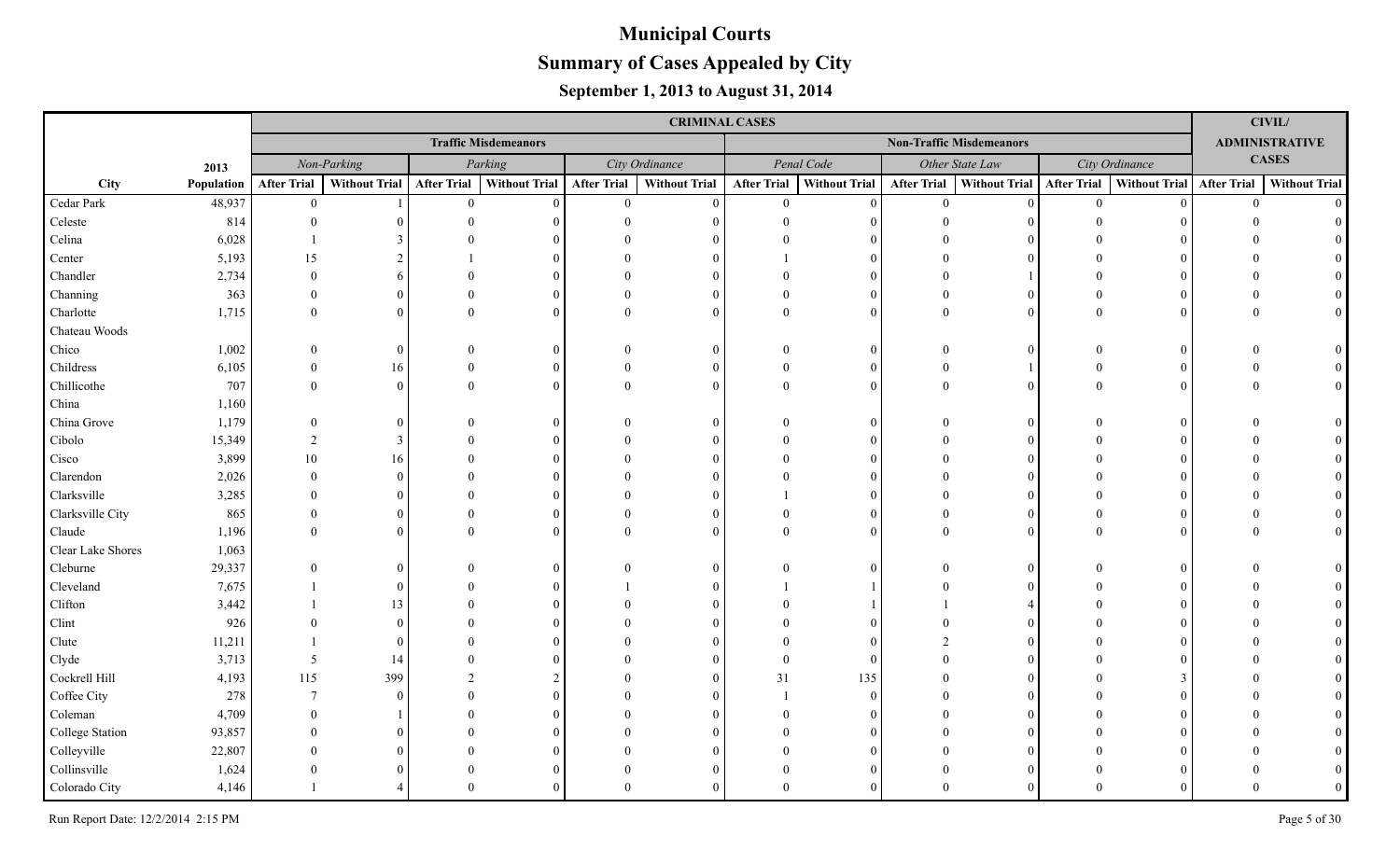|                   |            |                    |               |                    |                             |                    | <b>CRIMINAL CASES</b> |                    |                      |                                 |                 |                    |                             |          | <b>CIVIL/</b>         |
|-------------------|------------|--------------------|---------------|--------------------|-----------------------------|--------------------|-----------------------|--------------------|----------------------|---------------------------------|-----------------|--------------------|-----------------------------|----------|-----------------------|
|                   |            |                    |               |                    | <b>Traffic Misdemeanors</b> |                    |                       |                    |                      | <b>Non-Traffic Misdemeanors</b> |                 |                    |                             |          | <b>ADMINISTRATIVE</b> |
|                   | 2013       |                    | Non-Parking   |                    | Parking                     |                    | City Ordinance        |                    | Penal Code           |                                 | Other State Law |                    | City Ordinance              |          | <b>CASES</b>          |
| City              | Population | <b>After Trial</b> | Without Trial | <b>After Trial</b> | <b>Without Trial</b>        | <b>After Trial</b> | <b>Without Trial</b>  | <b>After Trial</b> | <b>Without Trial</b> | <b>After Trial</b>              | Without Trial   | <b>After Trial</b> | Without Trial   After Trial |          | <b>Without Trial</b>  |
| Cedar Park        | 48,937     | $\overline{0}$     |               | $\theta$           | $\Omega$                    | $\overline{0}$     | $\Omega$              | $\overline{0}$     | $\Omega$             | $\theta$                        | $\Omega$        | $\mathbf{0}$       |                             | $\theta$ | $\Omega$              |
| Celeste           | 814        |                    |               |                    |                             |                    |                       |                    |                      |                                 |                 |                    |                             |          |                       |
| Celina            | 6,028      |                    |               |                    |                             |                    |                       |                    |                      |                                 |                 |                    |                             |          |                       |
| Center            | 5,193      | 15                 |               |                    |                             |                    |                       |                    | $\Omega$             |                                 |                 |                    |                             |          |                       |
| Chandler          | 2,734      |                    |               |                    |                             |                    |                       |                    |                      |                                 |                 |                    |                             |          |                       |
| Channing          | 363        |                    | 0             |                    |                             |                    |                       |                    | $\Omega$             |                                 |                 |                    |                             |          |                       |
| Charlotte         | 1,715      | $\Omega$           | 0             |                    |                             | 0                  | $\Omega$              |                    | $\Omega$             | $\Omega$                        | $\Omega$        |                    |                             |          |                       |
| Chateau Woods     |            |                    |               |                    |                             |                    |                       |                    |                      |                                 |                 |                    |                             |          |                       |
| Chico             | 1,002      |                    | $\theta$      |                    |                             |                    | $\Omega$              |                    | $\Omega$             |                                 | 0               |                    |                             |          |                       |
| Childress         | 6,105      | $\Omega$           | 16            |                    |                             |                    | $\Omega$              |                    | $\Omega$             |                                 |                 |                    |                             |          |                       |
| Chillicothe       | 707        | $\Omega$           | $\Omega$      |                    |                             |                    | $\Omega$              |                    | $\Omega$             | $\Omega$                        | $\Omega$        |                    |                             |          |                       |
| China             | 1,160      |                    |               |                    |                             |                    |                       |                    |                      |                                 |                 |                    |                             |          |                       |
| China Grove       | 1,179      | $\Omega$           |               |                    |                             |                    | $\Omega$              |                    | $\Omega$             |                                 | 0               |                    |                             |          |                       |
| Cibolo            | 15,349     | $\mathcal{D}$      | 3             |                    |                             |                    |                       |                    | $\Omega$             |                                 |                 |                    |                             |          |                       |
| Cisco             | 3,899      | 10                 | 16            |                    |                             |                    |                       |                    | $\Omega$             |                                 |                 |                    |                             |          |                       |
| Clarendon         | 2,026      | $\Omega$           | $\Omega$      |                    |                             |                    |                       |                    |                      |                                 |                 |                    |                             |          |                       |
| Clarksville       | 3,285      |                    |               |                    |                             |                    |                       |                    |                      |                                 |                 |                    |                             |          |                       |
| Clarksville City  | 865        |                    |               |                    |                             |                    |                       |                    | $\Omega$             |                                 |                 |                    |                             |          |                       |
| Claude            | 1,196      |                    |               |                    |                             |                    |                       |                    |                      |                                 |                 |                    |                             |          |                       |
| Clear Lake Shores | 1,063      |                    |               |                    |                             |                    |                       |                    |                      |                                 |                 |                    |                             |          |                       |
| Cleburne          | 29,337     |                    |               |                    |                             |                    | $\Omega$              |                    |                      |                                 |                 |                    |                             |          |                       |
| Cleveland         | 7,675      |                    |               |                    |                             |                    |                       |                    |                      |                                 |                 |                    |                             |          |                       |
| Clifton           | 3,442      |                    | 13            |                    |                             |                    |                       |                    |                      |                                 |                 |                    |                             |          |                       |
| Clint             | 926        |                    | 0             |                    |                             |                    |                       |                    |                      |                                 |                 |                    |                             |          |                       |
| Clute             | 11,211     |                    | 0             |                    |                             |                    |                       |                    |                      |                                 |                 |                    |                             |          |                       |
| Clyde             | 3,713      | 5                  | -14           |                    |                             |                    | $\Omega$              |                    | $\Omega$             |                                 |                 |                    |                             |          |                       |
| Cockrell Hill     | 4,193      | 115                | 399           |                    |                             |                    | $\Omega$              | 31                 | 135                  |                                 |                 |                    |                             |          |                       |
| Coffee City       | 278        | $\overline{7}$     |               |                    |                             |                    |                       |                    | $\Omega$             |                                 |                 |                    |                             |          |                       |
| Coleman           | 4,709      |                    |               |                    |                             |                    |                       |                    |                      |                                 |                 |                    |                             |          |                       |
| College Station   | 93,857     |                    |               |                    |                             |                    |                       |                    |                      |                                 |                 |                    |                             |          |                       |
| Colleyville       | 22,807     |                    |               |                    |                             |                    |                       |                    |                      |                                 |                 |                    |                             |          |                       |
| Collinsville      | 1,624      |                    |               |                    |                             |                    |                       |                    | $\Omega$             |                                 |                 |                    |                             |          |                       |
| Colorado City     | 4,146      |                    |               | $\Omega$           |                             |                    | $\Omega$              |                    | $\Omega$             |                                 |                 |                    |                             |          |                       |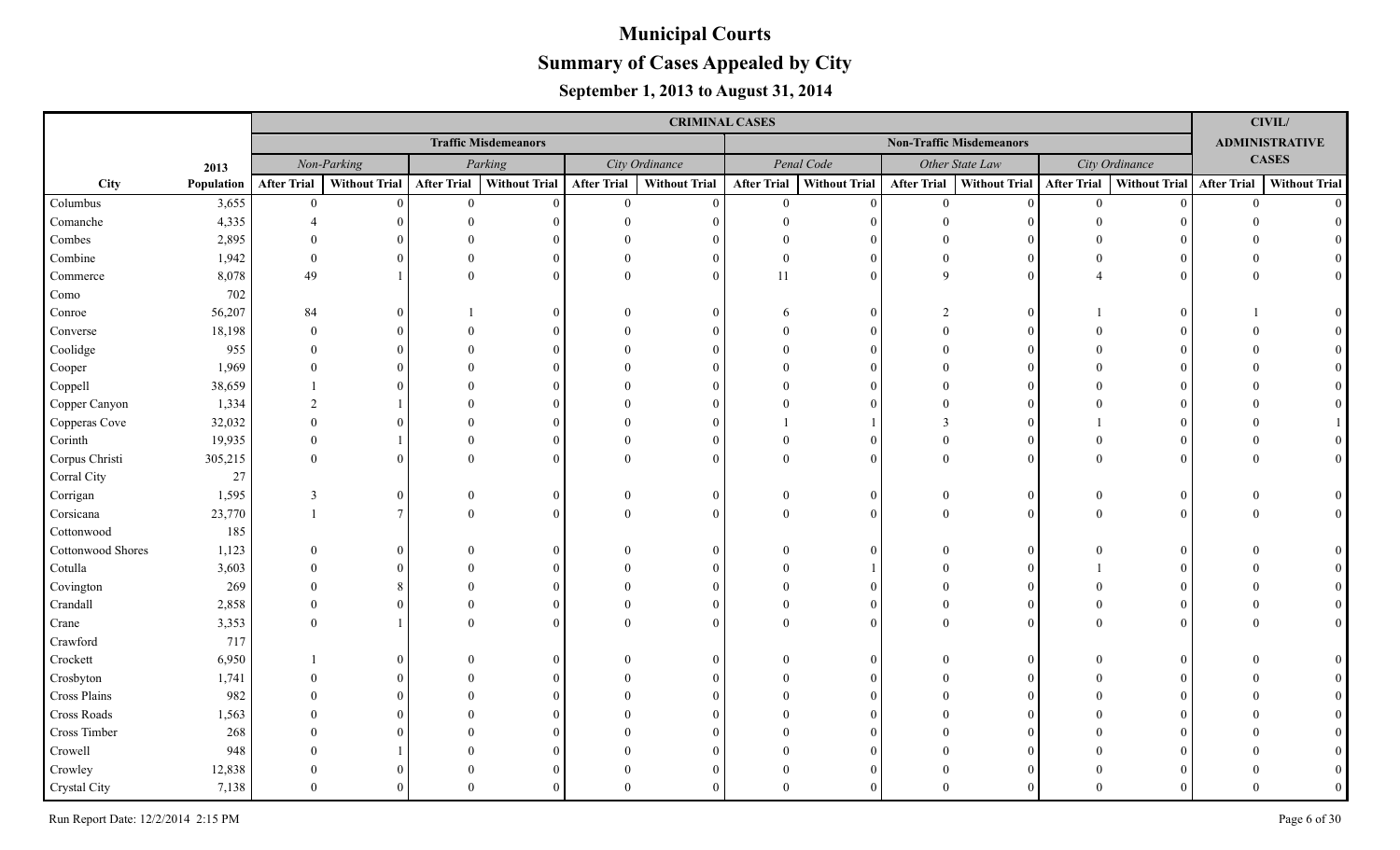|                   |            |                    |                      |                    |                             |                    | <b>CRIMINAL CASES</b> |                    |                      |                    |                                 |                    |                      |                    | CIVIL/                |
|-------------------|------------|--------------------|----------------------|--------------------|-----------------------------|--------------------|-----------------------|--------------------|----------------------|--------------------|---------------------------------|--------------------|----------------------|--------------------|-----------------------|
|                   |            |                    |                      |                    | <b>Traffic Misdemeanors</b> |                    |                       |                    |                      |                    | <b>Non-Traffic Misdemeanors</b> |                    |                      |                    | <b>ADMINISTRATIVE</b> |
|                   | 2013       |                    | Non-Parking          |                    | Parking                     |                    | City Ordinance        |                    | Penal Code           |                    | Other State Law                 |                    | City Ordinance       |                    | <b>CASES</b>          |
| City              | Population | <b>After Trial</b> | <b>Without Trial</b> | <b>After Trial</b> | <b>Without Trial</b>        | <b>After Trial</b> | <b>Without Trial</b>  | <b>After Trial</b> | <b>Without Trial</b> | <b>After Trial</b> | <b>Without Trial</b>            | <b>After Trial</b> | <b>Without Trial</b> | <b>After Trial</b> | <b>Without Trial</b>  |
| Columbus          | 3,655      | $\theta$           | $\Omega$             | $\theta$           | $\Omega$                    | $\overline{0}$     | $\theta$              | $\Omega$           | $\Omega$             | $\theta$           | $\Omega$                        | $\theta$           |                      | $\Omega$           | $\Omega$              |
| Comanche          | 4,335      |                    |                      |                    |                             |                    |                       |                    | $\Omega$             |                    |                                 |                    |                      |                    |                       |
| Combes            | 2,895      |                    |                      |                    |                             |                    |                       |                    | $\Omega$             |                    |                                 |                    |                      |                    |                       |
| Combine           | 1,942      | $\Omega$           | $\Omega$             |                    |                             |                    | $\Omega$              |                    | $\Omega$             |                    |                                 |                    |                      |                    |                       |
| Commerce          | 8,078      | 49                 |                      | $\Omega$           | $\Omega$                    | $\Omega$           | $\overline{0}$        | 11                 | $\Omega$             | $\mathbf{Q}$       |                                 |                    |                      |                    |                       |
| Como              | 702        |                    |                      |                    |                             |                    |                       |                    |                      |                    |                                 |                    |                      |                    |                       |
| Conroe            | 56,207     | 84                 | $\Omega$             |                    | 0                           |                    | $\Omega$              |                    | $\Omega$             |                    |                                 |                    |                      |                    |                       |
| Converse          | 18,198     | $\Omega$           | $\Omega$             |                    |                             |                    | $\Omega$              |                    | $\Omega$             | $\Omega$           |                                 |                    |                      |                    |                       |
| Coolidge          | 955        |                    | $\Omega$             |                    |                             |                    | $\Omega$              |                    | $\Omega$             |                    |                                 |                    |                      |                    |                       |
| Cooper            | 1,969      |                    | $\Omega$             |                    |                             |                    | $\Omega$              |                    | $\Omega$             |                    |                                 |                    |                      |                    |                       |
| Coppell           | 38,659     |                    | $\Omega$             |                    |                             |                    | $\Omega$              |                    | $\Omega$             |                    |                                 |                    |                      |                    |                       |
| Copper Canyon     | 1,334      | $\mathcal{D}$      |                      |                    |                             |                    | $\Omega$              |                    | $\Omega$             |                    |                                 |                    |                      |                    |                       |
| Copperas Cove     | 32,032     |                    | $\Omega$             |                    |                             |                    | $\Omega$              |                    |                      |                    |                                 |                    |                      |                    |                       |
| Corinth           | 19,935     |                    |                      |                    |                             |                    | $\Omega$              |                    | $\Omega$             |                    | $\Omega$                        |                    |                      |                    |                       |
| Corpus Christi    | 305,215    | $\Omega$           | $\Omega$             |                    |                             |                    | $\Omega$              |                    | $\Omega$             | $\Omega$           | $\Omega$                        |                    |                      |                    |                       |
| Corral City       | 27         |                    |                      |                    |                             |                    |                       |                    |                      |                    |                                 |                    |                      |                    |                       |
| Corrigan          | 1,595      | 3                  | $\overline{0}$       |                    | $\Omega$                    | $\Omega$           | $\theta$              |                    | $\mathbf{0}$         | $\Omega$           | $\Omega$                        |                    |                      |                    |                       |
| Corsicana         | 23,770     |                    | $\tau$               | $\Omega$           | $\Omega$                    | $\Omega$           | $\Omega$              |                    | $\Omega$             | $\Omega$           | $\Omega$                        |                    |                      |                    |                       |
| Cottonwood        | 185        |                    |                      |                    |                             |                    |                       |                    |                      |                    |                                 |                    |                      |                    |                       |
| Cottonwood Shores | 1,123      |                    | $\Omega$             |                    |                             |                    | $\Omega$              |                    | $\Omega$             |                    |                                 |                    |                      |                    |                       |
| Cotulla           | 3,603      |                    | $\Omega$             |                    |                             |                    | $\Omega$              |                    |                      |                    |                                 |                    |                      |                    |                       |
| Covington         | 269        |                    |                      |                    |                             |                    | $\Omega$              |                    | $\Omega$             |                    |                                 |                    |                      |                    |                       |
| Crandall          | 2,858      |                    | $\Omega$             |                    |                             |                    | $\Omega$              |                    | $\Omega$             |                    |                                 |                    |                      |                    |                       |
| Crane             | 3,353      |                    |                      |                    |                             |                    | $\Omega$              |                    | $\Omega$             |                    |                                 |                    |                      |                    |                       |
| Crawford          | 717        |                    |                      |                    |                             |                    |                       |                    |                      |                    |                                 |                    |                      |                    |                       |
| Crockett          | 6,950      |                    | $\Omega$             |                    | 0                           |                    | $\Omega$              |                    | $\Omega$             |                    |                                 |                    |                      |                    |                       |
| Crosbyton         | 1,741      |                    |                      |                    |                             |                    |                       |                    | $\Omega$             |                    |                                 |                    |                      |                    |                       |
| Cross Plains      | 982        |                    |                      |                    |                             |                    |                       |                    | $\Omega$             |                    |                                 |                    |                      |                    |                       |
| Cross Roads       | 1,563      |                    |                      |                    |                             |                    |                       |                    | $\Omega$             |                    |                                 |                    |                      |                    |                       |
| Cross Timber      | 268        |                    |                      |                    |                             |                    |                       |                    | $\Omega$             |                    |                                 |                    |                      |                    |                       |
| Crowell           | 948        |                    |                      |                    |                             |                    |                       |                    | $\Omega$             |                    |                                 |                    |                      |                    |                       |
| Crowley           | 12,838     |                    |                      |                    |                             |                    | $\Omega$              |                    | $\Omega$             |                    |                                 |                    |                      |                    |                       |
| Crystal City      | 7,138      |                    |                      |                    |                             |                    | $\Omega$              |                    | $\Omega$             |                    |                                 |                    |                      |                    |                       |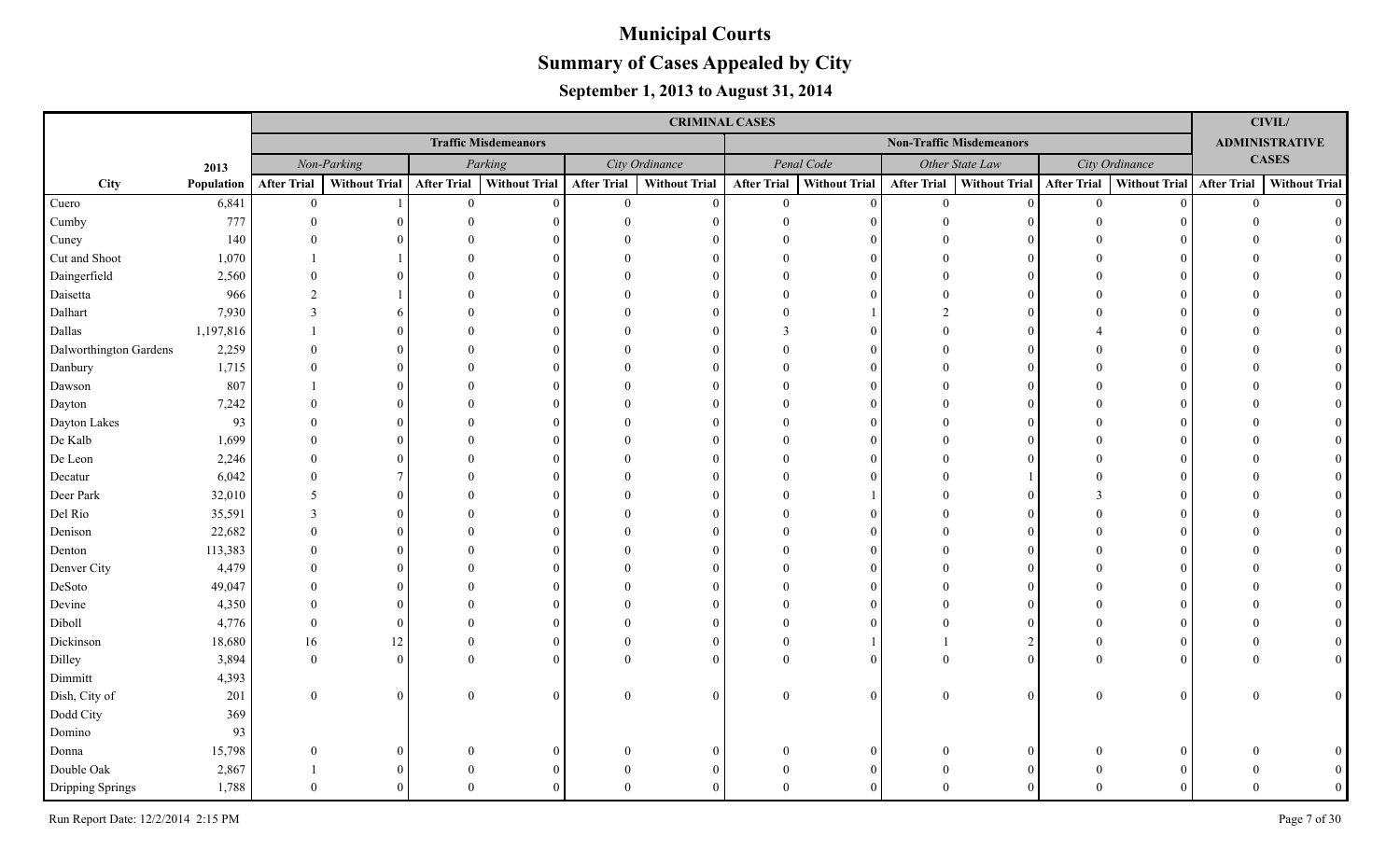|                        |            |                          |                |                    |                             |                    | <b>CRIMINAL CASES</b> |                    |                      |                    |                                 |                    |                           |                | <b>CIVIL/</b>         |
|------------------------|------------|--------------------------|----------------|--------------------|-----------------------------|--------------------|-----------------------|--------------------|----------------------|--------------------|---------------------------------|--------------------|---------------------------|----------------|-----------------------|
|                        |            |                          |                |                    | <b>Traffic Misdemeanors</b> |                    |                       |                    |                      |                    | <b>Non-Traffic Misdemeanors</b> |                    |                           |                | <b>ADMINISTRATIVE</b> |
|                        | 2013       |                          | Non-Parking    |                    | Parking                     |                    | City Ordinance        |                    | Penal Code           |                    | Other State Law                 |                    | City Ordinance            |                | <b>CASES</b>          |
| City                   | Population | <b>After Trial</b>       | Without Trial  | <b>After Trial</b> | Without Trial               | <b>After Trial</b> | <b>Without Trial</b>  | <b>After Trial</b> | <b>Without Trial</b> | <b>After Trial</b> | Without Trial                   | <b>After Trial</b> | Without Trial After Trial |                | <b>Without Trial</b>  |
| Cuero                  | 6,841      | $\mathbf{0}$             |                | $\overline{0}$     | $\Omega$                    | $\mathbf{0}$       | $\Omega$              | $\overline{0}$     | $\Omega$             | $\overline{0}$     | $\vert$ 0                       | $\overline{0}$     | $\Omega$                  | $\overline{0}$ | $\Omega$              |
| Cumby                  | 777        | $\Omega$                 |                |                    |                             |                    |                       |                    |                      | $\Omega$           |                                 |                    |                           |                |                       |
| Cuney                  | 140        |                          |                |                    |                             |                    |                       |                    |                      |                    |                                 |                    |                           |                |                       |
| Cut and Shoot          | 1,070      |                          |                |                    |                             |                    |                       |                    |                      |                    |                                 |                    |                           |                |                       |
| Daingerfield           | 2,560      |                          |                |                    |                             |                    |                       |                    |                      |                    |                                 |                    |                           |                |                       |
| Daisetta               | 966        |                          |                |                    |                             |                    |                       |                    |                      |                    |                                 |                    |                           |                |                       |
| Dalhart                | 7,930      | 3                        |                |                    |                             |                    |                       |                    |                      |                    | $\Omega$                        |                    |                           |                |                       |
| Dallas                 | 1,197,816  |                          |                |                    |                             |                    |                       |                    | $\Omega$             |                    | 0                               |                    |                           |                |                       |
| Dalworthington Gardens | 2,259      |                          |                |                    |                             |                    |                       |                    | $\Omega$             |                    | $\Omega$                        |                    |                           |                |                       |
| Danbury                | 1,715      | $\Omega$                 |                |                    |                             |                    |                       |                    | $\Omega$             |                    | $\Omega$                        |                    |                           |                |                       |
| Dawson                 | 807        |                          |                |                    |                             |                    |                       |                    | $\Omega$             |                    | $\Omega$                        |                    |                           |                |                       |
| Dayton                 | 7,242      |                          |                |                    |                             |                    |                       |                    | $\Omega$             |                    | $\Omega$                        |                    |                           |                |                       |
| Dayton Lakes           | 93         |                          |                |                    |                             |                    |                       |                    | $\Omega$             |                    | $\Omega$                        |                    |                           |                |                       |
| De Kalb                | 1,699      |                          |                |                    |                             |                    |                       |                    | $\Omega$             |                    | $\Omega$                        |                    |                           |                |                       |
| De Leon                | 2,246      |                          |                |                    |                             |                    |                       |                    | $\Omega$             |                    | 0                               |                    |                           |                |                       |
| Decatur                | 6,042      | $\Omega$                 |                |                    |                             |                    |                       |                    |                      |                    |                                 |                    |                           |                |                       |
| Deer Park              | 32,010     | $\overline{\mathcal{L}}$ | $\Omega$       |                    |                             |                    |                       |                    |                      |                    |                                 |                    |                           |                |                       |
| Del Rio                | 35,591     | $\mathbf{3}$             |                |                    |                             |                    |                       |                    |                      |                    |                                 |                    |                           |                |                       |
| Denison                | 22,682     |                          |                |                    |                             |                    |                       |                    |                      |                    |                                 |                    |                           |                |                       |
| Denton                 | 113,383    | $\Omega$                 |                |                    |                             |                    |                       |                    |                      |                    |                                 |                    |                           |                |                       |
| Denver City            | 4,479      |                          |                |                    |                             |                    |                       |                    |                      |                    |                                 |                    |                           |                |                       |
| DeSoto                 | 49,047     |                          |                |                    |                             |                    |                       |                    |                      |                    |                                 |                    |                           |                |                       |
| Devine                 | 4,350      |                          |                |                    |                             |                    |                       |                    |                      |                    |                                 |                    |                           |                |                       |
| Diboll                 | 4,776      | $\Omega$                 | 0              |                    |                             |                    |                       |                    |                      |                    |                                 |                    |                           |                |                       |
| Dickinson              | 18,680     | 16                       | 12             |                    |                             |                    |                       |                    |                      |                    | $\mathfrak{D}$                  |                    |                           |                |                       |
| Dilley                 | 3,894      | $\Omega$                 | $\Omega$       |                    |                             |                    | $\Omega$              |                    |                      |                    | $\theta$                        |                    |                           |                |                       |
| Dimmitt                | 4,393      |                          |                |                    |                             |                    |                       |                    |                      |                    |                                 |                    |                           |                |                       |
| Dish, City of          | 201        | $\overline{0}$           | $\overline{0}$ | $\Omega$           |                             | $\Omega$           | $\overline{0}$        | $\Omega$           | $\Omega$             | $\mathbf{0}$       | 0                               | $\theta$           |                           | $\Omega$       | $\overline{0}$        |
| Dodd City              | 369        |                          |                |                    |                             |                    |                       |                    |                      |                    |                                 |                    |                           |                |                       |
| Domino                 | 93         |                          |                |                    |                             |                    |                       |                    |                      |                    |                                 |                    |                           |                |                       |
| Donna                  | 15,798     | $\Omega$                 | 0              |                    |                             |                    | $\theta$              |                    |                      |                    | $\theta$                        |                    |                           |                |                       |
| Double Oak             | 2,867      |                          | 0              |                    |                             |                    |                       |                    |                      |                    | 0                               |                    |                           |                |                       |
| Dripping Springs       | 1,788      | $\Omega$                 |                |                    |                             |                    |                       |                    |                      |                    |                                 |                    |                           |                |                       |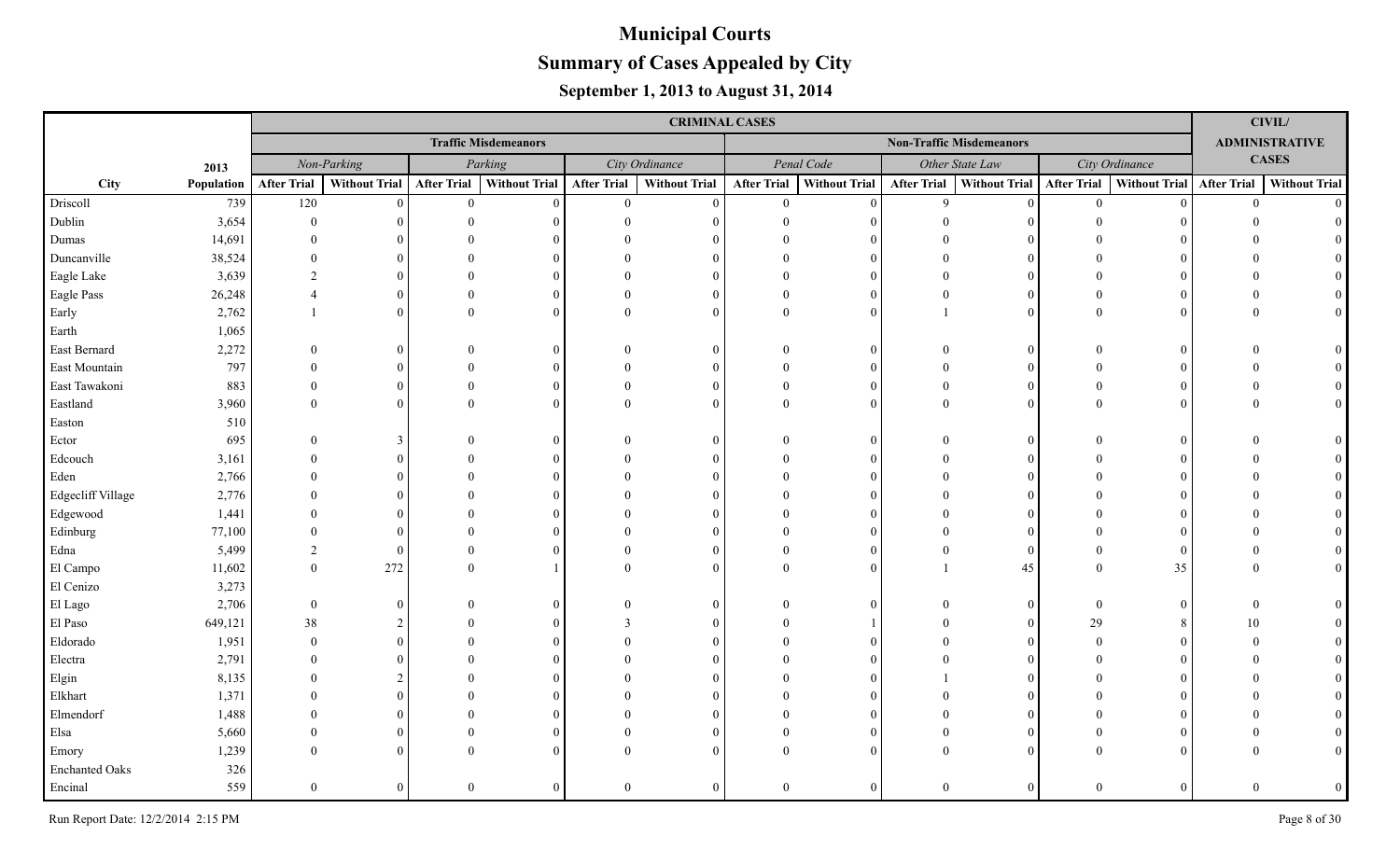|                       |            |                    |               |                    |                             |                    | <b>CRIMINAL CASES</b> |                    |                      |                    |                                 |                    |                           |                | <b>CIVIL/</b>         |
|-----------------------|------------|--------------------|---------------|--------------------|-----------------------------|--------------------|-----------------------|--------------------|----------------------|--------------------|---------------------------------|--------------------|---------------------------|----------------|-----------------------|
|                       |            |                    |               |                    | <b>Traffic Misdemeanors</b> |                    |                       |                    |                      |                    | <b>Non-Traffic Misdemeanors</b> |                    |                           |                | <b>ADMINISTRATIVE</b> |
|                       | 2013       |                    | Non-Parking   |                    | Parking                     |                    | City Ordinance        |                    | Penal Code           |                    | Other State Law                 |                    | City Ordinance            |                | <b>CASES</b>          |
| City                  | Population | <b>After Trial</b> | Without Trial | <b>After Trial</b> | <b>Without Trial</b>        | <b>After Trial</b> | <b>Without Trial</b>  | <b>After Trial</b> | <b>Without Trial</b> | <b>After Trial</b> | <b>Without Trial</b>            | <b>After Trial</b> | Without Trial After Trial |                | <b>Without Trial</b>  |
| Driscoll              | 739        | 120                | $\Omega$      | $\mathbf{0}$       | $\Omega$                    | $\overline{0}$     | $\Omega$              | $\overline{0}$     | $\Omega$             | $\mathbf{Q}$       | $\theta$                        | $\mathbf{0}$       |                           | $\overline{0}$ | $\Omega$              |
| Dublin                | 3,654      | $\Omega$           |               |                    |                             |                    |                       |                    |                      |                    |                                 |                    |                           |                |                       |
| Dumas                 | 14,691     |                    |               |                    |                             |                    |                       |                    |                      |                    |                                 |                    |                           |                |                       |
| Duncanville           | 38,524     |                    |               |                    |                             |                    |                       |                    | $\Omega$             |                    |                                 |                    |                           |                |                       |
| Eagle Lake            | 3,639      | $\overline{2}$     |               |                    |                             |                    |                       |                    |                      |                    |                                 |                    |                           |                |                       |
| Eagle Pass            | 26,248     |                    |               |                    |                             |                    |                       |                    | $\Omega$             |                    | $\Omega$                        |                    |                           |                |                       |
| Early                 | 2,762      |                    | $\Omega$      |                    |                             | $\Omega$           | $\Omega$              |                    | $\Omega$             |                    | $\Omega$                        |                    |                           |                |                       |
| Earth                 | 1,065      |                    |               |                    |                             |                    |                       |                    |                      |                    |                                 |                    |                           |                |                       |
| East Bernard          | 2,272      |                    |               |                    |                             |                    | $\Omega$              |                    | $\Omega$             |                    | $\Omega$                        |                    |                           |                |                       |
| East Mountain         | 797        |                    |               |                    |                             |                    | $\Omega$              |                    | $\Omega$             |                    | $\Omega$                        |                    |                           |                |                       |
| East Tawakoni         | 883        |                    | $\Omega$      |                    |                             |                    | $\Omega$              |                    | $\Omega$             |                    | $\Omega$                        |                    |                           |                |                       |
| Eastland              | 3,960      | $\Omega$           | $\Omega$      |                    |                             |                    | $\Omega$              |                    | $\Omega$             | $\Omega$           | $\Omega$                        |                    |                           |                |                       |
| Easton                | 510        |                    |               |                    |                             |                    |                       |                    |                      |                    |                                 |                    |                           |                |                       |
| Ector                 | 695        |                    | 3             |                    |                             |                    |                       |                    | $\Omega$             |                    | 0                               |                    |                           |                |                       |
| Edcouch               | 3,161      |                    |               |                    |                             |                    |                       |                    | $\Omega$             |                    |                                 |                    |                           |                |                       |
| Eden                  | 2,766      |                    |               |                    |                             |                    |                       |                    | $\Omega$             |                    |                                 |                    |                           |                |                       |
| Edgecliff Village     | 2,776      |                    |               |                    |                             |                    |                       |                    |                      |                    |                                 |                    |                           |                |                       |
| Edgewood              | 1,441      |                    |               |                    |                             |                    |                       |                    |                      |                    |                                 |                    |                           |                |                       |
| Edinburg              | 77,100     |                    |               |                    |                             |                    |                       |                    |                      |                    |                                 |                    |                           |                |                       |
| Edna                  | 5,499      | $\mathcal{D}$      | $\Omega$      |                    |                             |                    | $\Omega$              |                    | $\Omega$             |                    | $\Omega$                        |                    |                           |                |                       |
| El Campo              | 11,602     | $\Omega$           | 272           |                    |                             |                    | $\Omega$              |                    |                      |                    | 45                              |                    | 35                        |                |                       |
| El Cenizo             | 3,273      |                    |               |                    |                             |                    |                       |                    |                      |                    |                                 |                    |                           |                |                       |
| El Lago               | 2,706      | $\Omega$           | 0             |                    |                             |                    | $\Omega$              |                    | $\Omega$             |                    | 0                               |                    |                           |                |                       |
| El Paso               | 649,121    | 38                 |               |                    |                             |                    |                       |                    |                      |                    |                                 | 29                 |                           | 10             |                       |
| Eldorado              | 1,951      |                    | 0             |                    |                             |                    |                       |                    |                      |                    |                                 |                    |                           |                |                       |
| Electra               | 2,791      |                    |               |                    |                             |                    |                       |                    |                      |                    |                                 |                    |                           |                |                       |
| Elgin                 | 8,135      |                    |               |                    |                             |                    |                       |                    |                      |                    |                                 |                    |                           |                |                       |
| Elkhart               | 1,371      |                    |               |                    |                             |                    |                       |                    | $\Omega$             |                    |                                 |                    |                           |                |                       |
| Elmendorf             | 1,488      |                    |               |                    |                             |                    |                       |                    |                      |                    |                                 |                    |                           |                |                       |
| Elsa                  | 5,660      |                    | $\theta$      |                    |                             |                    | $\Omega$              |                    | $\Omega$             |                    | 0                               |                    |                           |                |                       |
| Emory                 | 1,239      |                    |               |                    |                             |                    |                       |                    |                      |                    |                                 |                    |                           |                |                       |
| <b>Enchanted Oaks</b> | 326        |                    |               |                    |                             |                    |                       |                    |                      |                    |                                 |                    |                           |                |                       |
| Encinal               | 559        | $\Omega$           | 0             | $\Omega$           |                             | $\theta$           | $\Omega$              | $\theta$           | $\Omega$             | $\mathbf{0}$       | $\Omega$                        | $\Omega$           |                           | $\Omega$       |                       |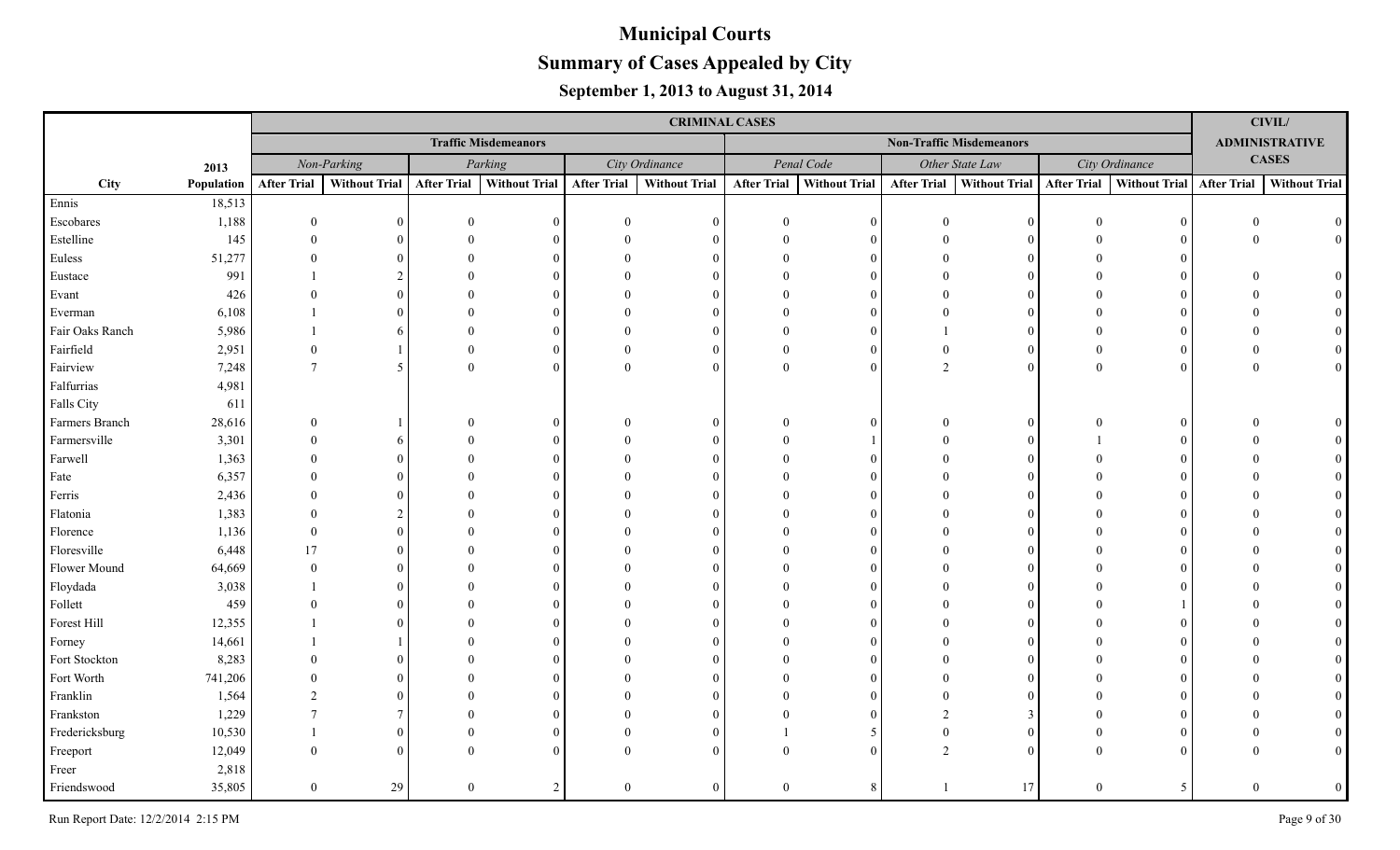|                 |            |                    |                |             |                             |                    | <b>CRIMINAL CASES</b> |                    |                      |                    |                                 |                    |                      |                    | CIVIL/                |
|-----------------|------------|--------------------|----------------|-------------|-----------------------------|--------------------|-----------------------|--------------------|----------------------|--------------------|---------------------------------|--------------------|----------------------|--------------------|-----------------------|
|                 |            |                    |                |             | <b>Traffic Misdemeanors</b> |                    |                       |                    |                      |                    | <b>Non-Traffic Misdemeanors</b> |                    |                      |                    | <b>ADMINISTRATIVE</b> |
|                 | 2013       |                    | Non-Parking    |             | Parking                     |                    | City Ordinance        |                    | Penal Code           |                    | Other State Law                 |                    | City Ordinance       |                    | <b>CASES</b>          |
| City            | Population | <b>After Trial</b> | Without Trial  | After Trial | <b>Without Trial</b>        | <b>After Trial</b> | <b>Without Trial</b>  | <b>After Trial</b> | <b>Without Trial</b> | <b>After Trial</b> | Without Trial                   | <b>After Trial</b> | <b>Without Trial</b> | <b>After Trial</b> | <b>Without Trial</b>  |
| Ennis           | 18,513     |                    |                |             |                             |                    |                       |                    |                      |                    |                                 |                    |                      |                    |                       |
| Escobares       | 1,188      | $\Omega$           |                | $\Omega$    |                             | $\Omega$           |                       |                    |                      | $\Omega$           | $\Omega$                        |                    |                      | $\Omega$           | $\theta$              |
| Estelline       | 145        | $\Omega$           |                |             |                             |                    |                       |                    |                      |                    |                                 |                    |                      | $\Omega$           | $\overline{0}$        |
| Euless          | 51,277     |                    |                |             |                             |                    |                       |                    |                      |                    |                                 |                    |                      |                    |                       |
| Eustace         | 991        |                    |                |             |                             |                    |                       |                    |                      |                    |                                 |                    |                      |                    |                       |
| Evant           | 426        |                    |                |             |                             |                    |                       |                    |                      |                    |                                 |                    |                      |                    |                       |
| Everman         | 6,108      |                    |                |             |                             |                    |                       |                    |                      |                    |                                 |                    |                      |                    |                       |
| Fair Oaks Ranch | 5,986      |                    |                |             |                             |                    |                       |                    |                      |                    |                                 |                    |                      |                    |                       |
| Fairfield       | 2,951      | $\Omega$           |                |             |                             |                    |                       |                    | $\Omega$             | $\Omega$           | $\Omega$                        |                    |                      |                    |                       |
| Fairview        | 7,248      | $\tau$             | $\mathfrak{H}$ | $\Omega$    |                             |                    | $\Omega$              | $\Omega$           | $\Omega$             | 2                  | $\theta$                        | $\Omega$           |                      |                    |                       |
| Falfurrias      | 4,981      |                    |                |             |                             |                    |                       |                    |                      |                    |                                 |                    |                      |                    |                       |
| Falls City      | 611        |                    |                |             |                             |                    |                       |                    |                      |                    |                                 |                    |                      |                    |                       |
| Farmers Branch  | 28,616     | $\Omega$           |                |             |                             |                    | $\Omega$              |                    | $\Omega$             | $\Omega$           | $\overline{0}$                  | $\Omega$           |                      |                    |                       |
| Farmersville    | 3,301      |                    | 6              |             |                             |                    | $\Omega$              |                    |                      |                    | $\theta$                        |                    |                      |                    |                       |
| Farwell         | 1,363      |                    | ∩              |             |                             |                    |                       |                    |                      |                    | $\Omega$                        |                    |                      |                    |                       |
| Fate            | 6,357      |                    |                |             |                             |                    |                       |                    |                      |                    | $\Omega$                        |                    |                      |                    |                       |
| Ferris          | 2,436      |                    |                |             |                             |                    |                       |                    |                      |                    | $\Omega$                        |                    |                      |                    |                       |
| Flatonia        | 1,383      | $\Omega$           |                |             |                             |                    |                       |                    |                      |                    | 0                               |                    |                      |                    |                       |
| Florence        | 1,136      | $\Omega$           | $\Omega$       |             |                             |                    |                       |                    |                      |                    | $\Omega$                        |                    |                      |                    |                       |
| Floresville     | 6,448      | 17                 |                |             |                             |                    |                       |                    |                      |                    |                                 |                    |                      |                    |                       |
| Flower Mound    | 64,669     | $\Omega$           |                |             |                             |                    |                       |                    |                      |                    |                                 |                    |                      |                    |                       |
| Floydada        | 3,038      |                    |                |             |                             |                    |                       |                    |                      |                    |                                 |                    |                      |                    |                       |
| Follett         | 459        |                    |                |             |                             |                    |                       |                    |                      |                    |                                 |                    |                      |                    |                       |
| Forest Hill     | 12,355     |                    |                |             |                             |                    |                       |                    |                      |                    |                                 |                    |                      |                    |                       |
| Forney          | 14,661     |                    |                |             |                             |                    |                       |                    |                      |                    |                                 |                    |                      |                    |                       |
| Fort Stockton   | 8,283      |                    |                |             |                             |                    |                       |                    |                      |                    |                                 |                    |                      |                    |                       |
| Fort Worth      | 741,206    |                    |                |             |                             |                    |                       |                    |                      |                    | 0                               |                    |                      |                    |                       |
| Franklin        | 1,564      | $\mathcal{D}$      | 0              |             |                             |                    |                       |                    |                      |                    | $\Omega$                        |                    |                      |                    |                       |
| Frankston       | 1,229      |                    | 7              |             |                             |                    |                       |                    |                      |                    | 3                               |                    |                      |                    |                       |
| Fredericksburg  | 10,530     |                    | 0              |             |                             |                    |                       |                    | 5                    | $\Omega$           | $\Omega$                        |                    |                      |                    |                       |
| Freeport        | 12,049     |                    | 0              |             |                             |                    |                       |                    |                      |                    | $\Omega$                        |                    |                      |                    | $\Omega$              |
| Freer           | 2,818      |                    |                |             |                             |                    |                       |                    |                      |                    |                                 |                    |                      |                    |                       |
| Friendswood     | 35,805     | $\overline{0}$     | 29             | $\theta$    |                             | $\Omega$           | $\Omega$              | $\theta$           |                      |                    | 17                              | $\overline{0}$     |                      | $\Omega$           | $\overline{0}$        |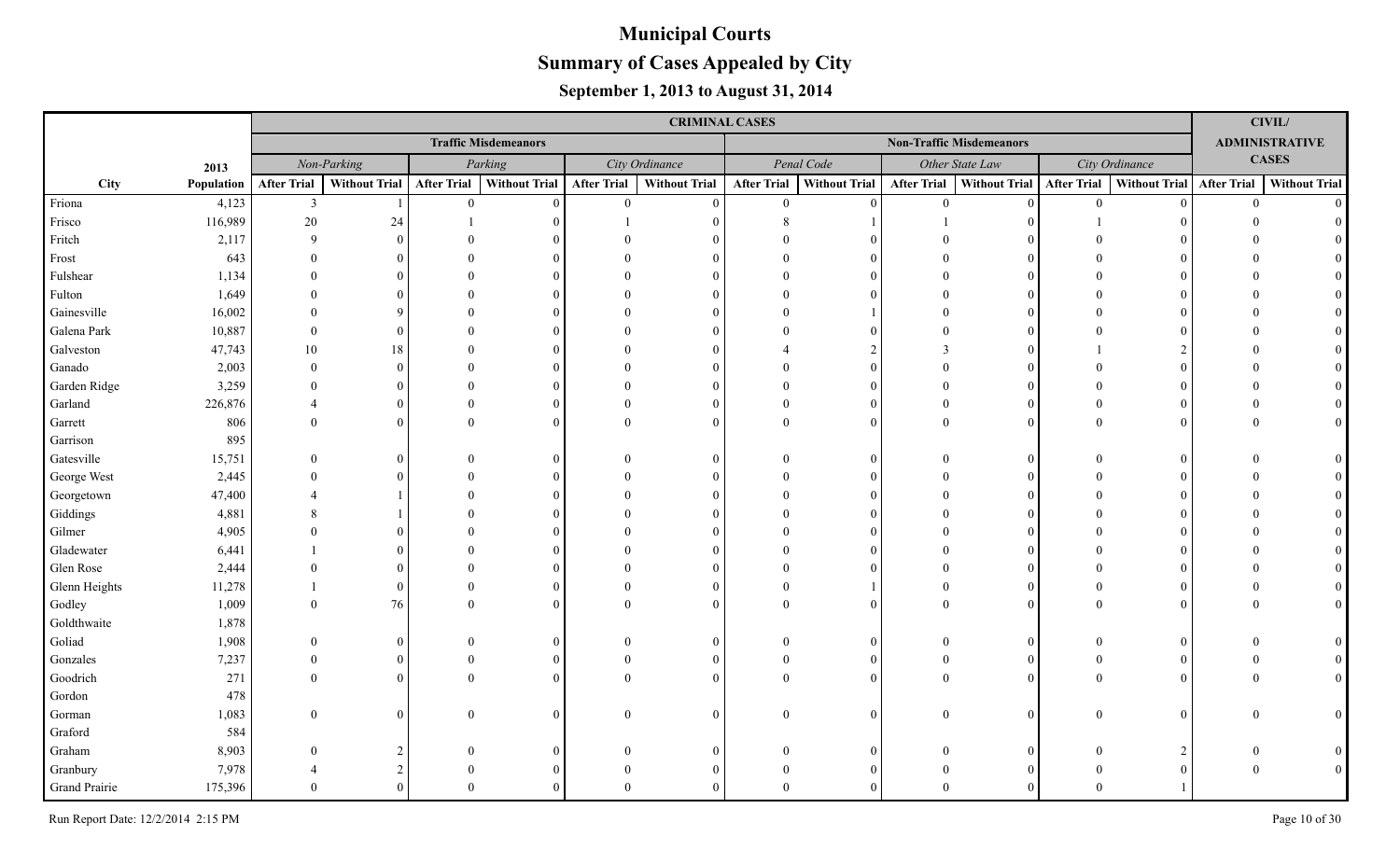|               |            |                    |                      |                    |                             |                    | <b>CRIMINAL CASES</b> |                    |                      |                    |                                 |                    |                           |                | <b>CIVIL/</b>         |
|---------------|------------|--------------------|----------------------|--------------------|-----------------------------|--------------------|-----------------------|--------------------|----------------------|--------------------|---------------------------------|--------------------|---------------------------|----------------|-----------------------|
|               |            |                    |                      |                    | <b>Traffic Misdemeanors</b> |                    |                       |                    |                      |                    | <b>Non-Traffic Misdemeanors</b> |                    |                           |                | <b>ADMINISTRATIVE</b> |
|               | 2013       |                    | Non-Parking          |                    | Parking                     |                    | City Ordinance        |                    | Penal Code           |                    | Other State Law                 |                    | City Ordinance            |                | <b>CASES</b>          |
| City          | Population | <b>After Trial</b> | <b>Without Trial</b> | <b>After Trial</b> | <b>Without Trial</b>        | <b>After Trial</b> | <b>Without Trial</b>  | <b>After Trial</b> | <b>Without Trial</b> | <b>After Trial</b> | <b>Without Trial</b>            | <b>After Trial</b> | Without Trial After Trial |                | <b>Without Trial</b>  |
| Friona        | 4,123      | $\mathbf{3}$       |                      | $\theta$           | $\Omega$                    | $\overline{0}$     | $\Omega$              | $\overline{0}$     | $\Omega$             | $\theta$           | $\Omega$                        | $\theta$           |                           | $\overline{0}$ | $\Omega$              |
| Frisco        | 116,989    | $20\,$             | 24                   |                    |                             |                    |                       |                    |                      |                    |                                 |                    |                           |                |                       |
| Fritch        | 2,117      | 9                  |                      |                    |                             |                    |                       |                    |                      |                    |                                 |                    |                           |                |                       |
| Frost         | 643        |                    |                      |                    |                             |                    |                       |                    | $\Omega$             |                    |                                 |                    |                           |                |                       |
| Fulshear      | 1,134      |                    |                      |                    |                             |                    |                       |                    |                      |                    |                                 |                    |                           |                |                       |
| Fulton        | 1,649      |                    |                      |                    |                             |                    |                       |                    |                      |                    |                                 |                    |                           |                |                       |
| Gainesville   | 16,002     |                    |                      |                    |                             |                    |                       |                    |                      |                    |                                 |                    |                           |                |                       |
| Galena Park   | 10,887     | $\Omega$           |                      |                    |                             |                    |                       |                    | $\Omega$             |                    |                                 |                    |                           |                |                       |
| Galveston     | 47,743     | $10\,$             | 18                   |                    |                             |                    |                       |                    | $\mathfrak{D}$       |                    |                                 |                    |                           |                |                       |
| Ganado        | 2,003      | $\Omega$           | 0                    |                    |                             |                    | $\Omega$              |                    | $\Omega$             |                    | $\Omega$                        |                    |                           |                |                       |
| Garden Ridge  | 3,259      |                    |                      |                    |                             |                    | ∩                     |                    | $\Omega$             |                    |                                 |                    |                           |                |                       |
| Garland       | 226,876    |                    | 0                    |                    |                             |                    | $\Omega$              |                    | $\Omega$             |                    | $\Omega$                        |                    |                           |                |                       |
| Garrett       | 806        | $\Omega$           | $\Omega$             |                    |                             |                    | $\Omega$              |                    | $\Omega$             | $\Omega$           | $\Omega$                        |                    |                           |                |                       |
| Garrison      | 895        |                    |                      |                    |                             |                    |                       |                    |                      |                    |                                 |                    |                           |                |                       |
| Gatesville    | 15,751     |                    |                      |                    |                             |                    | $\Omega$              |                    | $\Omega$             |                    | $\Omega$                        |                    |                           |                |                       |
| George West   | 2,445      |                    |                      |                    |                             |                    |                       |                    | $\Omega$             |                    | $\Omega$                        |                    |                           |                |                       |
| Georgetown    | 47,400     |                    |                      |                    |                             |                    |                       |                    | $\Omega$             |                    |                                 |                    |                           |                |                       |
| Giddings      | 4,881      |                    |                      |                    |                             |                    |                       |                    | $\Omega$             |                    |                                 |                    |                           |                |                       |
| Gilmer        | 4,905      |                    |                      |                    |                             |                    |                       |                    | $\Omega$             |                    |                                 |                    |                           |                |                       |
| Gladewater    | 6,441      |                    |                      |                    |                             |                    |                       |                    | $\Omega$             |                    |                                 |                    |                           |                |                       |
| Glen Rose     | 2,444      |                    |                      |                    |                             |                    |                       |                    |                      |                    |                                 |                    |                           |                |                       |
| Glenn Heights | 11,278     |                    | $\Omega$             |                    |                             |                    | $\Omega$              |                    |                      |                    | $\Omega$                        |                    |                           |                |                       |
| Godley        | 1,009      | $\Omega$           | 76                   |                    |                             |                    | $\Omega$              |                    | $\Omega$             |                    | $\theta$                        |                    |                           |                |                       |
| Goldthwaite   | 1,878      |                    |                      |                    |                             |                    |                       |                    |                      |                    |                                 |                    |                           |                |                       |
| Goliad        | 1,908      |                    |                      |                    |                             |                    | $\Omega$              |                    | $\Omega$             |                    |                                 |                    |                           |                |                       |
| Gonzales      | 7,237      |                    | 0                    |                    |                             |                    |                       |                    | $\Omega$             |                    |                                 |                    |                           |                |                       |
| Goodrich      | 271        |                    | $\Omega$             |                    |                             |                    | $\Omega$              |                    | $\Omega$             |                    | $\Omega$                        |                    |                           |                |                       |
| Gordon        | 478        |                    |                      |                    |                             |                    |                       |                    |                      |                    |                                 |                    |                           |                |                       |
| Gorman        | 1,083      | $\Omega$           | $\theta$             | $\Omega$           |                             | $\Omega$           | $\Omega$              |                    | $\Omega$             | $\Omega$           | $\theta$                        | $\Omega$           |                           |                |                       |
| Graford       | 584        |                    |                      |                    |                             |                    |                       |                    |                      |                    |                                 |                    |                           |                |                       |
| Graham        | 8,903      |                    |                      |                    |                             |                    |                       |                    | $\Omega$             |                    |                                 |                    |                           |                |                       |
| Granbury      | 7,978      |                    | $\overline{2}$       |                    |                             |                    |                       |                    | $\Omega$             |                    |                                 |                    |                           |                | $\Omega$              |
| Grand Prairie | 175,396    |                    |                      |                    |                             |                    |                       |                    |                      |                    |                                 |                    |                           |                |                       |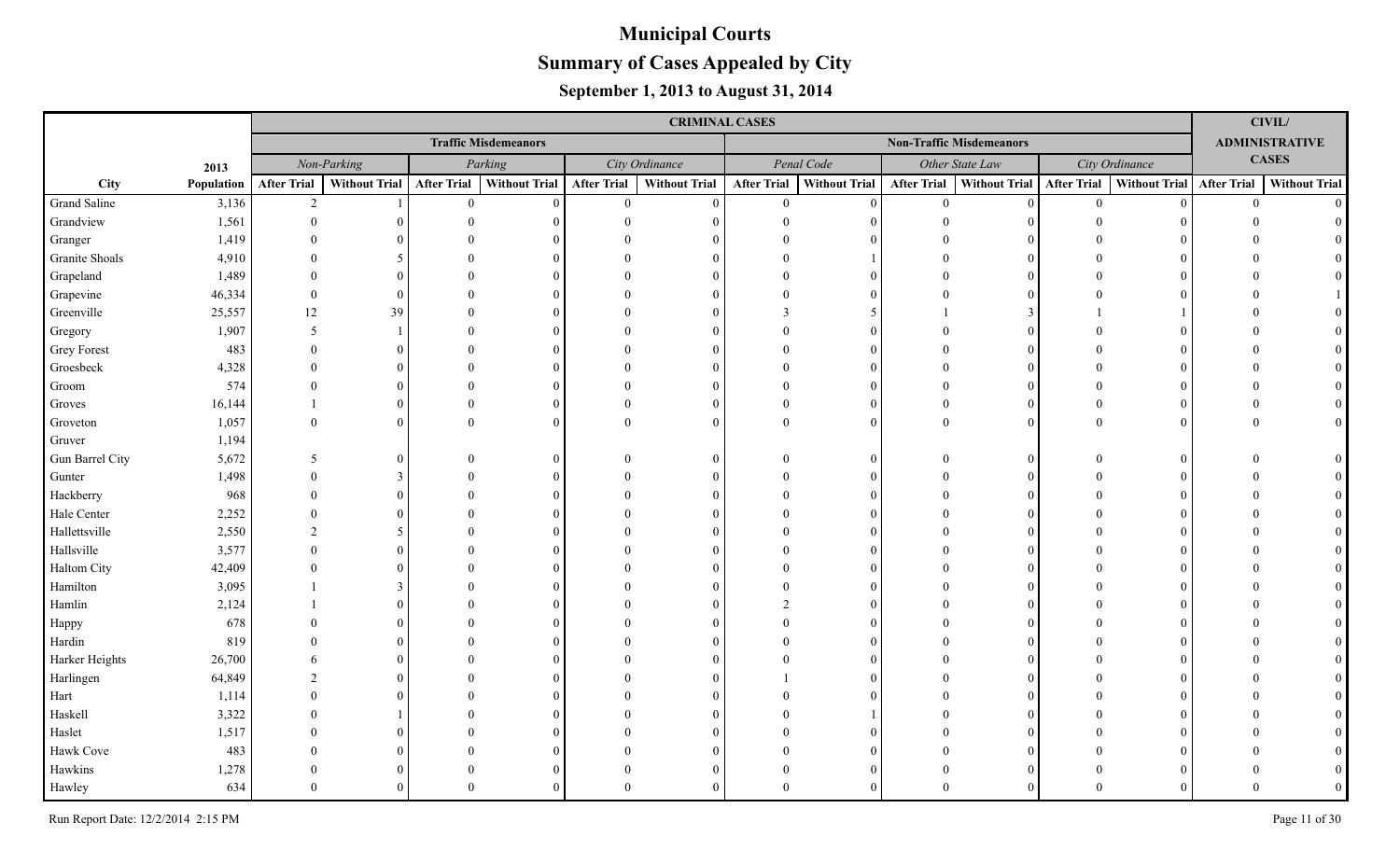|                    |            |                    |                      |                    |                             |                    | <b>CRIMINAL CASES</b> |                    |                      |                    |                                 |                    |                      |                    | CIVIL/                |
|--------------------|------------|--------------------|----------------------|--------------------|-----------------------------|--------------------|-----------------------|--------------------|----------------------|--------------------|---------------------------------|--------------------|----------------------|--------------------|-----------------------|
|                    |            |                    |                      |                    | <b>Traffic Misdemeanors</b> |                    |                       |                    |                      |                    | <b>Non-Traffic Misdemeanors</b> |                    |                      |                    | <b>ADMINISTRATIVE</b> |
|                    | 2013       |                    | Non-Parking          |                    | Parking                     |                    | City Ordinance        |                    | Penal Code           |                    | Other State Law                 |                    | City Ordinance       |                    | <b>CASES</b>          |
| City               | Population | <b>After Trial</b> | <b>Without Trial</b> | <b>After Trial</b> | <b>Without Trial</b>        | <b>After Trial</b> | <b>Without Trial</b>  | <b>After Trial</b> | <b>Without Trial</b> | <b>After Trial</b> | <b>Without Trial</b>            | <b>After Trial</b> | <b>Without Trial</b> | <b>After Trial</b> | <b>Without Trial</b>  |
| Grand Saline       | 3,136      | 2                  |                      | $\theta$           | $\theta$                    | $\overline{0}$     | $\theta$              | $\theta$           | $\Omega$             | $\theta$           | $\Omega$                        | $\overline{0}$     |                      | $\theta$           | $\Omega$              |
| Grandview          | 1,561      | $\Omega$           |                      |                    |                             |                    | $\Omega$              |                    | $\Omega$             |                    |                                 |                    |                      |                    |                       |
| Granger            | 1,419      |                    |                      |                    |                             |                    |                       |                    |                      |                    |                                 |                    |                      |                    |                       |
| Granite Shoals     | 4,910      |                    | 5                    |                    |                             |                    | $\Omega$              |                    |                      |                    |                                 |                    |                      |                    |                       |
| Grapeland          | 1,489      | $\Omega$           | $\Omega$             |                    |                             |                    | $\Omega$              |                    | $\Omega$             |                    |                                 |                    |                      |                    |                       |
| Grapevine          | 46,334     | $\theta$           | $\Omega$             |                    |                             |                    | $\Omega$              |                    | $\Omega$             |                    |                                 |                    |                      |                    |                       |
| Greenville         | 25,557     | 12                 | 39                   |                    |                             |                    | $\Omega$              |                    |                      |                    |                                 |                    |                      |                    |                       |
| Gregory            | 1,907      | 5                  |                      |                    | $\Omega$                    |                    | $\Omega$              |                    | $\Omega$             |                    |                                 |                    |                      |                    |                       |
| <b>Grey Forest</b> | 483        | $\Omega$           | $\Omega$             |                    | $\Omega$                    |                    | $\Omega$              |                    | $\Omega$             |                    |                                 |                    |                      |                    |                       |
| Groesbeck          | 4,328      | $\Omega$           | $\Omega$             |                    |                             |                    | $\Omega$              |                    | $\Omega$             |                    |                                 |                    |                      |                    |                       |
| Groom              | 574        | $\Omega$           | $\Omega$             |                    | $\Omega$                    |                    | $\Omega$              |                    | $\Omega$             |                    | $\Omega$                        |                    |                      |                    |                       |
| Groves             | 16,144     |                    | $\Omega$             |                    | $\Omega$                    |                    | $\Omega$              |                    | $\Omega$             | $\Omega$           | $\Omega$                        |                    |                      |                    |                       |
| Groveton           | 1,057      | $\theta$           | $\Omega$             | $\Omega$           | $\Omega$                    | $\Omega$           | $\theta$              | $\Omega$           | $\Omega$             | $\Omega$           | $\Omega$                        |                    |                      |                    |                       |
| Gruver             | 1,194      |                    |                      |                    |                             |                    |                       |                    |                      |                    |                                 |                    |                      |                    |                       |
| Gun Barrel City    | 5,672      | 5                  | $\Omega$             |                    | $\Omega$                    |                    | $\Omega$              |                    | $\Omega$             |                    | $\Omega$                        |                    |                      |                    |                       |
| Gunter             | 1,498      |                    | 3                    |                    | $\Omega$                    |                    | $\Omega$              |                    | $\Omega$             |                    |                                 |                    |                      |                    |                       |
| Hackberry          | 968        |                    | $\Omega$             |                    |                             |                    | $\Omega$              |                    | $\Omega$             |                    |                                 |                    |                      |                    |                       |
| Hale Center        | 2,252      |                    | $\Omega$             |                    |                             |                    | $\Omega$              |                    |                      |                    |                                 |                    |                      |                    |                       |
| Hallettsville      | 2,550      | $\mathcal{D}$      | 5                    |                    |                             |                    | $\Omega$              |                    |                      |                    |                                 |                    |                      |                    |                       |
| Hallsville         | 3,577      | $\Omega$           | $\Omega$             |                    |                             |                    | $\Omega$              |                    |                      |                    |                                 |                    |                      |                    |                       |
| Haltom City        | 42,409     |                    | $\Omega$             |                    |                             |                    | $\Omega$              |                    |                      |                    |                                 |                    |                      |                    |                       |
| Hamilton           | 3,095      |                    | 3                    |                    |                             |                    | $\Omega$              |                    |                      |                    |                                 |                    |                      |                    |                       |
| Hamlin             | 2,124      |                    |                      |                    |                             |                    | $\Omega$              |                    |                      |                    |                                 |                    |                      |                    |                       |
| Happy              | 678        |                    |                      |                    |                             |                    | $\Omega$              |                    |                      |                    |                                 |                    |                      |                    |                       |
| Hardin             | 819        |                    | $\Omega$             |                    |                             |                    | $\Omega$              |                    |                      |                    |                                 |                    |                      |                    |                       |
| Harker Heights     | 26,700     |                    | $\Omega$             |                    |                             |                    | $\Omega$              |                    |                      |                    |                                 |                    |                      |                    |                       |
| Harlingen          | 64,849     |                    | $\Omega$             |                    |                             |                    | $\Omega$              |                    |                      |                    |                                 |                    |                      |                    |                       |
| Hart               | 1,114      |                    |                      |                    |                             |                    | $\Omega$              |                    |                      |                    |                                 |                    |                      |                    |                       |
| Haskell            | 3,322      |                    |                      |                    |                             |                    | $\Omega$              |                    |                      |                    |                                 |                    |                      |                    |                       |
| Haslet             | 1,517      |                    |                      |                    |                             |                    | $\Omega$              |                    |                      |                    |                                 |                    |                      |                    |                       |
| Hawk Cove          | 483        |                    |                      |                    |                             |                    | $\Omega$              |                    |                      |                    |                                 |                    |                      |                    |                       |
| Hawkins            | 1,278      |                    | $\Omega$             |                    | $\Omega$                    |                    | $\Omega$              |                    | $\Omega$             |                    |                                 |                    |                      |                    |                       |
| Hawley             | 634        |                    | $\Omega$             |                    |                             |                    | $\Omega$              |                    | $\Omega$             |                    |                                 |                    |                      |                    |                       |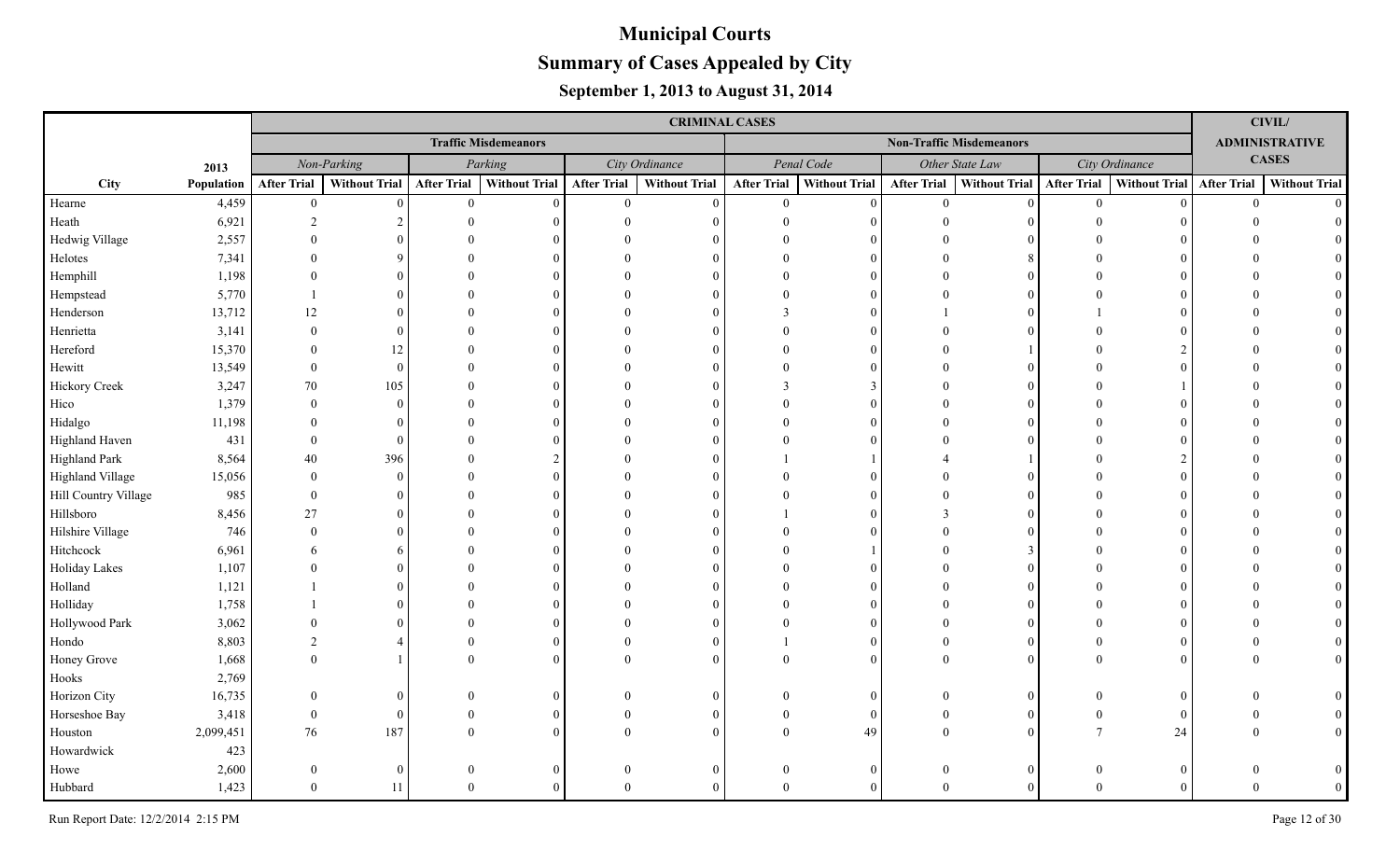|                      |            |                    |                      |                    |                             |                    | <b>CRIMINAL CASES</b> |                    |                      |                    |                                 |                    |                      |                    | CIVIL/                |
|----------------------|------------|--------------------|----------------------|--------------------|-----------------------------|--------------------|-----------------------|--------------------|----------------------|--------------------|---------------------------------|--------------------|----------------------|--------------------|-----------------------|
|                      |            |                    |                      |                    | <b>Traffic Misdemeanors</b> |                    |                       |                    |                      |                    | <b>Non-Traffic Misdemeanors</b> |                    |                      |                    | <b>ADMINISTRATIVE</b> |
|                      | 2013       |                    | Non-Parking          |                    | Parking                     |                    | City Ordinance        |                    | Penal Code           |                    | Other State Law                 |                    | City Ordinance       |                    | <b>CASES</b>          |
| City                 | Population | <b>After Trial</b> | <b>Without Trial</b> | <b>After Trial</b> | <b>Without Trial</b>        | <b>After Trial</b> | <b>Without Trial</b>  | <b>After Trial</b> | <b>Without Trial</b> | <b>After Trial</b> | Without Trial                   | <b>After Trial</b> | <b>Without Trial</b> | <b>After Trial</b> | <b>Without Trial</b>  |
| Hearne               | 4,459      | $\boldsymbol{0}$   | $\Omega$             | $\theta$           | $\Omega$                    | $\overline{0}$     | $\Omega$              | $\theta$           | $\Omega$             | $\theta$           | $\theta$                        | $\theta$           | $\Omega$             | $\overline{0}$     | $\Omega$              |
| Heath                | 6,921      | $\overline{2}$     |                      |                    |                             |                    |                       |                    |                      | $\Omega$           |                                 |                    |                      |                    |                       |
| Hedwig Village       | 2,557      | $\Omega$           |                      |                    |                             |                    |                       |                    |                      |                    |                                 |                    |                      |                    |                       |
| Helotes              | 7,341      | $\Omega$           |                      |                    |                             |                    |                       |                    |                      |                    |                                 |                    |                      |                    |                       |
| Hemphill             | 1,198      | $\Omega$           |                      |                    |                             |                    |                       |                    |                      |                    |                                 |                    |                      |                    |                       |
| Hempstead            | 5,770      |                    |                      |                    |                             |                    |                       |                    |                      |                    |                                 |                    |                      |                    |                       |
| Henderson            | 13,712     | 12                 |                      |                    |                             |                    |                       |                    |                      |                    |                                 |                    |                      |                    |                       |
| Henrietta            | 3,141      | $\Omega$           | 0                    |                    |                             |                    |                       |                    |                      |                    |                                 |                    |                      |                    |                       |
| Hereford             | 15,370     | $\Omega$           | 12                   |                    |                             |                    |                       |                    |                      |                    |                                 |                    |                      |                    |                       |
| Hewitt               | 13,549     | $\Omega$           | $\Omega$             |                    |                             |                    |                       |                    |                      |                    | 0                               |                    |                      |                    |                       |
| <b>Hickory Creek</b> | 3,247      | 70                 | 105                  |                    |                             |                    |                       |                    | 3                    |                    | $\Omega$                        |                    |                      |                    |                       |
| Hico                 | 1,379      | $\Omega$           | $\Omega$             |                    |                             |                    |                       |                    | $\Omega$             |                    | 0                               |                    |                      |                    |                       |
| Hidalgo              | 11,198     | $\Omega$           | $\Omega$             |                    |                             |                    |                       |                    | $\Omega$             |                    | $\Omega$                        |                    |                      |                    |                       |
| Highland Haven       | 431        | $\Omega$           | $\Omega$             |                    |                             |                    |                       |                    |                      |                    |                                 |                    |                      |                    |                       |
| <b>Highland Park</b> | 8,564      | 40                 | 396                  |                    |                             |                    |                       |                    |                      |                    |                                 |                    |                      |                    |                       |
| Highland Village     | 15,056     | $\Omega$           | $\Omega$             |                    |                             |                    |                       |                    |                      |                    | $\Omega$                        |                    |                      |                    |                       |
| Hill Country Village | 985        | $\theta$           | 0                    |                    |                             |                    |                       |                    |                      |                    | $\Omega$                        |                    |                      |                    |                       |
| Hillsboro            | 8,456      | 27                 | $\Omega$             |                    |                             |                    |                       |                    |                      |                    | $\Omega$                        |                    |                      |                    |                       |
| Hilshire Village     | 746        | $\Omega$           | 0                    |                    |                             |                    |                       |                    |                      |                    |                                 |                    |                      |                    |                       |
| Hitchcock            | 6,961      |                    | 6                    |                    |                             |                    |                       |                    |                      |                    |                                 |                    |                      |                    |                       |
| Holiday Lakes        | 1,107      | $\Omega$           |                      |                    |                             |                    |                       |                    |                      |                    | $\Omega$                        |                    |                      |                    |                       |
| Holland              | 1,121      |                    |                      |                    |                             |                    |                       |                    |                      |                    |                                 |                    |                      |                    |                       |
| Holliday             | 1,758      |                    |                      |                    |                             |                    |                       |                    |                      |                    |                                 |                    |                      |                    |                       |
| Hollywood Park       | 3,062      |                    |                      |                    |                             |                    |                       |                    |                      |                    |                                 |                    |                      |                    |                       |
| Hondo                | 8,803      |                    |                      |                    |                             |                    |                       |                    |                      |                    | $\Omega$                        |                    |                      |                    |                       |
| Honey Grove          | 1,668      | $\Omega$           |                      |                    |                             |                    | $\Omega$              |                    |                      |                    | $\Omega$                        |                    |                      |                    |                       |
| Hooks                | 2,769      |                    |                      |                    |                             |                    |                       |                    |                      |                    |                                 |                    |                      |                    |                       |
| Horizon City         | 16,735     | $\Omega$           | 0                    |                    |                             |                    |                       |                    |                      |                    | $\Omega$                        |                    |                      |                    |                       |
| Horseshoe Bay        | 3,418      | $\theta$           | $\Omega$             |                    |                             |                    |                       |                    | 0                    | $\Omega$           | $\Omega$                        |                    |                      |                    |                       |
| Houston              | 2,099,451  | 76                 | 187                  |                    |                             |                    |                       |                    | 49                   |                    | $\Omega$                        |                    | 24                   |                    | $\Omega$              |
| Howardwick           | 423        |                    |                      |                    |                             |                    |                       |                    |                      |                    |                                 |                    |                      |                    |                       |
| Howe                 | 2,600      | $\theta$           | $\overline{0}$       |                    |                             | 0                  | $\theta$              |                    | 0                    | $\Omega$           | $\overline{0}$                  |                    |                      |                    |                       |
| Hubbard              | 1,423      | $\Omega$           | 11                   |                    |                             |                    |                       |                    |                      | $\Omega$           |                                 |                    |                      |                    |                       |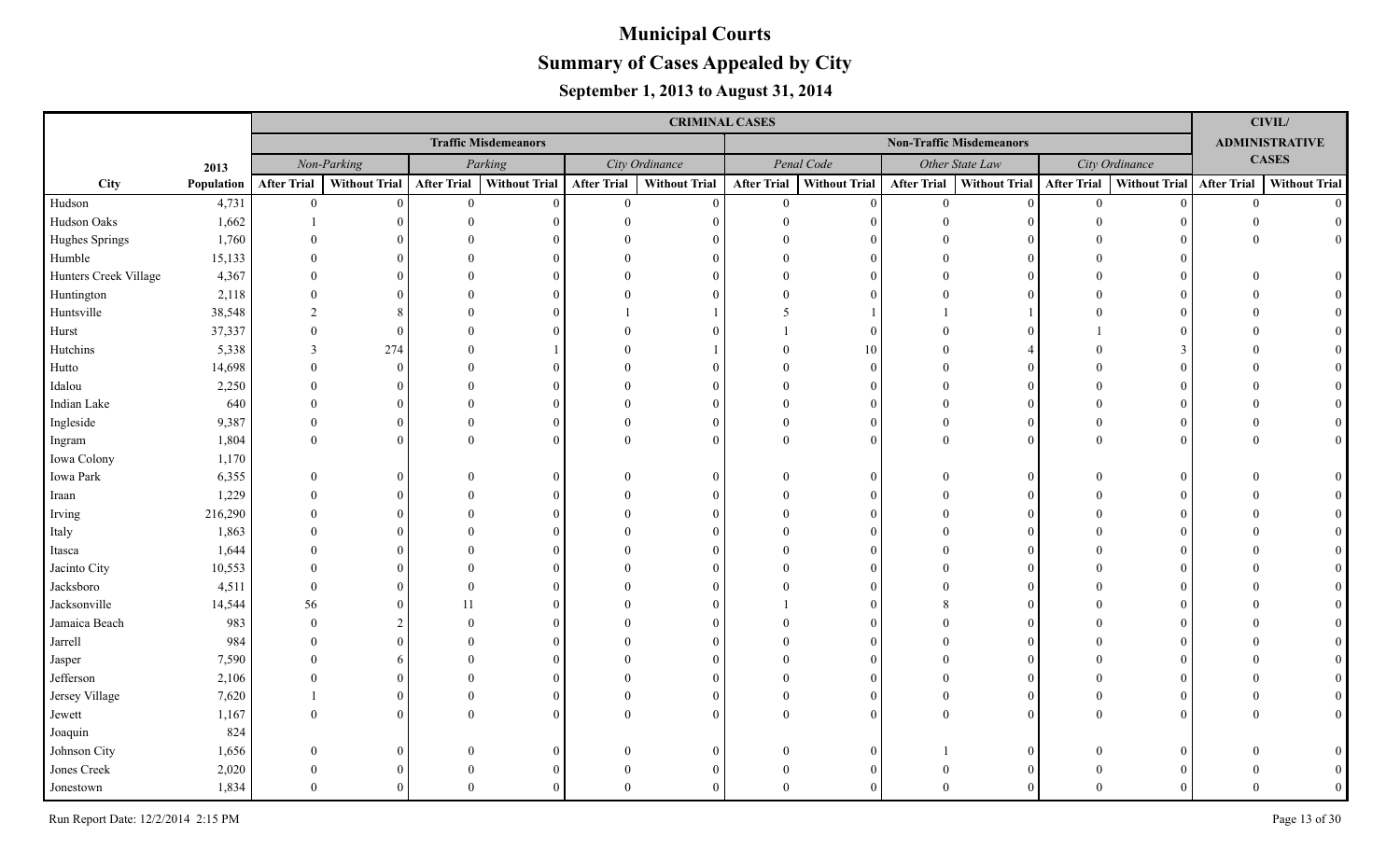|                       |            |                    |               |                    |                             |                    | <b>CRIMINAL CASES</b> |                    |                      |                    |                                 |                    |                             |                | CIVIL/                |
|-----------------------|------------|--------------------|---------------|--------------------|-----------------------------|--------------------|-----------------------|--------------------|----------------------|--------------------|---------------------------------|--------------------|-----------------------------|----------------|-----------------------|
|                       |            |                    |               |                    | <b>Traffic Misdemeanors</b> |                    |                       |                    |                      |                    | <b>Non-Traffic Misdemeanors</b> |                    |                             |                | <b>ADMINISTRATIVE</b> |
|                       | 2013       |                    | Non-Parking   |                    | Parking                     |                    | City Ordinance        |                    | Penal Code           |                    | Other State Law                 |                    | City Ordinance              |                | <b>CASES</b>          |
| City                  | Population | <b>After Trial</b> | Without Trial | <b>After Trial</b> | <b>Without Trial</b>        | <b>After Trial</b> | <b>Without Trial</b>  | <b>After Trial</b> | <b>Without Trial</b> | <b>After Trial</b> | Without Trial                   | <b>After Trial</b> | Without Trial   After Trial |                | <b>Without Trial</b>  |
| Hudson                | 4,731      | $\overline{0}$     | $\Omega$      | $\theta$           | $\Omega$                    | $\overline{0}$     | $\Omega$              | $\theta$           | $\Omega$             | $\theta$           | $\theta$                        | $\theta$           | $\Omega$                    | $\overline{0}$ | $\Omega$              |
| Hudson Oaks           | 1,662      |                    |               |                    |                             |                    |                       |                    |                      |                    |                                 |                    |                             |                |                       |
| Hughes Springs        | 1,760      | $\Omega$           |               |                    |                             |                    |                       |                    |                      |                    |                                 |                    |                             |                |                       |
| Humble                | 15,133     |                    |               |                    |                             |                    |                       |                    |                      |                    |                                 |                    |                             |                |                       |
| Hunters Creek Village | 4,367      |                    |               |                    |                             |                    |                       |                    |                      |                    |                                 |                    |                             |                |                       |
| Huntington            | 2,118      |                    |               |                    |                             |                    |                       |                    |                      |                    |                                 |                    |                             |                |                       |
| Huntsville            | 38,548     | $\mathfrak{D}$     |               |                    |                             |                    |                       |                    |                      |                    |                                 |                    |                             |                |                       |
| Hurst                 | 37,337     | $\Omega$           | $\Omega$      |                    |                             |                    |                       |                    |                      |                    |                                 |                    |                             |                |                       |
| Hutchins              | 5,338      | 3                  | 274           |                    |                             |                    |                       |                    | 10                   |                    |                                 |                    |                             |                |                       |
| Hutto                 | 14,698     | $\Omega$           | $\theta$      |                    |                             |                    |                       |                    | $\Omega$             |                    |                                 |                    |                             |                |                       |
| Idalou                | 2,250      | $\Omega$           | 0             |                    |                             |                    |                       |                    |                      |                    | 0                               |                    |                             |                |                       |
| Indian Lake           | 640        |                    | 0             |                    |                             |                    |                       |                    |                      |                    | $\Omega$                        |                    |                             |                |                       |
| Ingleside             | 9,387      | $\Omega$           | $\Omega$      |                    |                             |                    |                       |                    | $\Omega$             | $\Omega$           | $\Omega$                        |                    |                             |                |                       |
| Ingram                | 1,804      | $\Omega$           | 0             |                    |                             |                    |                       |                    |                      | $\Omega$           | $\Omega$                        |                    |                             |                |                       |
| Iowa Colony           | 1,170      |                    |               |                    |                             |                    |                       |                    |                      |                    |                                 |                    |                             |                |                       |
| Iowa Park             | 6,355      | $\Omega$           | 0             |                    |                             |                    | $\theta$              |                    | 0                    |                    | $\theta$                        |                    |                             |                |                       |
| Iraan                 | 1,229      |                    |               |                    |                             |                    |                       |                    | $\Omega$             |                    | $\Omega$                        |                    |                             |                |                       |
| Irving                | 216,290    |                    |               |                    |                             |                    |                       |                    | $\Omega$             |                    | 0                               |                    |                             |                |                       |
| Italy                 | 1,863      |                    |               |                    |                             |                    |                       |                    |                      |                    |                                 |                    |                             |                |                       |
| Itasca                | 1,644      | $\Omega$           |               |                    |                             |                    |                       |                    |                      |                    |                                 |                    |                             |                |                       |
| Jacinto City          | 10,553     | $\Omega$           |               |                    |                             |                    |                       |                    |                      |                    |                                 |                    |                             |                |                       |
| Jacksboro             | 4,511      | $\Omega$           |               |                    |                             |                    |                       |                    |                      |                    |                                 |                    |                             |                |                       |
| Jacksonville          | 14,544     | 56                 |               | 11                 |                             |                    |                       |                    |                      |                    |                                 |                    |                             |                |                       |
| Jamaica Beach         | 983        | $\Omega$           |               |                    |                             |                    |                       |                    |                      |                    |                                 |                    |                             |                |                       |
| Jarrell               | 984        |                    |               |                    |                             |                    |                       |                    |                      |                    |                                 |                    |                             |                |                       |
| Jasper                | 7,590      | $\Omega$           |               |                    |                             |                    |                       |                    |                      |                    |                                 |                    |                             |                |                       |
| Jefferson             | 2,106      |                    |               |                    |                             |                    |                       |                    |                      |                    |                                 |                    |                             |                |                       |
| Jersey Village        | 7,620      |                    |               |                    |                             |                    |                       |                    |                      |                    | 0                               |                    |                             |                |                       |
| Jewett                | 1,167      |                    |               |                    |                             |                    |                       |                    |                      |                    | $\Omega$                        |                    |                             |                |                       |
| Joaquin               | 824        |                    |               |                    |                             |                    |                       |                    |                      |                    |                                 |                    |                             |                |                       |
| Johnson City          | 1,656      | $\Omega$           |               |                    |                             |                    |                       |                    |                      |                    | 0                               |                    |                             |                |                       |
| Jones Creek           | 2,020      |                    |               |                    |                             |                    |                       |                    |                      |                    |                                 |                    |                             |                |                       |
| Jonestown             | 1,834      |                    |               |                    |                             |                    |                       |                    |                      |                    |                                 |                    |                             |                |                       |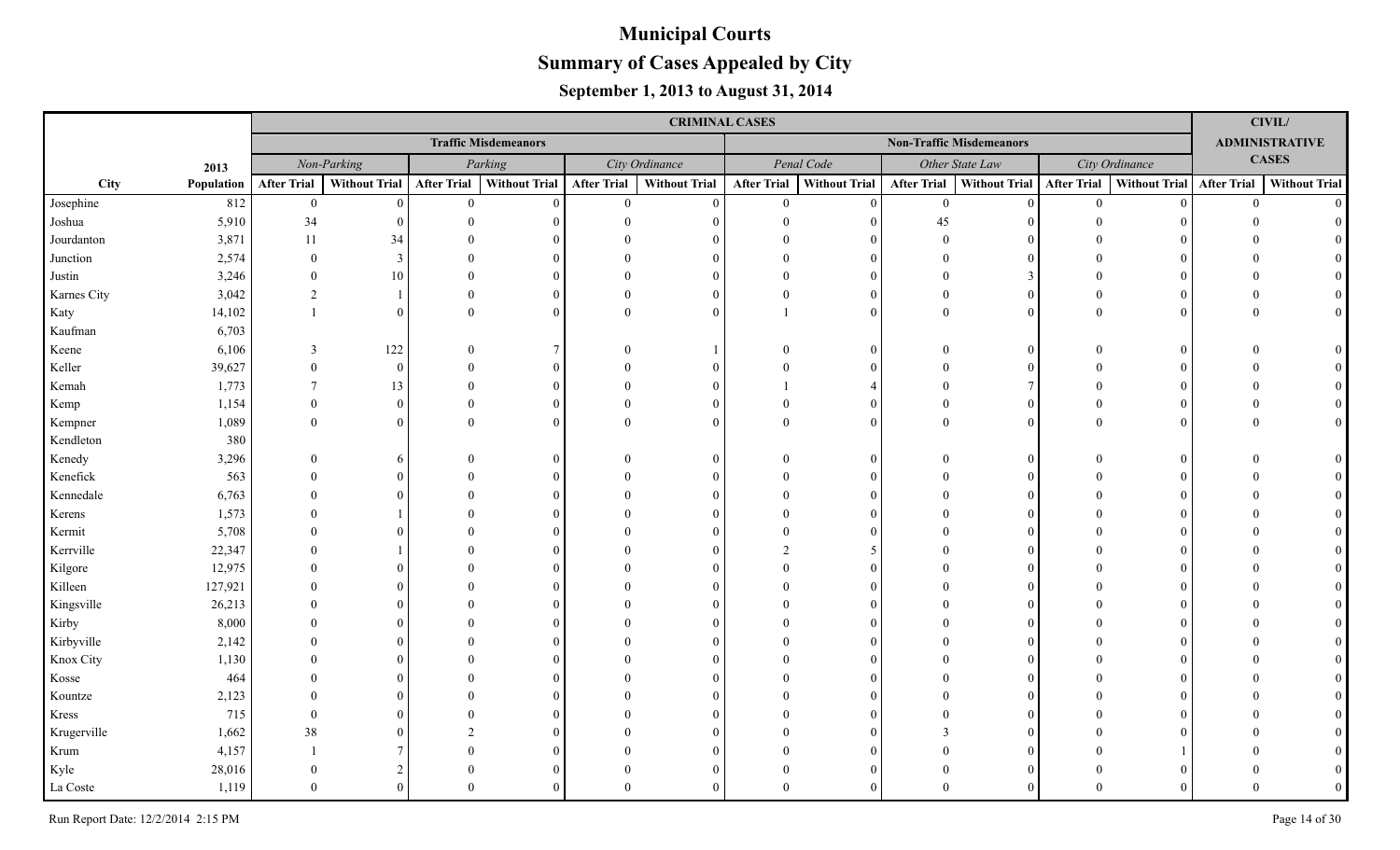|             |            |                    |                      |                    |                             |                    | <b>CRIMINAL CASES</b> |                    |                      |                    |                                 |                    |                      |                    | CIVIL/                |
|-------------|------------|--------------------|----------------------|--------------------|-----------------------------|--------------------|-----------------------|--------------------|----------------------|--------------------|---------------------------------|--------------------|----------------------|--------------------|-----------------------|
|             |            |                    |                      |                    | <b>Traffic Misdemeanors</b> |                    |                       |                    |                      |                    | <b>Non-Traffic Misdemeanors</b> |                    |                      |                    | <b>ADMINISTRATIVE</b> |
|             | 2013       |                    | Non-Parking          |                    | Parking                     |                    | City Ordinance        |                    | Penal Code           |                    | Other State Law                 |                    | City Ordinance       |                    | <b>CASES</b>          |
| City        | Population | <b>After Trial</b> | <b>Without Trial</b> | <b>After Trial</b> | <b>Without Trial</b>        | <b>After Trial</b> | <b>Without Trial</b>  | <b>After Trial</b> | <b>Without Trial</b> | <b>After Trial</b> | <b>Without Trial</b>            | <b>After Trial</b> | <b>Without Trial</b> | <b>After Trial</b> | <b>Without Trial</b>  |
| Josephine   | 812        | $\boldsymbol{0}$   | $\theta$             | $\overline{0}$     | $\theta$                    | $\overline{0}$     | $\theta$              | $\theta$           | $\Omega$             | $\overline{0}$     | $\Omega$                        | $\overline{0}$     |                      | $\overline{0}$     | $\Omega$              |
| Joshua      | 5,910      | 34                 |                      | $\Omega$           |                             |                    | $\Omega$              |                    | $\Omega$             | 45                 |                                 |                    |                      |                    |                       |
| Jourdanton  | 3,871      | 11                 | 34                   |                    |                             |                    |                       |                    | $\Omega$             | $\Omega$           |                                 |                    |                      |                    |                       |
| Junction    | 2,574      | $\Omega$           | 3                    |                    |                             |                    | $\Omega$              |                    | $\Omega$             |                    |                                 |                    |                      |                    |                       |
| Justin      | 3,246      | $\Omega$           | 10                   |                    |                             |                    | $\Omega$              |                    | $\Omega$             | $\Omega$           |                                 |                    |                      |                    |                       |
| Karnes City | 3,042      | 2                  |                      |                    | $\Omega$                    |                    | $\Omega$              |                    | $\theta$             | $\Omega$           | $\Omega$                        |                    |                      |                    |                       |
| Katy        | 14,102     |                    | $\theta$             | $\Omega$           | $\Omega$                    | $\Omega$           | $\Omega$              |                    | $\theta$             | $\Omega$           |                                 |                    |                      |                    |                       |
| Kaufman     | 6,703      |                    |                      |                    |                             |                    |                       |                    |                      |                    |                                 |                    |                      |                    |                       |
| Keene       | 6,106      | $\mathbf{3}$       | 122                  |                    |                             |                    |                       |                    | $\Omega$             | $\Omega$           | $\Omega$                        |                    |                      |                    |                       |
| Keller      | 39,627     | $\Omega$           | $\theta$             |                    | $\Omega$                    |                    | $\Omega$              |                    | $\Omega$             |                    |                                 |                    |                      |                    |                       |
| Kemah       | 1,773      | $\overline{7}$     | 13                   |                    |                             |                    | $\Omega$              |                    |                      |                    |                                 |                    |                      |                    |                       |
| Kemp        | 1,154      | $\Omega$           | $\overline{0}$       |                    |                             |                    | $\Omega$              |                    | $\Omega$             | $\Omega$           | $\Omega$                        |                    |                      |                    |                       |
| Kempner     | 1,089      | $\theta$           | $\theta$             | $\Omega$           |                             | $\Omega$           | $\Omega$              | $\Omega$           | $\Omega$             | $\Omega$           | $\Omega$                        |                    |                      |                    |                       |
| Kendleton   | 380        |                    |                      |                    |                             |                    |                       |                    |                      |                    |                                 |                    |                      |                    |                       |
| Kenedy      | 3,296      |                    | 6                    |                    |                             |                    | $\Omega$              |                    | $\Omega$             |                    | $\Omega$                        |                    |                      |                    |                       |
| Kenefick    | 563        |                    | $\Omega$             |                    |                             |                    | $\Omega$              |                    | $\Omega$             |                    |                                 |                    |                      |                    |                       |
| Kennedale   | 6,763      |                    | $\Omega$             |                    |                             |                    | $\Omega$              |                    | $\Omega$             |                    |                                 |                    |                      |                    |                       |
| Kerens      | 1,573      |                    |                      |                    |                             |                    | $\Omega$              |                    | $\Omega$             |                    |                                 |                    |                      |                    |                       |
| Kermit      | 5,708      |                    |                      |                    |                             |                    |                       |                    | $\Omega$             |                    |                                 |                    |                      |                    |                       |
| Kerrville   | 22,347     |                    |                      |                    |                             |                    | $\Omega$              |                    | 5                    |                    |                                 |                    |                      |                    |                       |
| Kilgore     | 12,975     |                    |                      |                    |                             |                    | $\Omega$              |                    | $\Omega$             |                    |                                 |                    |                      |                    |                       |
| Killeen     | 127,921    |                    |                      |                    |                             |                    |                       |                    | $\Omega$             |                    |                                 |                    |                      |                    |                       |
| Kingsville  | 26,213     |                    |                      |                    |                             |                    |                       |                    | $\Omega$             |                    |                                 |                    |                      |                    |                       |
| Kirby       | 8,000      |                    |                      |                    |                             |                    |                       |                    | $\Omega$             |                    |                                 |                    |                      |                    |                       |
| Kirbyville  | 2,142      |                    |                      |                    |                             |                    |                       |                    | $\Omega$             |                    |                                 |                    |                      |                    |                       |
| Knox City   | 1,130      |                    |                      |                    |                             |                    | $\Omega$              |                    | $\Omega$             |                    |                                 |                    |                      |                    |                       |
| Kosse       | 464        |                    |                      |                    |                             |                    |                       |                    | $\Omega$             |                    |                                 |                    |                      |                    |                       |
| Kountze     | 2,123      |                    |                      |                    |                             |                    |                       |                    | $\Omega$             |                    |                                 |                    |                      |                    |                       |
| Kress       | 715        |                    |                      |                    |                             |                    |                       |                    | $\Omega$             |                    |                                 |                    |                      |                    |                       |
| Krugerville | 1,662      | 38                 | $\Omega$             |                    |                             |                    |                       |                    | $\Omega$             |                    |                                 |                    |                      |                    |                       |
| Krum        | 4,157      |                    |                      |                    |                             |                    | $\Omega$              |                    | $\Omega$             |                    |                                 |                    |                      |                    |                       |
| Kyle        | 28,016     |                    |                      |                    |                             |                    | $\Omega$              |                    | $\Omega$             |                    |                                 |                    |                      |                    |                       |
| La Coste    | 1,119      |                    | $\Omega$             | $\Omega$           |                             |                    | $\Omega$              |                    | $\Omega$             |                    |                                 |                    |                      |                    |                       |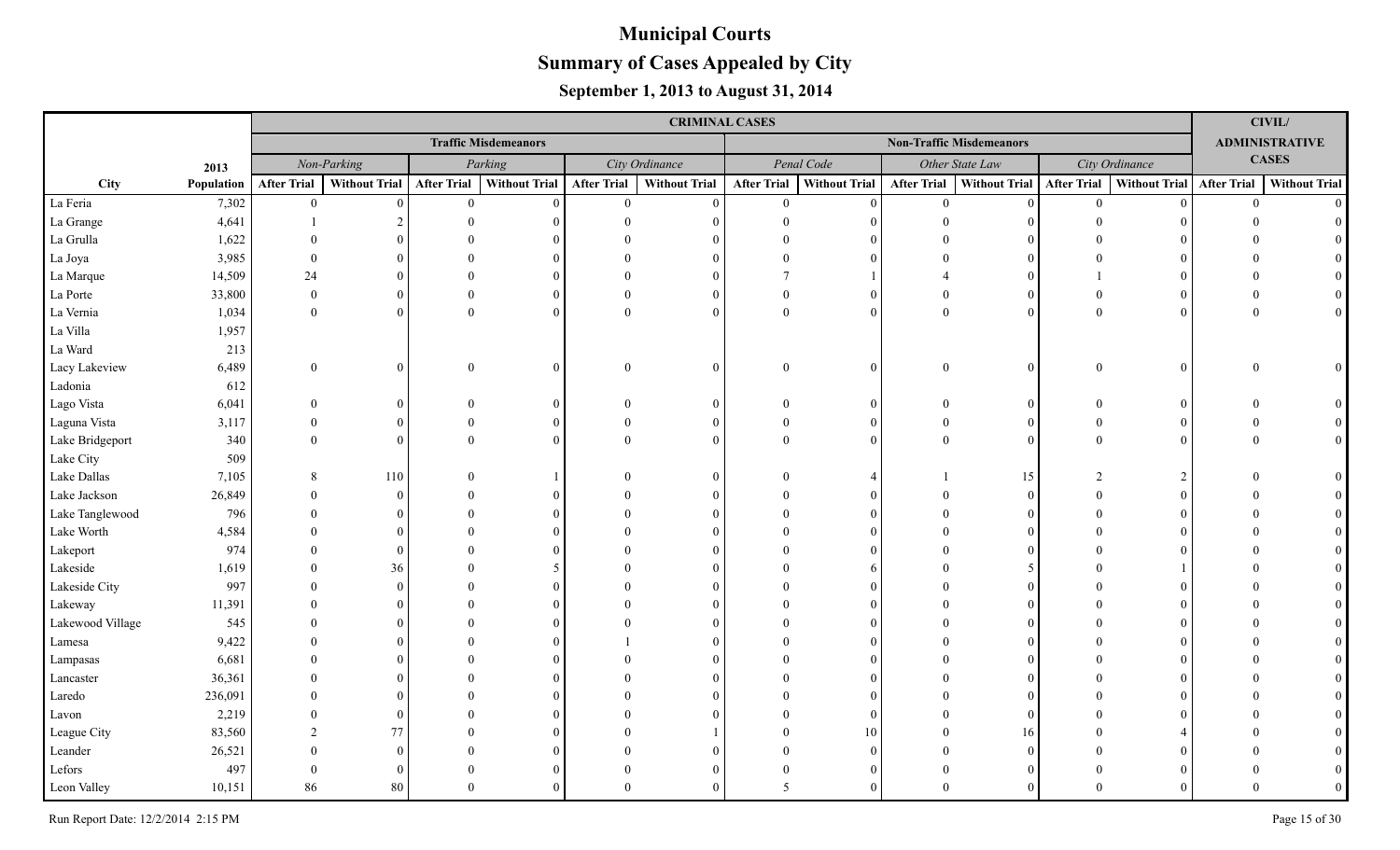|                  |            |                    |                      |                    |                             |                    | <b>CRIMINAL CASES</b> |                    |                      |                    |                                 |                    |                           |                | <b>CIVIL/</b>         |
|------------------|------------|--------------------|----------------------|--------------------|-----------------------------|--------------------|-----------------------|--------------------|----------------------|--------------------|---------------------------------|--------------------|---------------------------|----------------|-----------------------|
|                  |            |                    |                      |                    | <b>Traffic Misdemeanors</b> |                    |                       |                    |                      |                    | <b>Non-Traffic Misdemeanors</b> |                    |                           |                | <b>ADMINISTRATIVE</b> |
|                  | 2013       |                    | Non-Parking          |                    | Parking                     |                    | City Ordinance        |                    | Penal Code           |                    | Other State Law                 |                    | City Ordinance            |                | <b>CASES</b>          |
| City             | Population | <b>After Trial</b> | <b>Without Trial</b> | <b>After Trial</b> | Without Trial               | <b>After Trial</b> | <b>Without Trial</b>  | <b>After Trial</b> | <b>Without Trial</b> | <b>After Trial</b> | Without Trial                   | <b>After Trial</b> | Without Trial After Trial |                | <b>Without Trial</b>  |
| La Feria         | 7,302      | $\mathbf{0}$       | $\Omega$             | $\overline{0}$     | $\Omega$                    | $\overline{0}$     | $\Omega$              | $\overline{0}$     | $\Omega$             | $\overline{0}$     | $\vert 0 \vert$                 | $\mathbf{0}$       | $\Omega$                  | $\overline{0}$ | $\Omega$              |
| La Grange        | 4,641      |                    |                      |                    |                             |                    |                       |                    |                      | $\Omega$           |                                 |                    |                           |                |                       |
| La Grulla        | 1,622      |                    |                      |                    |                             |                    |                       |                    |                      |                    |                                 |                    |                           |                |                       |
| La Joya          | 3,985      | $\Omega$           |                      |                    |                             |                    |                       |                    |                      |                    | $\Omega$                        |                    |                           |                |                       |
| La Marque        | 14,509     | 24                 |                      |                    |                             |                    |                       |                    |                      |                    |                                 |                    |                           |                |                       |
| La Porte         | 33,800     | $\Omega$           | $\Omega$             |                    |                             |                    |                       |                    | $\Omega$             |                    | $\Omega$                        |                    |                           |                |                       |
| La Vernia        | 1,034      | $\overline{0}$     | $\Omega$             | $\Omega$           |                             | $\Omega$           | $\Omega$              | $\Omega$           | $\Omega$             | $\mathbf{0}$       | $\theta$                        | $\theta$           |                           |                |                       |
| La Villa         | 1,957      |                    |                      |                    |                             |                    |                       |                    |                      |                    |                                 |                    |                           |                |                       |
| La Ward          | 213        |                    |                      |                    |                             |                    |                       |                    |                      |                    |                                 |                    |                           |                |                       |
| Lacy Lakeview    | 6,489      | $\theta$           | $\overline{0}$       | $\overline{0}$     | $\Omega$                    | $\theta$           | $\overline{0}$        | $\theta$           | 0                    | $\mathbf{0}$       | 0                               | $\mathbf{0}$       |                           | $\Omega$       | $\theta$              |
| Ladonia          | 612        |                    |                      |                    |                             |                    |                       |                    |                      |                    |                                 |                    |                           |                |                       |
| Lago Vista       | 6,041      | $\Omega$           | 0                    |                    |                             |                    | 0                     |                    | 0                    | $\Omega$           | $\theta$                        | $\Omega$           |                           |                |                       |
| Laguna Vista     | 3,117      | $\Omega$           | $\Omega$             |                    |                             |                    | $\Omega$              |                    | $\Omega$             | $\Omega$           | $\Omega$                        | $\Omega$           |                           |                |                       |
| Lake Bridgeport  | 340        | $\Omega$           | $\Omega$             | $\Omega$           |                             |                    | $\Omega$              |                    |                      | $\Omega$           | $\theta$                        | $\Omega$           |                           |                |                       |
| Lake City        | 509        |                    |                      |                    |                             |                    |                       |                    |                      |                    |                                 |                    |                           |                |                       |
| Lake Dallas      | 7,105      | 8                  | 110                  |                    |                             |                    |                       |                    |                      |                    | 15                              |                    |                           |                |                       |
| Lake Jackson     | 26,849     |                    | $\Omega$             |                    |                             |                    |                       |                    |                      |                    | $\Omega$                        |                    |                           |                |                       |
| Lake Tanglewood  | 796        |                    |                      |                    |                             |                    |                       |                    |                      |                    |                                 |                    |                           |                |                       |
| Lake Worth       | 4,584      |                    |                      |                    |                             |                    |                       |                    |                      |                    |                                 |                    |                           |                |                       |
| Lakeport         | 974        |                    | 0                    |                    |                             |                    |                       |                    |                      |                    |                                 |                    |                           |                |                       |
| Lakeside         | 1,619      |                    | 36                   |                    |                             |                    |                       |                    |                      |                    |                                 |                    |                           |                |                       |
| Lakeside City    | 997        |                    | $\Omega$             |                    |                             |                    |                       |                    |                      |                    |                                 |                    |                           |                |                       |
| Lakeway          | 11,391     |                    |                      |                    |                             |                    |                       |                    |                      |                    |                                 |                    |                           |                |                       |
| Lakewood Village | 545        |                    |                      |                    |                             |                    |                       |                    |                      |                    |                                 |                    |                           |                |                       |
| Lamesa           | 9,422      |                    |                      |                    |                             |                    |                       |                    |                      |                    |                                 |                    |                           |                |                       |
| Lampasas         | 6,681      |                    |                      |                    |                             |                    |                       |                    |                      |                    |                                 |                    |                           |                |                       |
| Lancaster        | 36,361     |                    |                      |                    |                             |                    |                       |                    |                      |                    | $\Omega$                        |                    |                           |                |                       |
| Laredo           | 236,091    |                    |                      |                    |                             |                    |                       |                    |                      |                    | $\Omega$                        |                    |                           |                |                       |
| Lavon            | 2,219      |                    | $\Omega$             |                    |                             |                    |                       |                    |                      |                    | $\theta$                        |                    |                           |                |                       |
| League City      | 83,560     |                    | 77                   |                    |                             |                    |                       |                    | 10                   |                    | 16                              |                    |                           |                |                       |
| Leander          | 26,521     |                    | $\Omega$             |                    |                             |                    |                       |                    |                      |                    | $\Omega$                        |                    |                           |                |                       |
| Lefors           | 497        | $\Omega$           | $\Omega$             |                    |                             |                    |                       |                    |                      |                    | 0                               |                    |                           |                |                       |
| Leon Valley      | 10,151     | 86                 | 80                   | $\Omega$           |                             |                    |                       | 5                  |                      |                    | $\Omega$                        | $\Omega$           |                           |                |                       |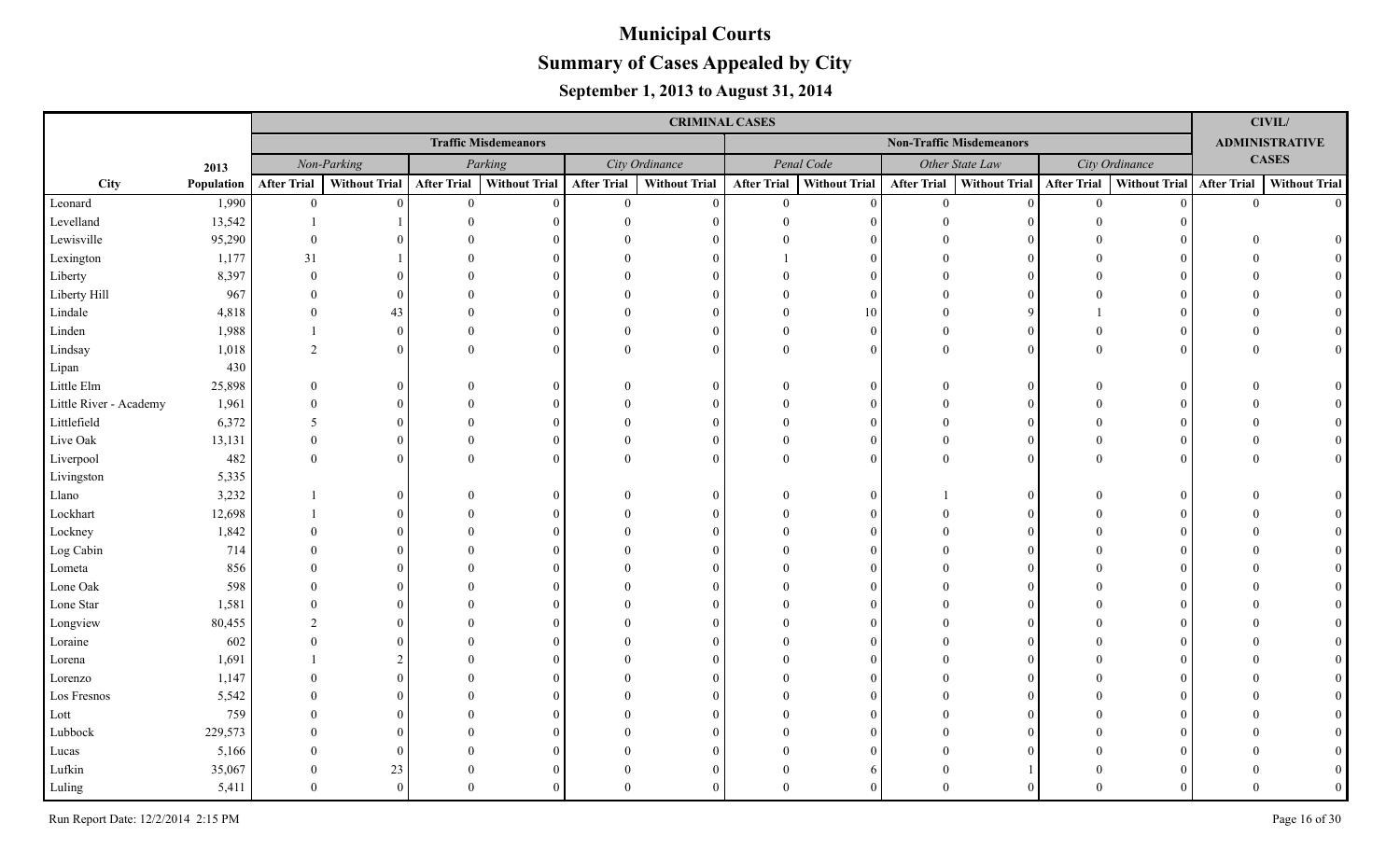|                        |            |                    |                      |                    |                             |                    | <b>CRIMINAL CASES</b> |                    |                      |                    |                                 |                    |                      |                    | <b>CIVIL/</b>         |
|------------------------|------------|--------------------|----------------------|--------------------|-----------------------------|--------------------|-----------------------|--------------------|----------------------|--------------------|---------------------------------|--------------------|----------------------|--------------------|-----------------------|
|                        |            |                    |                      |                    | <b>Traffic Misdemeanors</b> |                    |                       |                    |                      |                    | <b>Non-Traffic Misdemeanors</b> |                    |                      |                    | <b>ADMINISTRATIVE</b> |
|                        | 2013       |                    | Non-Parking          |                    | Parking                     |                    | City Ordinance        |                    | Penal Code           |                    | Other State Law                 |                    | City Ordinance       |                    | <b>CASES</b>          |
| City                   | Population | <b>After Trial</b> | <b>Without Trial</b> | <b>After Trial</b> | <b>Without Trial</b>        | <b>After Trial</b> | <b>Without Trial</b>  | <b>After Trial</b> | <b>Without Trial</b> | <b>After Trial</b> | Without Trial                   | <b>After Trial</b> | <b>Without Trial</b> | <b>After Trial</b> | <b>Without Trial</b>  |
| Leonard                | 1,990      | $\overline{0}$     | $\Omega$             | $\theta$           | $\Omega$                    | $\overline{0}$     | $\Omega$              | $\theta$           | $\theta$             | $\theta$           | $\Omega$                        | $\theta$           |                      | $\theta$           | $\Omega$              |
| Levelland              | 13,542     |                    |                      |                    |                             |                    |                       |                    | $\Omega$             |                    |                                 |                    |                      |                    |                       |
| Lewisville             | 95,290     | $\Omega$           |                      |                    |                             |                    |                       |                    |                      |                    |                                 |                    |                      |                    |                       |
| Lexington              | 1,177      | 31                 |                      |                    |                             |                    |                       |                    | $\Omega$             |                    |                                 |                    |                      |                    |                       |
| Liberty                | 8,397      | $\Omega$           |                      |                    |                             |                    |                       |                    | $\Omega$             |                    |                                 |                    |                      |                    |                       |
| Liberty Hill           | 967        |                    |                      |                    |                             |                    |                       |                    | $\Omega$             |                    |                                 |                    |                      |                    |                       |
| Lindale                | 4,818      | $\Omega$           | 43                   |                    |                             |                    |                       |                    | 10                   |                    |                                 |                    |                      |                    |                       |
| Linden                 | 1,988      |                    | $\Omega$             |                    |                             |                    |                       |                    | $\Omega$             | $\Omega$           | $\Omega$                        |                    |                      |                    |                       |
| Lindsay                | 1,018      | $\overline{2}$     | $\Omega$             |                    |                             | $\Omega$           | $\Omega$              |                    | $\Omega$             | $\Omega$           | $\Omega$                        |                    |                      |                    |                       |
| Lipan                  | 430        |                    |                      |                    |                             |                    |                       |                    |                      |                    |                                 |                    |                      |                    |                       |
| Little Elm             | 25,898     | $\Omega$           |                      |                    |                             |                    | $\Omega$              |                    | $\Omega$             | $\Omega$           | $\theta$                        |                    |                      |                    |                       |
| Little River - Academy | 1,961      |                    | $\theta$             |                    |                             |                    | ∩                     |                    | $\Omega$             |                    | $\Omega$                        |                    |                      |                    |                       |
| Littlefield            | 6,372      | 5                  | 0                    |                    |                             |                    | $\Omega$              |                    | $\Omega$             |                    | $\Omega$                        |                    |                      |                    |                       |
| Live Oak               | 13,131     | $\Omega$           | 0                    |                    |                             |                    | $\Omega$              |                    | $\Omega$             |                    | $\Omega$                        |                    |                      |                    |                       |
| Liverpool              | 482        | $\theta$           | $\Omega$             |                    |                             |                    | $\Omega$              |                    | $\Omega$             | $\Omega$           | $\Omega$                        |                    |                      |                    |                       |
| Livingston             | 5,335      |                    |                      |                    |                             |                    |                       |                    |                      |                    |                                 |                    |                      |                    |                       |
| Llano                  | 3,232      |                    |                      |                    |                             |                    | $\Omega$              |                    | $\Omega$             |                    |                                 |                    |                      |                    |                       |
| Lockhart               | 12,698     |                    |                      |                    |                             |                    |                       |                    | $\Omega$             |                    |                                 |                    |                      |                    |                       |
| Lockney                | 1,842      |                    |                      |                    |                             |                    |                       |                    | $\Omega$             |                    |                                 |                    |                      |                    |                       |
| Log Cabin              | 714        |                    |                      |                    |                             |                    |                       |                    | $\Omega$             |                    |                                 |                    |                      |                    |                       |
| Lometa                 | 856        |                    |                      |                    |                             |                    |                       |                    | $\Omega$             |                    |                                 |                    |                      |                    |                       |
| Lone Oak               | 598        |                    |                      |                    |                             |                    |                       |                    |                      |                    |                                 |                    |                      |                    |                       |
| Lone Star              | 1,581      |                    |                      |                    |                             |                    |                       |                    |                      |                    |                                 |                    |                      |                    |                       |
| Longview               | 80,455     | $\mathcal{D}$      |                      |                    |                             |                    |                       |                    |                      |                    |                                 |                    |                      |                    |                       |
| Loraine                | 602        |                    |                      |                    |                             |                    |                       |                    |                      |                    |                                 |                    |                      |                    |                       |
| Lorena                 | 1,691      |                    |                      |                    |                             |                    |                       |                    |                      |                    |                                 |                    |                      |                    |                       |
| Lorenzo                | 1,147      |                    |                      |                    |                             |                    |                       |                    |                      |                    |                                 |                    |                      |                    |                       |
| Los Fresnos            | 5,542      |                    |                      |                    |                             |                    |                       |                    |                      |                    |                                 |                    |                      |                    |                       |
| Lott                   | 759        |                    |                      |                    |                             |                    |                       |                    |                      |                    |                                 |                    |                      |                    |                       |
| Lubbock                | 229,573    |                    |                      |                    |                             |                    |                       |                    |                      |                    |                                 |                    |                      |                    |                       |
| Lucas                  | 5,166      |                    | $\theta$             |                    |                             |                    |                       |                    |                      |                    |                                 |                    |                      |                    |                       |
| Lufkin                 | 35,067     |                    | 23                   |                    |                             |                    |                       |                    |                      |                    |                                 |                    |                      |                    |                       |
| Luling                 | 5,411      | $\Omega$           | $\Omega$             | $\Omega$           |                             |                    |                       |                    |                      |                    |                                 |                    |                      |                    |                       |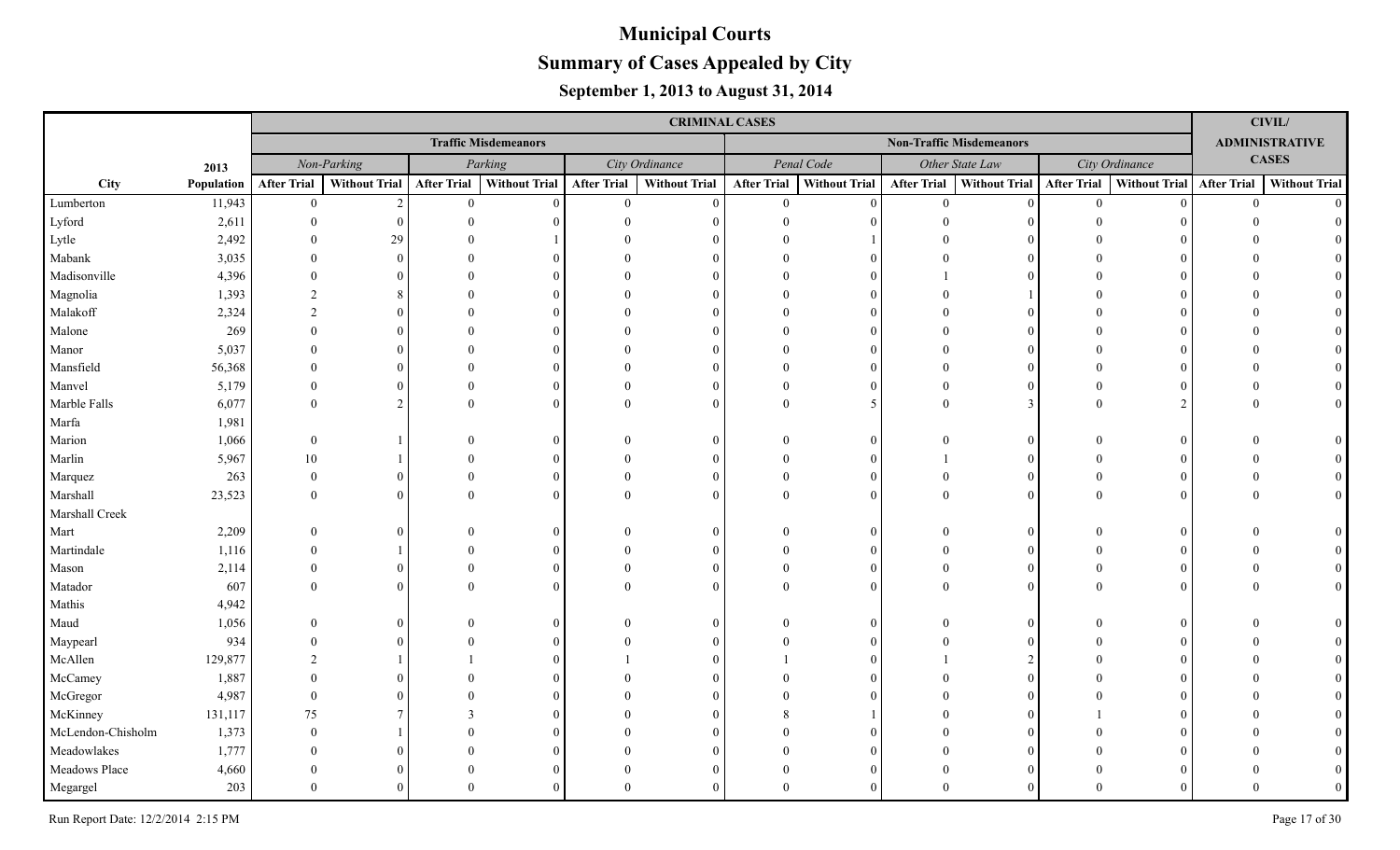|                   |            |                    |                      |                    |                             |                    | <b>CRIMINAL CASES</b> |                    |                      |                    |                                 |                    |                      |                    | CIVIL/                |
|-------------------|------------|--------------------|----------------------|--------------------|-----------------------------|--------------------|-----------------------|--------------------|----------------------|--------------------|---------------------------------|--------------------|----------------------|--------------------|-----------------------|
|                   |            |                    |                      |                    | <b>Traffic Misdemeanors</b> |                    |                       |                    |                      |                    | <b>Non-Traffic Misdemeanors</b> |                    |                      |                    | <b>ADMINISTRATIVE</b> |
|                   | 2013       |                    | Non-Parking          |                    | Parking                     |                    | City Ordinance        |                    | Penal Code           |                    | Other State Law                 |                    | City Ordinance       |                    | <b>CASES</b>          |
| City              | Population | <b>After Trial</b> | <b>Without Trial</b> | <b>After Trial</b> | <b>Without Trial</b>        | <b>After Trial</b> | <b>Without Trial</b>  | <b>After Trial</b> | <b>Without Trial</b> | <b>After Trial</b> | Without Trial                   | <b>After Trial</b> | <b>Without Trial</b> | <b>After Trial</b> | <b>Without Trial</b>  |
| Lumberton         | 11,943     | $\overline{0}$     | 2                    | $\theta$           | $\Omega$                    | $\overline{0}$     | $\Omega$              | $\theta$           | $\Omega$             | $\theta$           | $\Omega$                        | $\theta$           |                      | $\Omega$           | $\Omega$              |
| Lyford            | 2,611      | $\Omega$           |                      |                    |                             |                    |                       |                    |                      |                    |                                 |                    |                      |                    |                       |
| Lytle             | 2,492      |                    | 29                   |                    |                             |                    |                       |                    |                      |                    |                                 |                    |                      |                    |                       |
| Mabank            | 3,035      |                    |                      |                    |                             |                    |                       |                    |                      |                    |                                 |                    |                      |                    |                       |
| Madisonville      | 4,396      |                    |                      |                    |                             |                    |                       |                    | $\Omega$             |                    |                                 |                    |                      |                    |                       |
| Magnolia          | 1,393      | 2                  |                      |                    |                             |                    |                       |                    |                      |                    |                                 |                    |                      |                    |                       |
| Malakoff          | 2,324      | $\mathfrak{D}$     |                      |                    |                             |                    |                       |                    | $\Omega$             |                    |                                 |                    |                      |                    |                       |
| Malone            | 269        |                    |                      |                    |                             |                    |                       |                    | $\Omega$             |                    |                                 |                    |                      |                    |                       |
| Manor             | 5,037      |                    |                      |                    |                             |                    |                       |                    | $\Omega$             |                    |                                 |                    |                      |                    |                       |
| Mansfield         | 56,368     |                    |                      |                    |                             |                    |                       |                    | $\Omega$             |                    |                                 |                    |                      |                    |                       |
| Manvel            | 5,179      | $\Omega$           |                      |                    |                             |                    | $\Omega$              |                    | $\Omega$             |                    | $\Omega$                        |                    |                      |                    |                       |
| Marble Falls      | 6,077      | $\Omega$           | $\mathfrak{D}$       |                    |                             |                    | $\Omega$              |                    | 5                    | $\Omega$           | 3                               |                    |                      |                    |                       |
| Marfa             | 1,981      |                    |                      |                    |                             |                    |                       |                    |                      |                    |                                 |                    |                      |                    |                       |
| Marion            | 1,066      | $\Omega$           |                      |                    |                             |                    | $\Omega$              |                    | $\Omega$             |                    | $\Omega$                        |                    |                      |                    |                       |
| Marlin            | 5,967      | 10                 |                      |                    |                             |                    | $\Omega$              |                    | $\Omega$             |                    | $\Omega$                        |                    |                      |                    |                       |
| Marquez           | 263        | $\Omega$           | 0                    |                    |                             |                    | $\Omega$              |                    | $\Omega$             |                    | $\Omega$                        |                    |                      |                    |                       |
| Marshall          | 23,523     | $\Omega$           |                      |                    |                             |                    | $\Omega$              |                    | $\Omega$             | $\Omega$           | $\Omega$                        |                    |                      |                    |                       |
| Marshall Creek    |            |                    |                      |                    |                             |                    |                       |                    |                      |                    |                                 |                    |                      |                    |                       |
| Mart              | 2,209      |                    |                      |                    |                             |                    | ∩                     |                    | $\Omega$             |                    |                                 |                    |                      |                    |                       |
| Martindale        | 1,116      |                    |                      |                    |                             |                    |                       |                    | $\Omega$             |                    |                                 |                    |                      |                    |                       |
| Mason             | 2,114      |                    |                      |                    |                             |                    | $\Omega$              |                    | $\Omega$             |                    | $\Omega$                        |                    |                      |                    |                       |
| Matador           | 607        |                    |                      |                    |                             |                    | $\Omega$              |                    |                      |                    | $\Omega$                        |                    |                      |                    |                       |
| Mathis            | 4,942      |                    |                      |                    |                             |                    |                       |                    |                      |                    |                                 |                    |                      |                    |                       |
| Maud              | 1,056      |                    |                      |                    |                             |                    | $\Omega$              |                    | $\Omega$             |                    |                                 |                    |                      |                    |                       |
| Maypearl          | 934        |                    |                      |                    |                             |                    |                       |                    |                      |                    |                                 |                    |                      |                    |                       |
| McAllen           | 129,877    |                    |                      |                    |                             |                    |                       |                    |                      |                    |                                 |                    |                      |                    |                       |
| McCamey           | 1,887      |                    |                      |                    |                             |                    |                       |                    |                      |                    |                                 |                    |                      |                    |                       |
| McGregor          | 4,987      |                    |                      |                    |                             |                    |                       |                    |                      |                    |                                 |                    |                      |                    |                       |
| McKinney          | 131,117    | 75                 |                      |                    |                             |                    |                       |                    |                      |                    |                                 |                    |                      |                    |                       |
| McLendon-Chisholm | 1,373      |                    |                      |                    |                             |                    |                       |                    |                      |                    |                                 |                    |                      |                    |                       |
| Meadowlakes       | 1,777      |                    |                      |                    |                             |                    |                       |                    |                      |                    |                                 |                    |                      |                    |                       |
| Meadows Place     | 4,660      |                    |                      |                    |                             |                    |                       |                    | $\Omega$             |                    |                                 |                    |                      |                    |                       |
| Megargel          | 203        | $\Omega$           |                      |                    |                             |                    |                       |                    |                      |                    |                                 |                    |                      |                    |                       |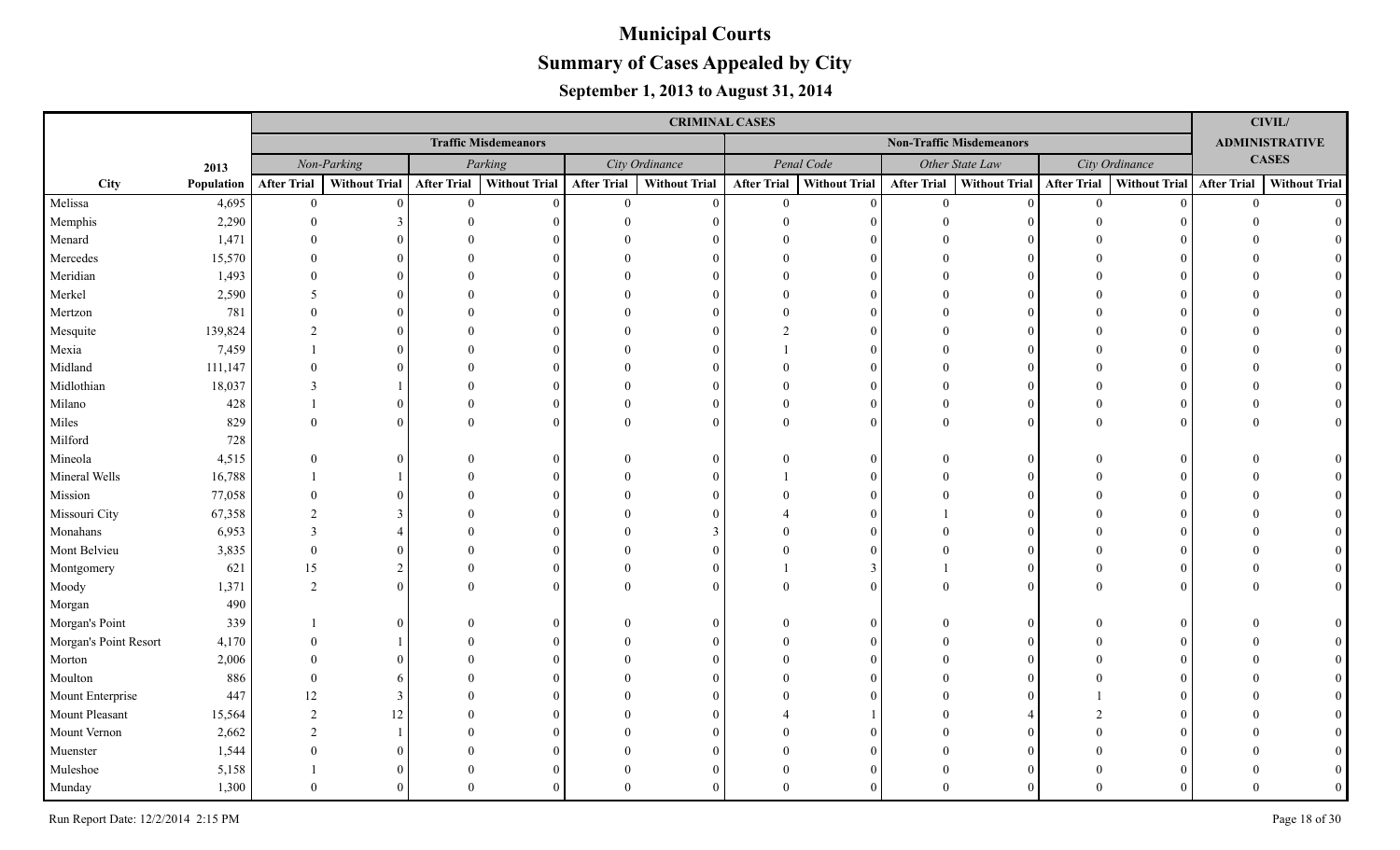|                       |            |                    |                      |                    |                             |                    | <b>CRIMINAL CASES</b> |                    |                      |                    |                                 |                    |                      |                    | CIVIL/                |
|-----------------------|------------|--------------------|----------------------|--------------------|-----------------------------|--------------------|-----------------------|--------------------|----------------------|--------------------|---------------------------------|--------------------|----------------------|--------------------|-----------------------|
|                       |            |                    |                      |                    | <b>Traffic Misdemeanors</b> |                    |                       |                    |                      |                    | <b>Non-Traffic Misdemeanors</b> |                    |                      |                    | <b>ADMINISTRATIVE</b> |
|                       | 2013       |                    | Non-Parking          |                    | Parking                     |                    | City Ordinance        |                    | Penal Code           |                    | Other State Law                 |                    | City Ordinance       |                    | <b>CASES</b>          |
| City                  | Population | <b>After Trial</b> | <b>Without Trial</b> | <b>After Trial</b> | <b>Without Trial</b>        | <b>After Trial</b> | <b>Without Trial</b>  | <b>After Trial</b> | <b>Without Trial</b> | <b>After Trial</b> | <b>Without Trial</b>            | <b>After Trial</b> | <b>Without Trial</b> | <b>After Trial</b> | <b>Without Trial</b>  |
| Melissa               | 4,695      | $\overline{0}$     | $\Omega$             | $\theta$           | $\Omega$                    | $\overline{0}$     | $\Omega$              | $\theta$           | $\Omega$             | $\theta$           | $\Omega$                        | $\mathbf{0}$       |                      | $\theta$           | $\Omega$              |
| Memphis               | 2,290      | $\Omega$           |                      |                    |                             |                    |                       |                    | $\Omega$             |                    |                                 |                    |                      |                    |                       |
| Menard                | 1,471      |                    |                      |                    |                             |                    |                       |                    |                      |                    |                                 |                    |                      |                    |                       |
| Mercedes              | 15,570     |                    |                      |                    |                             |                    |                       |                    | $\Omega$             |                    |                                 |                    |                      |                    |                       |
| Meridian              | 1,493      |                    |                      |                    |                             |                    |                       |                    | $\Omega$             |                    |                                 |                    |                      |                    |                       |
| Merkel                | 2,590      | 5                  |                      |                    |                             |                    |                       |                    | $\Omega$             |                    |                                 |                    |                      |                    |                       |
| Mertzon               | 781        |                    |                      |                    |                             |                    |                       |                    | $\Omega$             |                    |                                 |                    |                      |                    |                       |
| Mesquite              | 139,824    | $\mathfrak{D}$     |                      |                    |                             |                    |                       |                    | $\Omega$             |                    |                                 |                    |                      |                    |                       |
| Mexia                 | 7,459      |                    |                      |                    |                             |                    |                       |                    | $\Omega$             |                    |                                 |                    |                      |                    |                       |
| Midland               | 111,147    |                    |                      |                    |                             |                    |                       |                    | $\Omega$             |                    |                                 |                    |                      |                    |                       |
| Midlothian            | 18,037     | 3                  |                      |                    |                             |                    | $\Omega$              |                    | $\Omega$             |                    | $\Omega$                        |                    |                      |                    |                       |
| Milano                | 428        |                    | $\theta$             |                    |                             |                    | $\Omega$              |                    | $\Omega$             |                    | $\Omega$                        |                    |                      |                    |                       |
| Miles                 | 829        | $\Omega$           |                      |                    |                             |                    | $\Omega$              |                    | $\Omega$             | $\Omega$           | $\Omega$                        |                    |                      |                    |                       |
| Milford               | 728        |                    |                      |                    |                             |                    |                       |                    |                      |                    |                                 |                    |                      |                    |                       |
| Mineola               | 4,515      | $\Omega$           |                      |                    |                             |                    | $\Omega$              |                    | $\Omega$             |                    | $\Omega$                        |                    |                      |                    |                       |
| Mineral Wells         | 16,788     |                    |                      |                    |                             |                    | $\Omega$              |                    | $\Omega$             |                    | 0                               |                    |                      |                    |                       |
| Mission               | 77,058     |                    |                      |                    |                             |                    |                       |                    | $\Omega$             |                    |                                 |                    |                      |                    |                       |
| Missouri City         | 67,358     | $\mathcal{D}$      | 3                    |                    |                             |                    |                       |                    | $\Omega$             |                    |                                 |                    |                      |                    |                       |
| Monahans              | 6,953      | $\mathcal{E}$      |                      |                    |                             |                    |                       |                    | $\Omega$             |                    |                                 |                    |                      |                    |                       |
| Mont Belvieu          | 3,835      | $\Omega$           |                      |                    |                             |                    |                       |                    | $\Omega$             |                    |                                 |                    |                      |                    |                       |
| Montgomery            | 621        | 15                 | 2                    |                    |                             |                    | $\Omega$              |                    | 3                    |                    | $\Omega$                        |                    |                      |                    |                       |
| Moody                 | 1,371      | $\overline{2}$     | $\theta$             |                    |                             |                    | $\Omega$              |                    | $\Omega$             |                    |                                 |                    |                      |                    |                       |
| Morgan                | 490        |                    |                      |                    |                             |                    |                       |                    |                      |                    |                                 |                    |                      |                    |                       |
| Morgan's Point        | 339        |                    |                      |                    |                             |                    | $\Omega$              |                    | $\Omega$             |                    |                                 |                    |                      |                    |                       |
| Morgan's Point Resort | 4,170      |                    |                      |                    |                             |                    |                       |                    |                      |                    |                                 |                    |                      |                    |                       |
| Morton                | 2,006      |                    |                      |                    |                             |                    |                       |                    |                      |                    |                                 |                    |                      |                    |                       |
| Moulton               | 886        |                    |                      |                    |                             |                    |                       |                    |                      |                    |                                 |                    |                      |                    |                       |
| Mount Enterprise      | 447        | 12                 | 3                    |                    |                             |                    |                       |                    |                      |                    |                                 |                    |                      |                    |                       |
| Mount Pleasant        | 15,564     | $\mathfrak{D}$     | 12                   |                    |                             |                    |                       |                    |                      |                    |                                 |                    |                      |                    |                       |
| Mount Vernon          | 2,662      | $\mathcal{D}$      |                      |                    |                             |                    |                       |                    |                      |                    |                                 |                    |                      |                    |                       |
| Muenster              | 1,544      |                    |                      |                    |                             |                    |                       |                    |                      |                    |                                 |                    |                      |                    |                       |
| Muleshoe              | 5,158      |                    |                      |                    |                             |                    |                       |                    | $\Omega$             |                    |                                 |                    |                      |                    |                       |
| Munday                | 1,300      | $\Omega$           |                      |                    |                             |                    |                       |                    |                      |                    |                                 |                    |                      |                    |                       |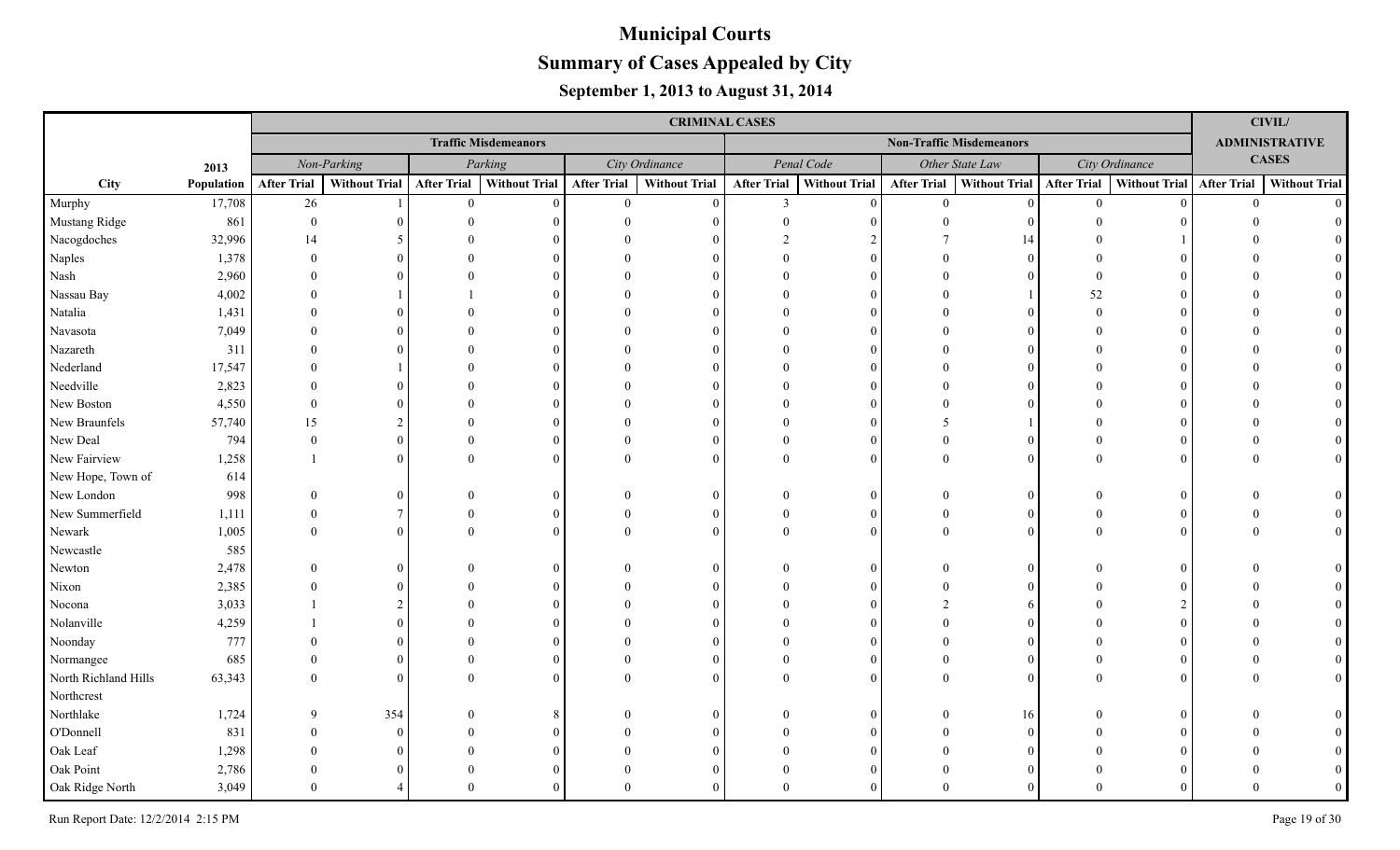|                      |            |                    |                      |                    |                             |                    | <b>CRIMINAL CASES</b> |                    |                      |                    |                                 |                    |                             |                | <b>CIVIL/</b>         |
|----------------------|------------|--------------------|----------------------|--------------------|-----------------------------|--------------------|-----------------------|--------------------|----------------------|--------------------|---------------------------------|--------------------|-----------------------------|----------------|-----------------------|
|                      |            |                    |                      |                    | <b>Traffic Misdemeanors</b> |                    |                       |                    |                      |                    | <b>Non-Traffic Misdemeanors</b> |                    |                             |                | <b>ADMINISTRATIVE</b> |
|                      | 2013       |                    | Non-Parking          |                    | Parking                     |                    | City Ordinance        |                    | Penal Code           |                    | Other State Law                 |                    | City Ordinance              |                | <b>CASES</b>          |
| City                 | Population | <b>After Trial</b> | <b>Without Trial</b> | <b>After Trial</b> | <b>Without Trial</b>        | <b>After Trial</b> | <b>Without Trial</b>  | <b>After Trial</b> | <b>Without Trial</b> | <b>After Trial</b> | Without Trial                   | <b>After Trial</b> | Without Trial   After Trial |                | <b>Without Trial</b>  |
| Murphy               | 17,708     | 26                 |                      | $\overline{0}$     | $\Omega$                    | $\overline{0}$     | $\Omega$              | $\mathfrak{Z}$     | $\Omega$             | $\mathbf{0}$       | $\vert 0 \vert$                 | $\mathbf{0}$       |                             | $\overline{0}$ | $\Omega$              |
| Mustang Ridge        | 861        | $\theta$           |                      |                    |                             |                    |                       |                    |                      | $\Omega$           |                                 |                    |                             |                |                       |
| Nacogdoches          | 32,996     | 14                 |                      |                    |                             |                    |                       |                    |                      |                    | 14                              |                    |                             |                |                       |
| Naples               | 1,378      | $\Omega$           |                      |                    |                             |                    |                       |                    |                      |                    | $\Omega$                        |                    |                             |                |                       |
| Nash                 | 2,960      |                    |                      |                    |                             |                    |                       |                    |                      |                    |                                 |                    |                             |                |                       |
| Nassau Bay           | 4,002      |                    |                      |                    |                             |                    |                       |                    |                      |                    |                                 | 52                 |                             |                |                       |
| Natalia              | 1,431      |                    |                      |                    |                             |                    |                       |                    |                      |                    | $\Omega$                        |                    |                             |                |                       |
| Navasota             | 7,049      |                    |                      |                    |                             |                    |                       |                    |                      |                    |                                 |                    |                             |                |                       |
| Nazareth             | 311        |                    |                      |                    |                             |                    |                       |                    |                      |                    |                                 |                    |                             |                |                       |
| Nederland            | 17,547     |                    |                      |                    |                             |                    |                       |                    |                      |                    |                                 |                    |                             |                |                       |
| Needville            | 2,823      |                    |                      |                    |                             |                    |                       |                    |                      |                    |                                 |                    |                             |                |                       |
| New Boston           | 4,550      | $\Omega$           |                      |                    |                             |                    |                       |                    |                      |                    |                                 |                    |                             |                |                       |
| New Braunfels        | 57,740     | 15                 | $\mathfrak{D}$       |                    |                             |                    |                       |                    |                      |                    |                                 |                    |                             |                |                       |
| New Deal             | 794        | $\theta$           | $\Omega$             |                    |                             |                    |                       |                    |                      |                    | $\Omega$                        |                    |                             |                |                       |
| New Fairview         | 1,258      |                    | $\Omega$             |                    |                             |                    |                       |                    |                      |                    | $\Omega$                        |                    |                             |                |                       |
| New Hope, Town of    | 614        |                    |                      |                    |                             |                    |                       |                    |                      |                    |                                 |                    |                             |                |                       |
| New London           | 998        | $\Omega$           | $\Omega$             |                    |                             |                    |                       |                    | 0                    |                    | $\Omega$                        |                    |                             |                |                       |
| New Summerfield      | 1,111      | $\Omega$           | 7                    |                    |                             |                    |                       |                    |                      |                    | $\Omega$                        |                    |                             |                |                       |
| Newark               | 1,005      | $\Omega$           | $\Omega$             |                    |                             |                    |                       |                    |                      |                    | $\Omega$                        |                    |                             |                |                       |
| Newcastle            | 585        |                    |                      |                    |                             |                    |                       |                    |                      |                    |                                 |                    |                             |                |                       |
| Newton               | 2,478      | $\Omega$           | 0                    |                    |                             |                    |                       |                    |                      |                    | $\Omega$                        |                    |                             |                |                       |
| Nixon                | 2,385      |                    |                      |                    |                             |                    |                       |                    |                      |                    |                                 |                    |                             |                |                       |
| Nocona               | 3,033      |                    |                      |                    |                             |                    |                       |                    |                      |                    |                                 |                    |                             |                |                       |
| Nolanville           | 4,259      |                    |                      |                    |                             |                    |                       |                    |                      |                    |                                 |                    |                             |                |                       |
| Noonday              | 777        |                    |                      |                    |                             |                    |                       |                    |                      |                    |                                 |                    |                             |                |                       |
| Normangee            | 685        |                    | 0                    |                    |                             |                    |                       |                    |                      |                    | $\Omega$                        |                    |                             |                |                       |
| North Richland Hills | 63,343     | $\Omega$           | 0                    |                    |                             |                    | $\Omega$              |                    |                      |                    | $\Omega$                        |                    |                             |                |                       |
| Northcrest           |            |                    |                      |                    |                             |                    |                       |                    |                      |                    |                                 |                    |                             |                |                       |
| Northlake            | 1,724      | $\mathbf Q$        | 354                  |                    |                             |                    |                       |                    |                      |                    | 16                              |                    |                             |                |                       |
| O'Donnell            | 831        |                    | $\Omega$             |                    |                             |                    |                       |                    |                      |                    | $\Omega$                        |                    |                             |                |                       |
| Oak Leaf             | 1,298      |                    |                      |                    |                             |                    |                       |                    |                      |                    |                                 |                    |                             |                |                       |
| Oak Point            | 2,786      |                    |                      |                    |                             |                    |                       |                    |                      |                    |                                 |                    |                             |                |                       |
| Oak Ridge North      | 3,049      | $\Omega$           |                      | $\Omega$           |                             |                    |                       |                    |                      |                    | $\Omega$                        | $\Omega$           |                             |                | $\Omega$              |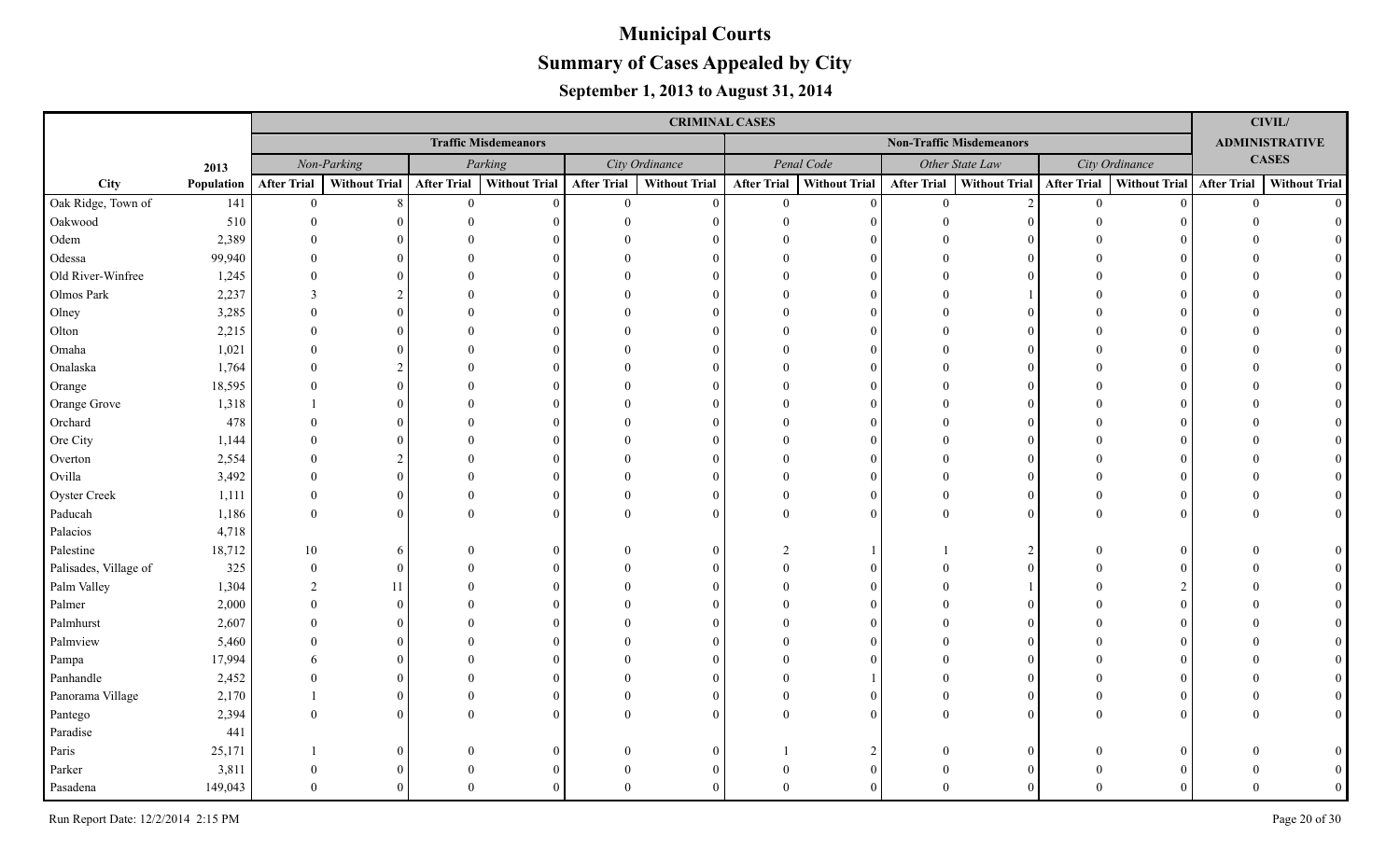|                       |            |                    |                      |                    |                             |                    | <b>CRIMINAL CASES</b> |                    |                      |                    |                                 |                    |                             |                | <b>CIVIL/</b>         |
|-----------------------|------------|--------------------|----------------------|--------------------|-----------------------------|--------------------|-----------------------|--------------------|----------------------|--------------------|---------------------------------|--------------------|-----------------------------|----------------|-----------------------|
|                       |            |                    |                      |                    | <b>Traffic Misdemeanors</b> |                    |                       |                    |                      |                    | <b>Non-Traffic Misdemeanors</b> |                    |                             |                | <b>ADMINISTRATIVE</b> |
|                       | 2013       |                    | Non-Parking          |                    | Parking                     |                    | City Ordinance        |                    | Penal Code           |                    | Other State Law                 |                    | City Ordinance              |                | <b>CASES</b>          |
| City                  | Population | <b>After Trial</b> | <b>Without Trial</b> | <b>After Trial</b> | <b>Without Trial</b>        | <b>After Trial</b> | <b>Without Trial</b>  | <b>After Trial</b> | <b>Without Trial</b> | <b>After Trial</b> | Without Trial                   | <b>After Trial</b> | Without Trial   After Trial |                | <b>Without Trial</b>  |
| Oak Ridge, Town of    | 141        | $\overline{0}$     | 8                    | $\theta$           | $\Omega$                    | $\overline{0}$     | $\theta$              | $\theta$           | $\theta$             | $\theta$           | $\overline{2}$                  | $\overline{0}$     | $\Omega$                    | $\overline{0}$ | $\Omega$              |
| Oakwood               | 510        | $\Omega$           |                      | $\Omega$           |                             |                    | $\Omega$              |                    | $\Omega$             |                    |                                 |                    |                             |                |                       |
| Odem                  | 2,389      |                    |                      |                    |                             |                    |                       |                    | $\Omega$             |                    |                                 |                    |                             |                |                       |
| Odessa                | 99,940     |                    | $\Omega$             |                    |                             |                    | $\Omega$              |                    | $\Omega$             |                    |                                 |                    |                             |                |                       |
| Old River-Winfree     | 1,245      |                    |                      |                    |                             |                    | $\Omega$              |                    | $\Omega$             |                    |                                 |                    |                             |                |                       |
| Olmos Park            | 2,237      | $\mathcal{E}$      |                      |                    |                             |                    | $\Omega$              |                    | $\Omega$             |                    |                                 |                    |                             |                |                       |
| Olney                 | 3,285      |                    | $\Omega$             |                    |                             |                    | $\Omega$              |                    | $\Omega$             |                    |                                 |                    |                             |                |                       |
| Olton                 | 2,215      |                    | $\Omega$             |                    |                             |                    | $\Omega$              |                    | $\Omega$             |                    |                                 |                    |                             |                |                       |
| Omaha                 | 1,021      |                    |                      |                    |                             |                    | $\Omega$              |                    | $\Omega$             |                    |                                 |                    |                             |                |                       |
| Onalaska              | 1,764      |                    |                      |                    |                             |                    | $\Omega$              |                    | $\Omega$             |                    |                                 |                    |                             |                |                       |
| Orange                | 18,595     |                    | $\Omega$             |                    |                             |                    | $\Omega$              |                    | $\Omega$             |                    |                                 |                    |                             |                |                       |
| Orange Grove          | 1,318      |                    | $\Omega$             |                    |                             |                    | $\Omega$              |                    | $\Omega$             |                    |                                 |                    |                             |                |                       |
| Orchard               | 478        |                    | $\Omega$             |                    |                             |                    | $\Omega$              |                    | $\Omega$             |                    |                                 |                    |                             |                |                       |
| Ore City              | 1,144      |                    | $\Omega$             |                    |                             |                    | $\Omega$              |                    | $\Omega$             |                    |                                 |                    |                             |                |                       |
| Overton               | 2,554      |                    |                      |                    |                             |                    | $\Omega$              |                    | $\Omega$             |                    |                                 |                    |                             |                |                       |
| Ovilla                | 3,492      |                    | $\Omega$             |                    |                             |                    | $\Omega$              |                    | $\Omega$             |                    |                                 |                    |                             |                |                       |
| Oyster Creek          | 1,111      | $\Omega$           | $\theta$             |                    |                             |                    | $\Omega$              |                    | $\Omega$             | $\Omega$           | $\Omega$                        |                    |                             |                |                       |
| Paducah               | 1,186      | $\Omega$           | $\Omega$             | $\Omega$           |                             |                    | $\Omega$              |                    | $\Omega$             | $\Omega$           | $\Omega$                        |                    |                             |                |                       |
| Palacios              | 4,718      |                    |                      |                    |                             |                    |                       |                    |                      |                    |                                 |                    |                             |                |                       |
| Palestine             | 18,712     | 10                 | 6                    |                    | $\Omega$                    |                    | $\Omega$              |                    |                      |                    | 2                               |                    |                             |                |                       |
| Palisades, Village of | 325        | $\Omega$           | $\Omega$             |                    |                             |                    | $\Omega$              |                    | $\Omega$             |                    |                                 |                    |                             |                |                       |
| Palm Valley           | 1,304      | 2                  | 11                   |                    |                             |                    | $\Omega$              |                    | $\Omega$             |                    |                                 |                    |                             |                |                       |
| Palmer                | 2,000      | $\Omega$           | $\Omega$             |                    |                             |                    |                       |                    | $\Omega$             |                    |                                 |                    |                             |                |                       |
| Palmhurst             | 2,607      |                    | $\Omega$             |                    |                             |                    |                       |                    | $\Omega$             |                    |                                 |                    |                             |                |                       |
| Palmview              | 5,460      |                    | $\Omega$             |                    |                             |                    |                       |                    | $\Omega$             |                    |                                 |                    |                             |                |                       |
| Pampa                 | 17,994     |                    | $\Omega$             |                    |                             |                    |                       |                    | $\Omega$             |                    |                                 |                    |                             |                |                       |
| Panhandle             | 2,452      |                    | $\Omega$             |                    |                             |                    | $\Omega$              |                    |                      |                    |                                 |                    |                             |                |                       |
| Panorama Village      | 2,170      |                    | $\Omega$             | $\Omega$           |                             |                    | $\Omega$              |                    | $\Omega$             |                    |                                 |                    |                             |                |                       |
| Pantego               | 2,394      |                    | $\Omega$             | $\Omega$           |                             |                    | $\theta$              |                    | $\Omega$             |                    |                                 |                    |                             |                |                       |
| Paradise              | 441        |                    |                      |                    |                             |                    |                       |                    |                      |                    |                                 |                    |                             |                |                       |
| Paris                 | 25,171     |                    | $\Omega$             |                    |                             |                    |                       |                    | $\mathcal{D}$        |                    |                                 |                    |                             |                |                       |
| Parker                | 3,811      |                    |                      |                    |                             |                    |                       |                    | $\Omega$             |                    |                                 |                    |                             |                |                       |
| Pasadena              | 149,043    |                    |                      |                    |                             |                    |                       |                    |                      |                    |                                 |                    |                             |                |                       |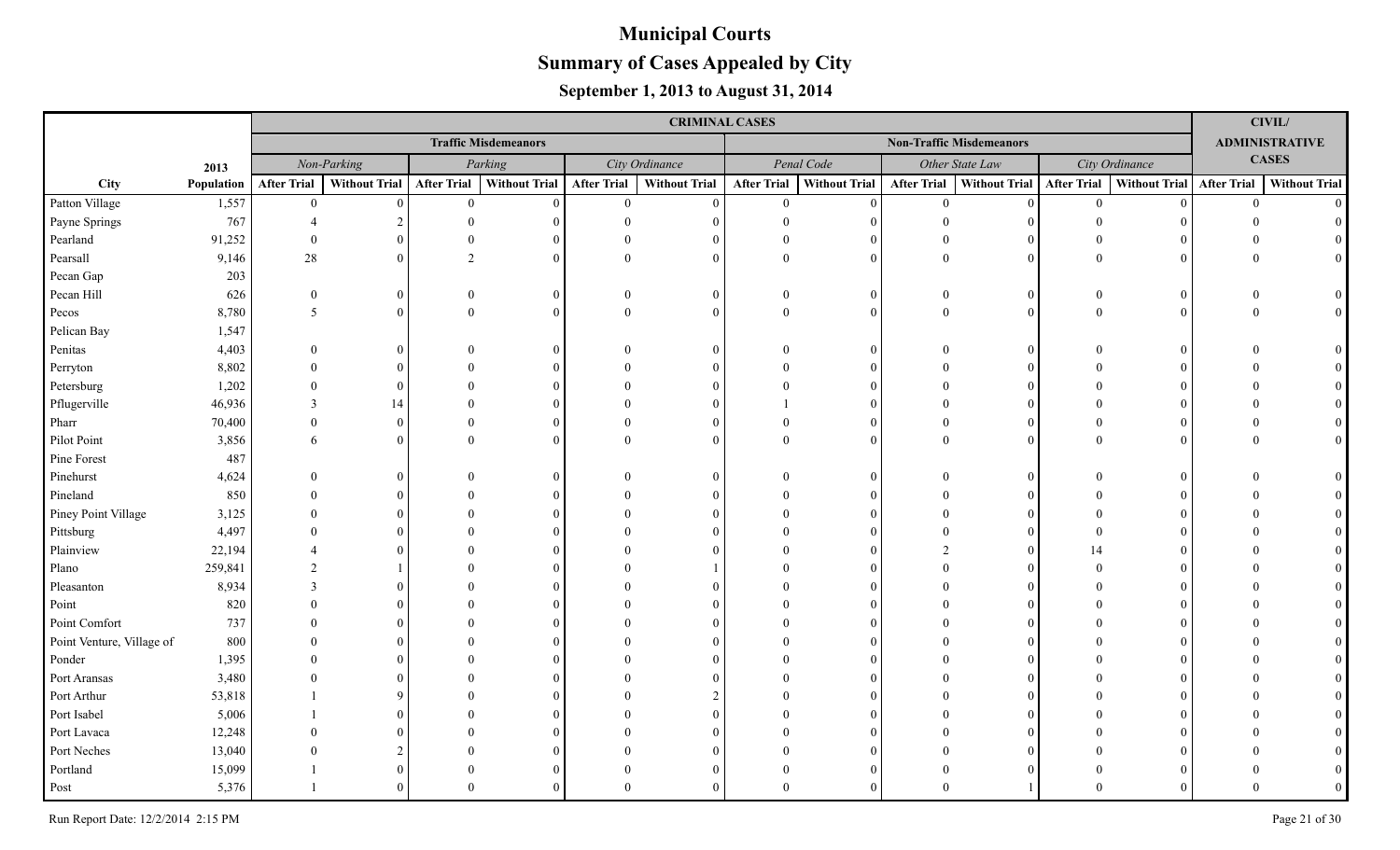|                           |            |                    |               |                    |                             |                    | <b>CRIMINAL CASES</b> |                    |                      |                    |                                 |                    |                           |                | <b>CIVIL/</b>         |
|---------------------------|------------|--------------------|---------------|--------------------|-----------------------------|--------------------|-----------------------|--------------------|----------------------|--------------------|---------------------------------|--------------------|---------------------------|----------------|-----------------------|
|                           |            |                    |               |                    | <b>Traffic Misdemeanors</b> |                    |                       |                    |                      |                    | <b>Non-Traffic Misdemeanors</b> |                    |                           |                | <b>ADMINISTRATIVE</b> |
|                           | 2013       |                    | Non-Parking   |                    | Parking                     |                    | City Ordinance        |                    | Penal Code           |                    | Other State Law                 |                    | City Ordinance            |                | <b>CASES</b>          |
| City                      | Population | <b>After Trial</b> | Without Trial | <b>After Trial</b> | <b>Without Trial</b>        | <b>After Trial</b> | <b>Without Trial</b>  | <b>After Trial</b> | <b>Without Trial</b> | <b>After Trial</b> | <b>Without Trial</b>            | <b>After Trial</b> | Without Trial After Trial |                | <b>Without Trial</b>  |
| Patton Village            | 1,557      | $\overline{0}$     | $\Omega$      | $\mathbf{0}$       | $\Omega$                    | $\overline{0}$     | $\Omega$              | $\overline{0}$     | $\theta$             | $\theta$           | $\theta$                        | $\mathbf{0}$       |                           | $\overline{0}$ | $\Omega$              |
| Payne Springs             | 767        |                    |               |                    |                             |                    |                       |                    |                      | $\Omega$           |                                 |                    |                           |                |                       |
| Pearland                  | 91,252     |                    |               |                    |                             |                    |                       |                    | $\Omega$             |                    |                                 |                    |                           |                |                       |
| Pearsall                  | 9,146      | 28                 | $\Omega$      |                    |                             | $\Omega$           | $\Omega$              |                    | $\Omega$             | $\Omega$           | $\Omega$                        |                    |                           |                |                       |
| Pecan Gap                 | 203        |                    |               |                    |                             |                    |                       |                    |                      |                    |                                 |                    |                           |                |                       |
| Pecan Hill                | 626        | $\Omega$           | $\Omega$      |                    | $\Omega$                    | $\Omega$           | $\Omega$              |                    | $\Omega$             | $\Omega$           | $\overline{0}$                  |                    |                           |                |                       |
| Pecos                     | 8,780      | $\overline{5}$     | $\theta$      |                    |                             | $\Omega$           | $\Omega$              |                    | $\theta$             | $\theta$           | $\theta$                        |                    |                           |                |                       |
| Pelican Bay               | 1,547      |                    |               |                    |                             |                    |                       |                    |                      |                    |                                 |                    |                           |                |                       |
| Penitas                   | 4,403      |                    |               |                    |                             |                    | $\Omega$              |                    | $\Omega$             |                    | $\Omega$                        |                    |                           |                |                       |
| Perryton                  | 8,802      |                    |               |                    |                             |                    |                       |                    | $\Omega$             |                    | 0                               |                    |                           |                |                       |
| Petersburg                | 1,202      |                    |               |                    |                             |                    |                       |                    | $\Omega$             |                    |                                 |                    |                           |                |                       |
| Pflugerville              | 46,936     | $\mathcal{R}$      | 14            |                    |                             |                    |                       |                    | $\Omega$             |                    | $\Omega$                        |                    |                           |                |                       |
| Pharr                     | 70,400     | $\Omega$           | $\theta$      |                    |                             |                    | $\Omega$              |                    | $\Omega$             |                    | $\Omega$                        |                    |                           |                |                       |
| Pilot Point               | 3,856      | 6                  | 0             |                    |                             |                    | $\Omega$              |                    | $\Omega$             | $\Omega$           | $\Omega$                        |                    |                           |                |                       |
| Pine Forest               | 487        |                    |               |                    |                             |                    |                       |                    |                      |                    |                                 |                    |                           |                |                       |
| Pinehurst                 | 4,624      | $\Omega$           |               |                    |                             |                    | $\Omega$              |                    | $\Omega$             |                    |                                 |                    |                           |                |                       |
| Pineland                  | 850        |                    |               |                    |                             |                    |                       |                    | $\Omega$             |                    |                                 |                    |                           |                |                       |
| Piney Point Village       | 3,125      |                    |               |                    |                             |                    |                       |                    |                      |                    |                                 |                    |                           |                |                       |
| Pittsburg                 | 4,497      |                    |               |                    |                             |                    |                       |                    |                      |                    |                                 |                    |                           |                |                       |
| Plainview                 | 22,194     |                    |               |                    |                             |                    |                       |                    |                      |                    |                                 |                    |                           |                |                       |
| Plano                     | 259,841    |                    |               |                    |                             |                    |                       |                    |                      |                    |                                 |                    |                           |                |                       |
| Pleasanton                | 8,934      |                    |               |                    |                             |                    |                       |                    |                      |                    |                                 |                    |                           |                |                       |
| Point                     | 820        |                    |               |                    |                             |                    |                       |                    |                      |                    |                                 |                    |                           |                |                       |
| Point Comfort             | 737        |                    |               |                    |                             |                    |                       |                    |                      |                    |                                 |                    |                           |                |                       |
| Point Venture, Village of | 800        |                    |               |                    |                             |                    |                       |                    |                      |                    |                                 |                    |                           |                |                       |
| Ponder                    | 1,395      |                    |               |                    |                             |                    |                       |                    |                      |                    |                                 |                    |                           |                |                       |
| Port Aransas              | 3,480      |                    |               |                    |                             |                    |                       |                    |                      |                    |                                 |                    |                           |                |                       |
| Port Arthur               | 53,818     |                    |               |                    |                             |                    |                       |                    | $\Omega$             |                    |                                 |                    |                           |                |                       |
| Port Isabel               | 5,006      |                    |               |                    |                             |                    |                       |                    | $\Omega$             |                    |                                 |                    |                           |                |                       |
| Port Lavaca               | 12,248     |                    |               |                    |                             |                    |                       |                    |                      |                    |                                 |                    |                           |                |                       |
| Port Neches               | 13,040     |                    |               |                    |                             |                    |                       |                    |                      |                    |                                 |                    |                           |                |                       |
| Portland                  | 15,099     |                    | $\theta$      |                    |                             |                    |                       |                    | $\Omega$             |                    |                                 |                    |                           |                |                       |
| Post                      | 5,376      |                    | $\Omega$      | $\Omega$           |                             |                    | $\Omega$              |                    |                      |                    |                                 |                    |                           |                |                       |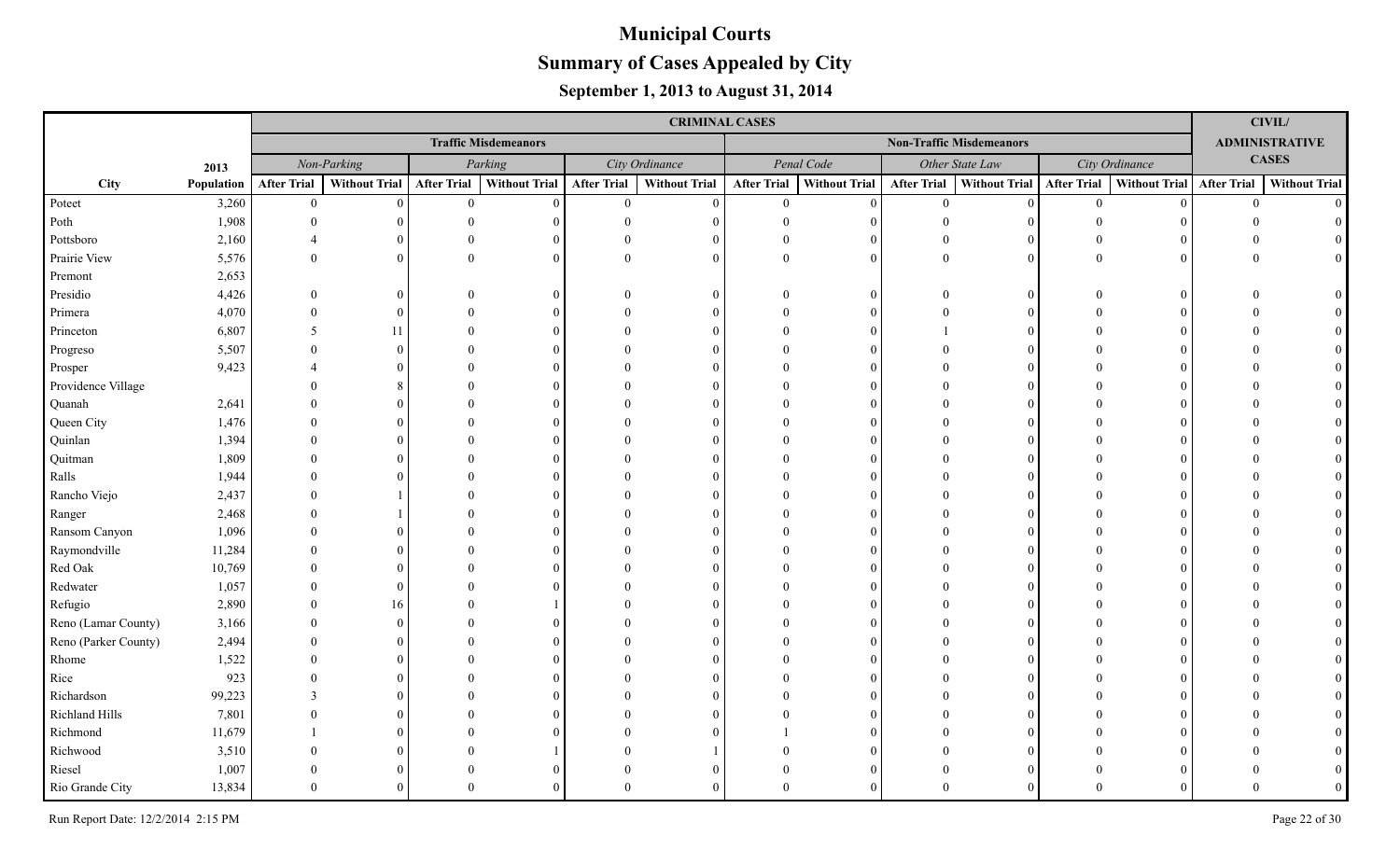|                      |            |                    |               |                    |                             |                    | <b>CRIMINAL CASES</b> |                    |                      |                    |                                 |                    |                           |                | <b>CIVIL/</b>         |
|----------------------|------------|--------------------|---------------|--------------------|-----------------------------|--------------------|-----------------------|--------------------|----------------------|--------------------|---------------------------------|--------------------|---------------------------|----------------|-----------------------|
|                      |            |                    |               |                    | <b>Traffic Misdemeanors</b> |                    |                       |                    |                      |                    | <b>Non-Traffic Misdemeanors</b> |                    |                           |                | <b>ADMINISTRATIVE</b> |
|                      | 2013       |                    | Non-Parking   |                    | Parking                     |                    | City Ordinance        |                    | Penal Code           |                    | Other State Law                 |                    | City Ordinance            |                | <b>CASES</b>          |
| City                 | Population | <b>After Trial</b> | Without Trial | <b>After Trial</b> | <b>Without Trial</b>        | <b>After Trial</b> | <b>Without Trial</b>  | <b>After Trial</b> | <b>Without Trial</b> | <b>After Trial</b> | <b>Without Trial</b>            | <b>After Trial</b> | Without Trial After Trial |                | <b>Without Trial</b>  |
| Poteet               | 3,260      | $\mathbf{0}$       | $\theta$      | $\overline{0}$     | $\Omega$                    | $\mathbf{0}$       | $\Omega$              | $\overline{0}$     | $\Omega$             | $\overline{0}$     | $\theta$                        | $\overline{0}$     |                           | $\overline{0}$ | $\Omega$              |
| Poth                 | 1,908      |                    |               |                    |                             | $\Omega$           |                       |                    | $\Omega$             | $\Omega$           |                                 |                    |                           |                |                       |
| Pottsboro            | 2,160      |                    |               |                    |                             |                    |                       |                    | $\Omega$             |                    |                                 |                    |                           |                |                       |
| Prairie View         | 5,576      | $\theta$           | $\Omega$      | $\Omega$           |                             | $\Omega$           | $\Omega$              |                    | $\Omega$             | $\theta$           | $\Omega$                        |                    |                           |                |                       |
| Premont              | 2,653      |                    |               |                    |                             |                    |                       |                    |                      |                    |                                 |                    |                           |                |                       |
| Presidio             | 4,426      | $\Omega$           |               |                    |                             |                    | $\Omega$              |                    | $\Omega$             | $\Omega$           | $\Omega$                        |                    |                           |                |                       |
| Primera              | 4,070      |                    | $\Omega$      |                    |                             |                    |                       |                    | $\Omega$             | $\Omega$           | $\Omega$                        |                    |                           |                |                       |
| Princeton            | 6,807      | 5                  | 11            |                    |                             |                    |                       |                    | $\Omega$             |                    |                                 |                    |                           |                |                       |
| Progreso             | 5,507      |                    |               |                    |                             |                    |                       |                    | $\Omega$             |                    |                                 |                    |                           |                |                       |
| Prosper              | 9,423      |                    |               |                    |                             |                    |                       |                    | $\Omega$             |                    |                                 |                    |                           |                |                       |
| Providence Village   |            |                    | 8             |                    |                             |                    |                       |                    | $\Omega$             |                    | 0                               |                    |                           |                |                       |
| Quanah               | 2,641      |                    |               |                    |                             |                    |                       |                    | $\Omega$             |                    | $\Omega$                        |                    |                           |                |                       |
| Queen City           | 1,476      |                    |               |                    |                             |                    | ∩                     |                    | $\Omega$             |                    | $\Omega$                        |                    |                           |                |                       |
| Quinlan              | 1,394      |                    |               |                    |                             |                    | ∩                     |                    | $\Omega$             |                    | $\Omega$                        |                    |                           |                |                       |
| Quitman              | 1,809      |                    |               |                    |                             |                    |                       |                    | $\Omega$             |                    | 0                               |                    |                           |                |                       |
| Ralls                | 1,944      |                    |               |                    |                             |                    |                       |                    | $\Omega$             |                    |                                 |                    |                           |                |                       |
| Rancho Viejo         | 2,437      |                    |               |                    |                             |                    |                       |                    | $\Omega$             |                    |                                 |                    |                           |                |                       |
| Ranger               | 2,468      |                    |               |                    |                             |                    |                       |                    | $\Omega$             |                    |                                 |                    |                           |                |                       |
| Ransom Canyon        | 1,096      |                    |               |                    |                             |                    |                       |                    |                      |                    |                                 |                    |                           |                |                       |
| Raymondville         | 11,284     |                    |               |                    |                             |                    |                       |                    | $\Omega$             |                    |                                 |                    |                           |                |                       |
| Red Oak              | 10,769     |                    |               |                    |                             |                    |                       |                    |                      |                    |                                 |                    |                           |                |                       |
| Redwater             | 1,057      |                    |               |                    |                             |                    |                       |                    |                      |                    |                                 |                    |                           |                |                       |
| Refugio              | 2,890      |                    | 16            |                    |                             |                    |                       |                    |                      |                    |                                 |                    |                           |                |                       |
| Reno (Lamar County)  | 3,166      |                    | $\Omega$      |                    |                             |                    |                       |                    |                      |                    |                                 |                    |                           |                |                       |
| Reno (Parker County) | 2,494      |                    |               |                    |                             |                    |                       |                    |                      |                    |                                 |                    |                           |                |                       |
| Rhome                | 1,522      |                    |               |                    |                             |                    |                       |                    |                      |                    |                                 |                    |                           |                |                       |
| Rice                 | 923        |                    |               |                    |                             |                    |                       |                    |                      |                    |                                 |                    |                           |                |                       |
| Richardson           | 99,223     |                    |               |                    |                             |                    |                       |                    |                      |                    |                                 |                    |                           |                |                       |
| Richland Hills       | 7,801      |                    |               |                    |                             |                    |                       |                    |                      |                    |                                 |                    |                           |                |                       |
| Richmond             | 11,679     |                    |               |                    |                             |                    |                       |                    |                      |                    |                                 |                    |                           |                |                       |
| Richwood             | 3,510      |                    |               |                    |                             |                    |                       |                    |                      |                    |                                 |                    |                           |                |                       |
| Riesel               | 1,007      |                    |               |                    |                             |                    |                       |                    | $\Omega$             |                    |                                 |                    |                           |                |                       |
| Rio Grande City      | 13,834     | $\Omega$           |               |                    |                             |                    |                       |                    |                      |                    |                                 |                    |                           |                |                       |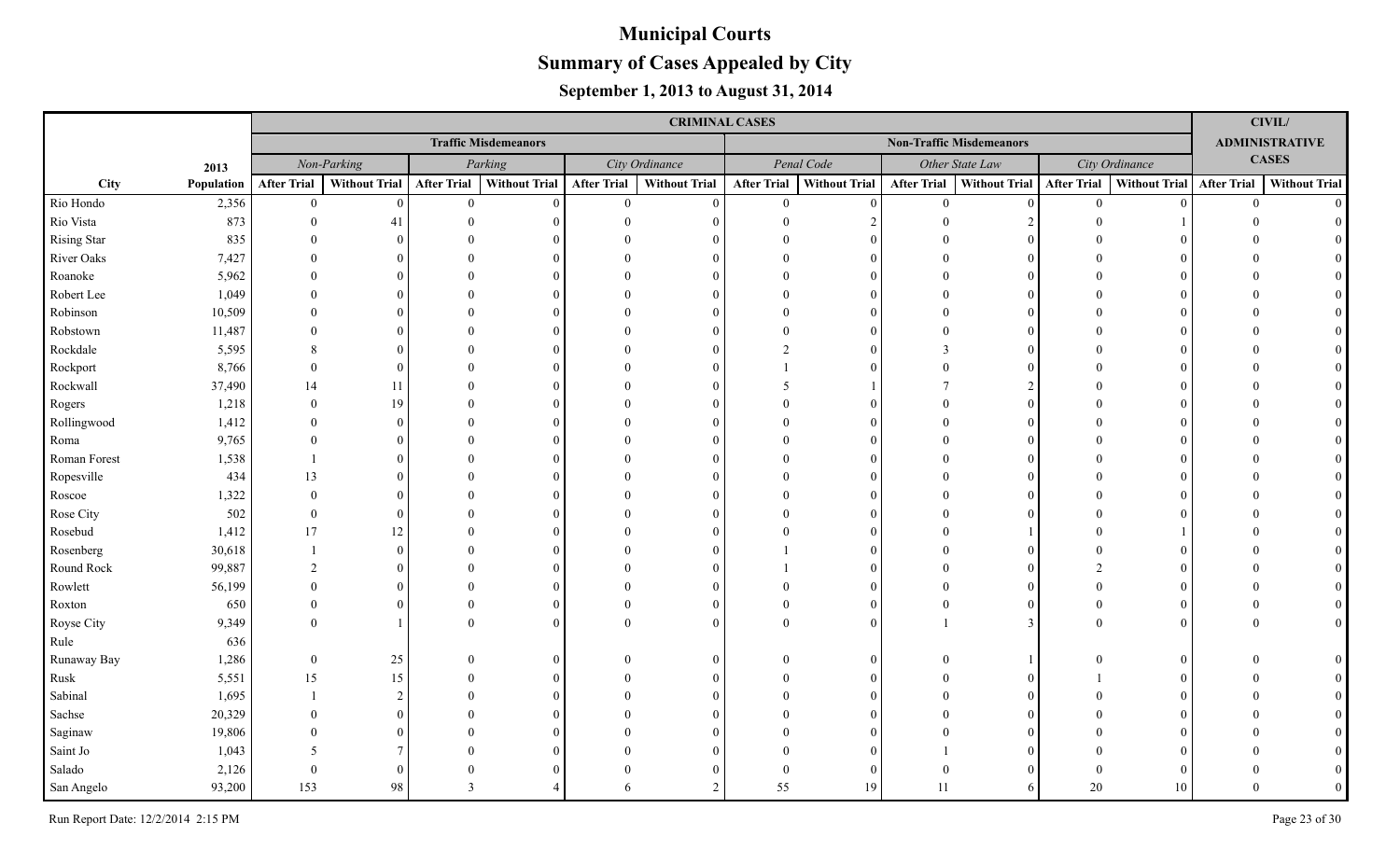|                    |            |                    |                      |                    |                             |                    | <b>CRIMINAL CASES</b> |                    |                      |                    |                                 |                    |                      |                    | CIVIL/                |
|--------------------|------------|--------------------|----------------------|--------------------|-----------------------------|--------------------|-----------------------|--------------------|----------------------|--------------------|---------------------------------|--------------------|----------------------|--------------------|-----------------------|
|                    |            |                    |                      |                    | <b>Traffic Misdemeanors</b> |                    |                       |                    |                      |                    | <b>Non-Traffic Misdemeanors</b> |                    |                      |                    | <b>ADMINISTRATIVE</b> |
|                    | 2013       |                    | Non-Parking          |                    | Parking                     |                    | City Ordinance        |                    | Penal Code           |                    | Other State Law                 |                    | City Ordinance       |                    | <b>CASES</b>          |
| City               | Population | <b>After Trial</b> | <b>Without Trial</b> | <b>After Trial</b> | <b>Without Trial</b>        | <b>After Trial</b> | <b>Without Trial</b>  | <b>After Trial</b> | <b>Without Trial</b> | <b>After Trial</b> | <b>Without Trial</b>            | <b>After Trial</b> | <b>Without Trial</b> | <b>After Trial</b> | <b>Without Trial</b>  |
| Rio Hondo          | 2,356      | $\overline{0}$     | $\theta$             | $\overline{0}$     | $\theta$                    | $\overline{0}$     | $\theta$              | $\overline{0}$     | $\Omega$             | $\overline{0}$     | $\theta$                        | $\theta$           | $\Omega$             | $\overline{0}$     | $\Omega$              |
| Rio Vista          | 873        | $\Omega$           | 41                   | $\Omega$           |                             | $\Omega$           | $\Omega$              | $\Omega$           |                      | $\Omega$           | $\mathcal{D}$                   |                    |                      |                    |                       |
| <b>Rising Star</b> | 835        |                    | $\Omega$             |                    |                             |                    |                       |                    |                      |                    | $\Omega$                        |                    |                      |                    |                       |
| River Oaks         | 7,427      |                    | $\Omega$             |                    |                             |                    | $\Omega$              |                    |                      |                    | $\Omega$                        |                    |                      |                    |                       |
| Roanoke            | 5,962      |                    | $\Omega$             |                    |                             |                    | $\Omega$              |                    |                      |                    | $\Omega$                        |                    |                      |                    |                       |
| Robert Lee         | 1,049      |                    | $\Omega$             |                    |                             |                    | $\Omega$              |                    |                      |                    | $\Omega$                        |                    |                      |                    |                       |
| Robinson           | 10,509     |                    | $\Omega$             |                    |                             |                    | $\Omega$              |                    |                      |                    | $\Omega$                        |                    |                      |                    |                       |
| Robstown           | 11,487     |                    | $\Omega$             |                    |                             |                    | $\Omega$              |                    |                      |                    | $\Omega$                        |                    |                      |                    |                       |
| Rockdale           | 5,595      | 8                  | $\Omega$             |                    |                             |                    | $\Omega$              |                    |                      | 3                  | $\Omega$                        |                    |                      |                    |                       |
| Rockport           | 8,766      | $\Omega$           | $\Omega$             |                    |                             |                    | $\Omega$              |                    |                      |                    | $\Omega$                        |                    |                      |                    |                       |
| Rockwall           | 37,490     | 14                 | 11                   |                    |                             |                    | $\Omega$              | 5                  |                      |                    | $\overline{2}$                  |                    |                      |                    |                       |
| Rogers             | 1,218      | $\Omega$           | 19                   |                    |                             |                    | $\Omega$              |                    |                      |                    | $\Omega$                        |                    |                      |                    |                       |
| Rollingwood        | 1,412      | $\Omega$           | $\Omega$             |                    |                             |                    | $\Omega$              |                    |                      |                    | $\Omega$                        |                    |                      |                    |                       |
| Roma               | 9,765      | $\Omega$           | $\Omega$             |                    |                             |                    | $\Omega$              |                    |                      |                    | $\Omega$                        |                    |                      |                    |                       |
| Roman Forest       | 1,538      |                    | $\Omega$             |                    |                             |                    | $\Omega$              |                    |                      |                    | $\Omega$                        |                    |                      |                    |                       |
| Ropesville         | 434        | 13                 | $\Omega$             |                    |                             |                    | $\Omega$              |                    |                      |                    | $\Omega$                        |                    |                      |                    |                       |
| Roscoe             | 1,322      | $\Omega$           | $\Omega$             |                    |                             |                    | $\Omega$              |                    |                      |                    | $\Omega$                        |                    |                      |                    |                       |
| Rose City          | 502        | $\Omega$           | $\Omega$             |                    |                             |                    | $\Omega$              |                    |                      |                    | $\Omega$                        |                    |                      |                    |                       |
| Rosebud            | 1,412      | 17                 | 12                   |                    |                             |                    | $\Omega$              |                    |                      |                    |                                 |                    |                      |                    |                       |
| Rosenberg          | 30,618     |                    | $\Omega$             |                    |                             |                    | $\Omega$              |                    |                      |                    | $\Omega$                        |                    |                      |                    |                       |
| Round Rock         | 99,887     | $\mathcal{D}$      | $\Omega$             |                    |                             |                    | $\Omega$              |                    |                      |                    | $\Omega$                        |                    |                      |                    |                       |
| Rowlett            | 56,199     |                    | $\Omega$             |                    |                             |                    | $\Omega$              |                    |                      |                    | $\Omega$                        |                    |                      |                    |                       |
| Roxton             | 650        |                    | $\Omega$             |                    |                             |                    | $\Omega$              |                    |                      |                    | $\Omega$                        |                    |                      |                    |                       |
| Royse City         | 9,349      |                    |                      |                    |                             |                    | $\theta$              |                    |                      |                    | $\mathfrak{Z}$                  |                    |                      |                    | $\overline{0}$        |
| Rule               | 636        |                    |                      |                    |                             |                    |                       |                    |                      |                    |                                 |                    |                      |                    |                       |
| Runaway Bay        | 1,286      | $\theta$           | 25                   |                    | 0                           |                    | $\Omega$              |                    | $\Omega$             |                    |                                 |                    |                      |                    |                       |
| Rusk               | 5,551      | 15                 | 15                   |                    | 0                           |                    | $\Omega$              |                    |                      |                    | $\Omega$                        |                    |                      |                    |                       |
| Sabinal            | 1,695      |                    | $\mathcal{D}$        |                    |                             |                    | $\Omega$              |                    |                      |                    | $\Omega$                        |                    |                      |                    |                       |
| Sachse             | 20,329     |                    | $\Omega$             |                    |                             |                    |                       |                    |                      |                    | $\Omega$                        |                    |                      |                    |                       |
| Saginaw            | 19,806     |                    | $\Omega$             |                    |                             |                    | $\Omega$              |                    |                      |                    | $\Omega$                        |                    |                      |                    |                       |
| Saint Jo           | 1,043      | -5                 |                      |                    |                             |                    |                       |                    |                      |                    | $\Omega$                        |                    |                      |                    |                       |
| Salado             | 2,126      | $\Omega$           | $\Omega$             |                    |                             |                    | $\Omega$              | $\Omega$           | $\Omega$             |                    | $\Omega$                        |                    |                      |                    |                       |
| San Angelo         | 93,200     | 153                | 98                   | $\mathcal{R}$      |                             |                    | $\mathcal{D}$         | 55                 | 19                   | 11                 | 6                               | 20                 | 10                   |                    |                       |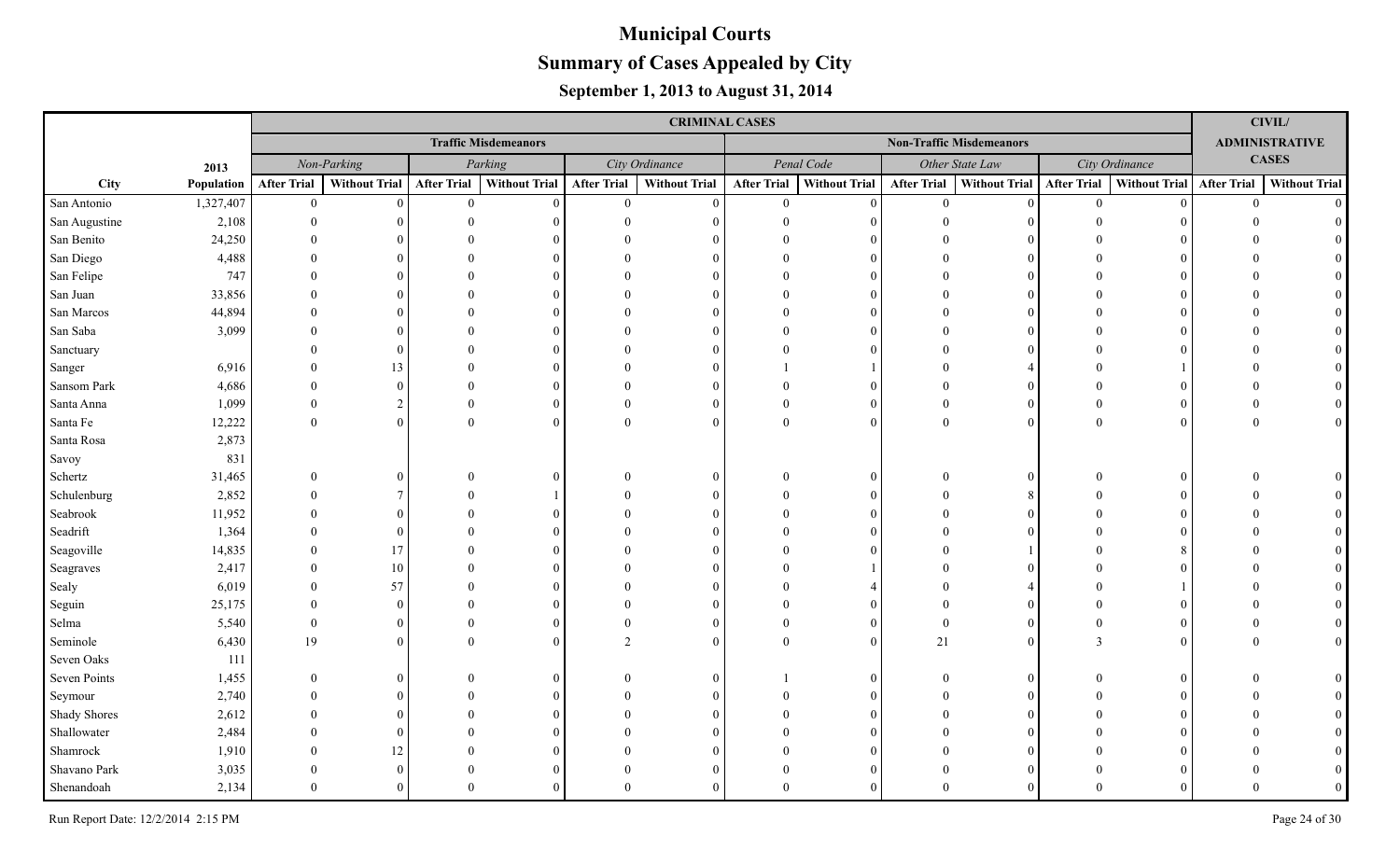|               |            |                    |                      |                    |                             |                    | <b>CRIMINAL CASES</b> |                    |                      |                    |                                 |                    |                      |                    | <b>CIVIL/</b>         |
|---------------|------------|--------------------|----------------------|--------------------|-----------------------------|--------------------|-----------------------|--------------------|----------------------|--------------------|---------------------------------|--------------------|----------------------|--------------------|-----------------------|
|               |            |                    |                      |                    | <b>Traffic Misdemeanors</b> |                    |                       |                    |                      |                    | <b>Non-Traffic Misdemeanors</b> |                    |                      |                    | <b>ADMINISTRATIVE</b> |
|               | 2013       |                    | Non-Parking          |                    | Parking                     |                    | City Ordinance        |                    | Penal Code           |                    | Other State Law                 |                    | City Ordinance       |                    | <b>CASES</b>          |
| City          | Population | <b>After Trial</b> | <b>Without Trial</b> | <b>After Trial</b> | Without Trial               | <b>After Trial</b> | <b>Without Trial</b>  | <b>After Trial</b> | <b>Without Trial</b> | <b>After Trial</b> | <b>Without Trial</b>            | <b>After Trial</b> | <b>Without Trial</b> | <b>After Trial</b> | <b>Without Trial</b>  |
| San Antonio   | 1,327,407  | $\mathbf{0}$       | $\mathbf{0}$         | $\theta$           | $\Omega$                    | $\mathbf{0}$       | $\mathbf{0}$          | $\theta$           | $\Omega$             | $\theta$           | $\theta$                        | $\theta$           |                      | $\theta$           | $\Omega$              |
| San Augustine | 2,108      | $\Omega$           | $\Omega$             |                    |                             |                    | $\Omega$              |                    |                      |                    |                                 |                    |                      |                    |                       |
| San Benito    | 24,250     | $\Omega$           |                      |                    |                             |                    | $\Omega$              |                    |                      |                    |                                 |                    |                      |                    |                       |
| San Diego     | 4,488      | $\Omega$           | $\Omega$             |                    |                             |                    | $\Omega$              |                    |                      |                    |                                 |                    |                      |                    |                       |
| San Felipe    | 747        | $\Omega$           | $\Omega$             |                    |                             |                    | $\Omega$              |                    |                      |                    |                                 |                    |                      |                    |                       |
| San Juan      | 33,856     | $\Omega$           | $\Omega$             |                    |                             |                    | $\Omega$              |                    |                      |                    | $\Omega$                        |                    |                      |                    |                       |
| San Marcos    | 44,894     | $\Omega$           | $\Omega$             |                    | $\Omega$                    |                    | $\Omega$              |                    |                      |                    | $\Omega$                        |                    |                      |                    |                       |
| San Saba      | 3,099      | $\Omega$           | $\Omega$             |                    | $\Omega$                    |                    | $\Omega$              |                    |                      |                    | $\Omega$                        |                    |                      |                    |                       |
| Sanctuary     |            | $\Omega$           | $\Omega$             |                    | $\Omega$                    |                    | $\Omega$              |                    |                      |                    | $\Omega$                        |                    |                      |                    |                       |
| Sanger        | 6,916      |                    | 13                   |                    | $\Omega$                    |                    | $\Omega$              |                    |                      |                    |                                 |                    |                      |                    |                       |
| Sansom Park   | 4,686      | $\Omega$           | $\Omega$             |                    |                             |                    | $\Omega$              |                    |                      |                    | $\Omega$                        |                    |                      |                    |                       |
| Santa Anna    | 1,099      | $\Omega$           | $\overline{2}$       |                    | $\Omega$                    | $\Omega$           | $\mathbf{0}$          |                    | $\Omega$             | $\Omega$           | $\Omega$                        |                    |                      |                    |                       |
| Santa Fe      | 12,222     | $\theta$           | $\mathbf{0}$         | $\Omega$           | $\Omega$                    | $\Omega$           | $\overline{0}$        | $\Omega$           | $\Omega$             | $\Omega$           | $\Omega$                        |                    |                      |                    |                       |
| Santa Rosa    | 2,873      |                    |                      |                    |                             |                    |                       |                    |                      |                    |                                 |                    |                      |                    |                       |
| Savoy         | 831        |                    |                      |                    |                             |                    |                       |                    |                      |                    |                                 |                    |                      |                    |                       |
| Schertz       | 31,465     | $\Omega$           | $\Omega$             |                    |                             | $\Omega$           | $\overline{0}$        |                    | $\Omega$             |                    | $\Omega$                        |                    |                      |                    |                       |
| Schulenburg   | 2,852      |                    | $\tau$               |                    |                             |                    | $\Omega$              |                    |                      |                    |                                 |                    |                      |                    |                       |
| Seabrook      | 11,952     |                    | $\Omega$             |                    |                             |                    | $\Omega$              |                    |                      |                    | $\Omega$                        |                    |                      |                    |                       |
| Seadrift      | 1,364      |                    | $\Omega$             |                    |                             |                    | $\Omega$              |                    |                      |                    |                                 |                    |                      |                    |                       |
| Seagoville    | 14,835     |                    | 17                   |                    |                             |                    | $\Omega$              |                    |                      |                    |                                 |                    |                      |                    |                       |
| Seagraves     | 2,417      | $\Omega$           | $10\,$               |                    |                             |                    | $\Omega$              |                    |                      |                    |                                 |                    |                      |                    |                       |
| Sealy         | 6,019      | $\Omega$           | 57                   |                    |                             |                    | $\Omega$              |                    |                      |                    |                                 |                    |                      |                    |                       |
| Seguin        | 25,175     |                    | $\Omega$             |                    |                             |                    | $\Omega$              |                    |                      |                    |                                 |                    |                      |                    |                       |
| Selma         | 5,540      | $\Omega$           | $\mathbf{0}$         |                    |                             |                    | $\mathbf{0}$          |                    |                      | $\Omega$           | $\Omega$                        |                    |                      |                    |                       |
| Seminole      | 6,430      | 19                 | $\Omega$             |                    |                             |                    | $\mathbf{0}$          |                    | $\Omega$             | 21                 | $\Omega$                        |                    |                      |                    |                       |
| Seven Oaks    | 111        |                    |                      |                    |                             |                    |                       |                    |                      |                    |                                 |                    |                      |                    |                       |
| Seven Points  | 1,455      | $\theta$           | $\theta$             |                    | $\Omega$                    | $\Omega$           | $\overline{0}$        |                    | $\Omega$             |                    | $\Omega$                        |                    |                      |                    |                       |
| Seymour       | 2,740      |                    | $\Omega$             |                    |                             |                    | $\Omega$              |                    |                      |                    |                                 |                    |                      |                    |                       |
| Shady Shores  | 2,612      |                    | $\Omega$             |                    |                             |                    | $\theta$              |                    |                      |                    |                                 |                    |                      |                    |                       |
| Shallowater   | 2,484      |                    | $\Omega$             |                    |                             |                    | $\Omega$              |                    |                      |                    |                                 |                    |                      |                    |                       |
| Shamrock      | 1,910      |                    | 12                   |                    |                             |                    | $\Omega$              |                    |                      |                    |                                 |                    |                      |                    |                       |
| Shavano Park  | 3,035      |                    | $\Omega$             |                    |                             |                    | $\Omega$              |                    |                      |                    |                                 |                    |                      |                    |                       |
| Shenandoah    | 2,134      | $\Omega$           | $\Omega$             |                    |                             | $\Omega$           | $\Omega$              | $\Omega$           |                      |                    | $\Omega$                        |                    |                      |                    |                       |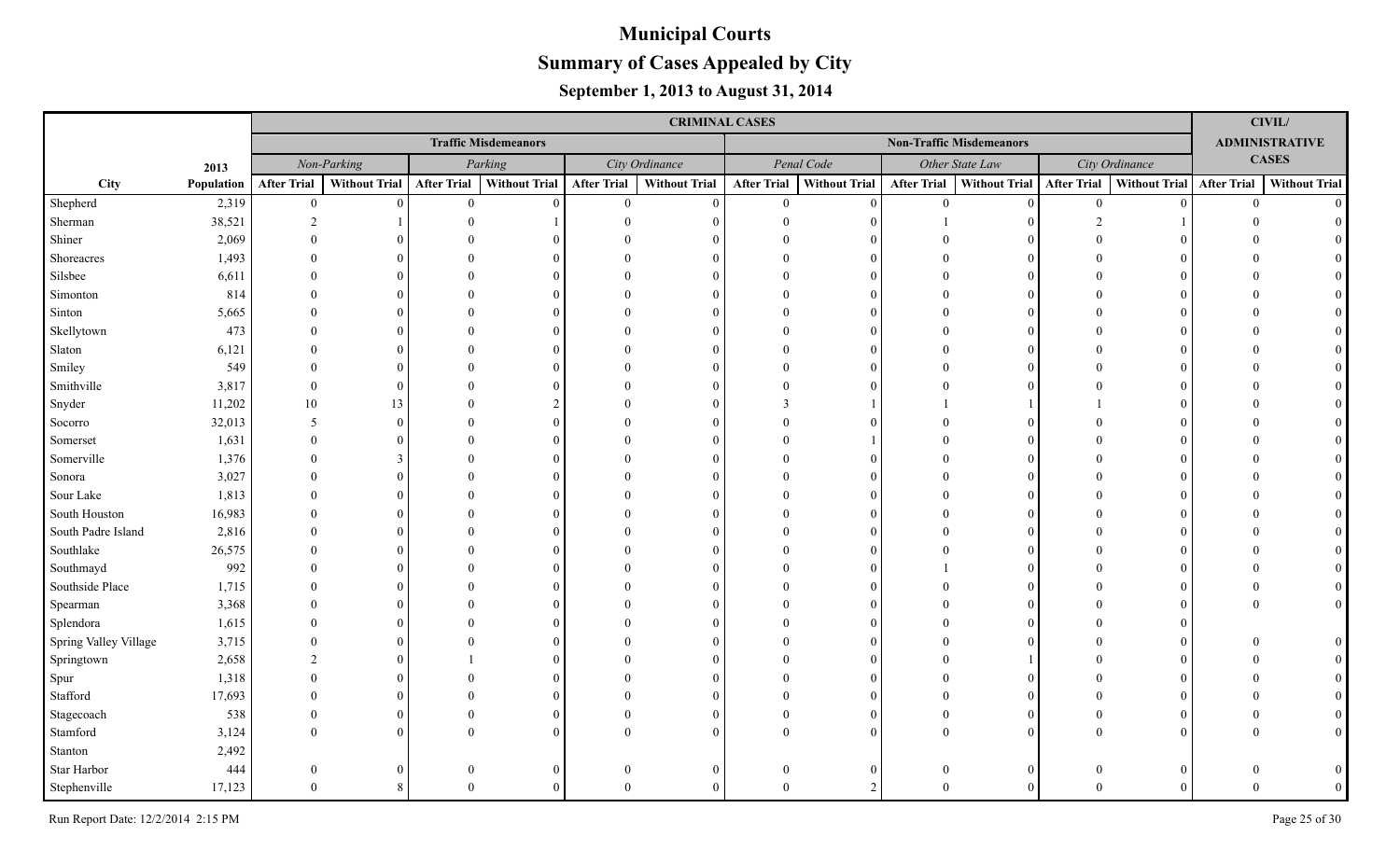|                       |            | <b>CRIMINAL CASES</b> |               |                    |                             |                    |                      |                                 |                      |                    |                      |                    |                |                    | <b>CIVIL/</b>         |  |  |
|-----------------------|------------|-----------------------|---------------|--------------------|-----------------------------|--------------------|----------------------|---------------------------------|----------------------|--------------------|----------------------|--------------------|----------------|--------------------|-----------------------|--|--|
|                       |            |                       |               |                    | <b>Traffic Misdemeanors</b> |                    |                      | <b>Non-Traffic Misdemeanors</b> |                      |                    |                      |                    |                |                    | <b>ADMINISTRATIVE</b> |  |  |
|                       | 2013       |                       | Non-Parking   |                    | Parking                     |                    | City Ordinance       |                                 | Penal Code           |                    | Other State Law      |                    | City Ordinance |                    | <b>CASES</b>          |  |  |
| City                  | Population | <b>After Trial</b>    | Without Trial | <b>After Trial</b> | <b>Without Trial</b>        | <b>After Trial</b> | <b>Without Trial</b> | <b>After Trial</b>              | <b>Without Trial</b> | <b>After Trial</b> | <b>Without Trial</b> | <b>After Trial</b> | Without Trial  | <b>After Trial</b> | <b>Without Trial</b>  |  |  |
| Shepherd              | 2,319      | $\mathbf{0}$          | $\Omega$      | $\overline{0}$     | $\Omega$                    | $\overline{0}$     | $\Omega$             | $\overline{0}$                  | $\Omega$             | $\overline{0}$     | $\theta$             | $\overline{0}$     |                | $\overline{0}$     | $\Omega$              |  |  |
| Sherman               | 38,521     | $\mathfrak{D}$        |               |                    |                             |                    |                      |                                 | $\Omega$             |                    |                      |                    |                |                    |                       |  |  |
| Shiner                | 2,069      |                       |               |                    |                             |                    |                      |                                 |                      |                    |                      |                    |                |                    |                       |  |  |
| Shoreacres            | 1,493      |                       |               |                    |                             |                    |                      |                                 | $\Omega$             |                    |                      |                    |                |                    |                       |  |  |
| Silsbee               | 6,611      |                       |               |                    |                             |                    |                      |                                 | $\Omega$             |                    |                      |                    |                |                    |                       |  |  |
| Simonton              | 814        |                       |               |                    |                             |                    |                      |                                 | $\Omega$             |                    |                      |                    |                |                    |                       |  |  |
| Sinton                | 5,665      |                       |               |                    |                             |                    |                      |                                 | $\Omega$             |                    |                      |                    |                |                    |                       |  |  |
| Skellytown            | 473        |                       |               |                    |                             |                    |                      |                                 | $\Omega$             |                    |                      |                    |                |                    |                       |  |  |
| Slaton                | 6,121      |                       |               |                    |                             |                    |                      |                                 | $\Omega$             |                    |                      |                    |                |                    |                       |  |  |
| Smiley                | 549        |                       |               |                    |                             |                    |                      |                                 | $\Omega$             |                    |                      |                    |                |                    |                       |  |  |
| Smithville            | 3,817      | $\Omega$              |               |                    |                             |                    |                      |                                 |                      |                    |                      |                    |                |                    |                       |  |  |
| Snyder                | 11,202     | 10                    | 13            |                    |                             |                    | $\Omega$             |                                 |                      |                    |                      |                    |                |                    |                       |  |  |
| Socorro               | 32,013     | 5                     | $\Omega$      |                    |                             |                    | ∩                    |                                 | $\Omega$             |                    | 0                    |                    |                |                    |                       |  |  |
| Somerset              | 1,631      | $\Omega$              |               |                    |                             |                    | ∩                    |                                 |                      |                    | $\Omega$             |                    |                |                    |                       |  |  |
| Somerville            | 1,376      | $\Omega$              | 3             |                    |                             |                    |                      |                                 | $\Omega$             |                    |                      |                    |                |                    |                       |  |  |
| Sonora                | 3,027      |                       |               |                    |                             |                    |                      |                                 | $\Omega$             |                    |                      |                    |                |                    |                       |  |  |
| Sour Lake             | 1,813      | $\Omega$              |               |                    |                             |                    |                      |                                 | $\Omega$             |                    |                      |                    |                |                    |                       |  |  |
| South Houston         | 16,983     |                       |               |                    |                             |                    |                      |                                 | $\Omega$             |                    |                      |                    |                |                    |                       |  |  |
| South Padre Island    | 2,816      |                       |               |                    |                             |                    |                      |                                 |                      |                    |                      |                    |                |                    |                       |  |  |
| Southlake             | 26,575     |                       |               |                    |                             |                    |                      |                                 | $\Omega$             |                    |                      |                    |                |                    |                       |  |  |
| Southmayd             | 992        |                       |               |                    |                             |                    |                      |                                 |                      |                    |                      |                    |                |                    |                       |  |  |
| Southside Place       | 1,715      |                       |               |                    |                             |                    |                      |                                 |                      |                    |                      |                    |                |                    |                       |  |  |
| Spearman              | 3,368      |                       |               |                    |                             |                    |                      |                                 |                      |                    |                      |                    |                |                    |                       |  |  |
| Splendora             | 1,615      |                       |               |                    |                             |                    |                      |                                 |                      |                    |                      |                    |                |                    |                       |  |  |
| Spring Valley Village | 3,715      |                       |               |                    |                             |                    |                      |                                 |                      |                    |                      |                    |                |                    |                       |  |  |
| Springtown            | 2,658      | $\mathcal{D}$         |               |                    |                             |                    |                      |                                 |                      |                    |                      |                    |                |                    |                       |  |  |
| Spur                  | 1,318      |                       |               |                    |                             |                    |                      |                                 |                      |                    |                      |                    |                |                    |                       |  |  |
| Stafford              | 17,693     |                       |               |                    |                             |                    |                      |                                 |                      |                    |                      |                    |                |                    |                       |  |  |
| Stagecoach            | 538        |                       |               |                    |                             |                    | $\Omega$             |                                 | $\Omega$             |                    |                      |                    |                |                    |                       |  |  |
| Stamford              | 3,124      |                       | $\Omega$      |                    |                             |                    |                      |                                 | $\Omega$             |                    |                      |                    |                |                    |                       |  |  |
| Stanton               | 2,492      |                       |               |                    |                             |                    |                      |                                 |                      |                    |                      |                    |                |                    |                       |  |  |
| Star Harbor           | 444        | $\Omega$              | $_{0}$        |                    |                             | $\Omega$           | $\Omega$             |                                 | $\Omega$             | $\Omega$           | 0                    |                    |                |                    |                       |  |  |
| Stephenville          | 17,123     | $\Omega$              |               |                    |                             | $\Omega$           |                      |                                 |                      | $\Omega$           |                      |                    |                |                    |                       |  |  |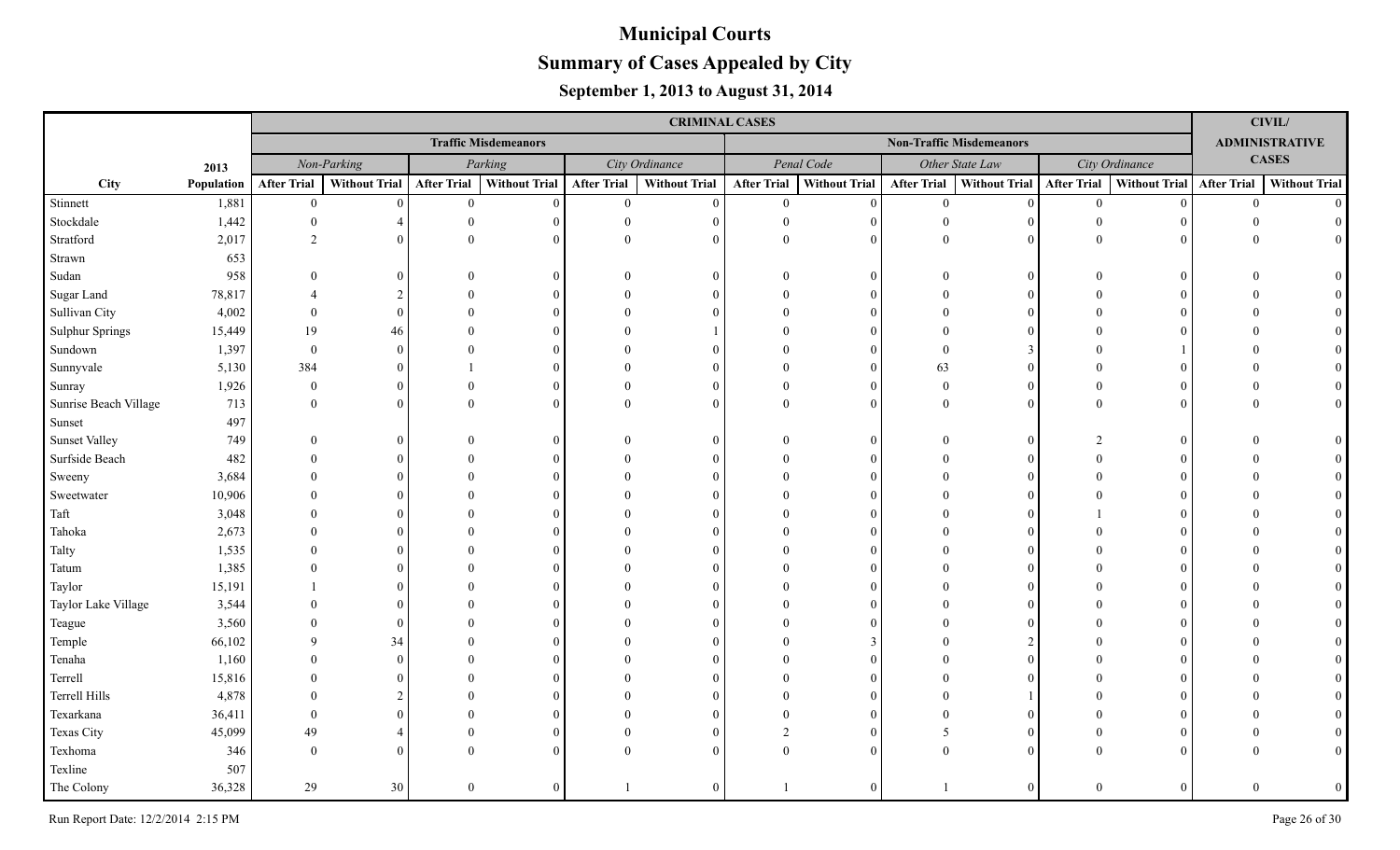|                        |            |                    | <b>CRIMINAL CASES</b> |                    |                             |                    |                      |                                 |                      |                    |                 |                    |                           |                |                       |  |  |
|------------------------|------------|--------------------|-----------------------|--------------------|-----------------------------|--------------------|----------------------|---------------------------------|----------------------|--------------------|-----------------|--------------------|---------------------------|----------------|-----------------------|--|--|
|                        |            |                    |                       |                    | <b>Traffic Misdemeanors</b> |                    |                      | <b>Non-Traffic Misdemeanors</b> |                      |                    |                 |                    |                           |                | <b>ADMINISTRATIVE</b> |  |  |
|                        | 2013       |                    | Non-Parking           |                    | Parking                     |                    | City Ordinance       |                                 | Penal Code           |                    | Other State Law | City Ordinance     |                           | <b>CASES</b>   |                       |  |  |
| City                   | Population | <b>After Trial</b> | <b>Without Trial</b>  | <b>After Trial</b> | Without Trial               | <b>After Trial</b> | <b>Without Trial</b> | <b>After Trial</b>              | <b>Without Trial</b> | <b>After Trial</b> | Without Trial   | <b>After Trial</b> | Without Trial After Trial |                | <b>Without Trial</b>  |  |  |
| Stinnett               | 1,881      | $\mathbf{0}$       | $\theta$              | $\overline{0}$     | $\Omega$                    | $\mathbf{0}$       | $\Omega$             | $\mathbf{0}$                    | $\Omega$             | $\overline{0}$     | 0               | $\overline{0}$     | $\Omega$                  | $\overline{0}$ | $\Omega$              |  |  |
| Stockdale              | 1,442      | $\Omega$           |                       |                    |                             | 0                  |                      |                                 |                      | $\theta$           | $\Omega$        |                    |                           |                |                       |  |  |
| Stratford              | 2,017      | $\overline{2}$     |                       |                    |                             |                    |                      |                                 |                      | $\theta$           | $\Omega$        |                    |                           |                |                       |  |  |
| Strawn                 | 653        |                    |                       |                    |                             |                    |                      |                                 |                      |                    |                 |                    |                           |                |                       |  |  |
| Sudan                  | 958        |                    | 0                     |                    |                             |                    |                      |                                 |                      |                    | $\theta$        |                    |                           |                |                       |  |  |
| Sugar Land             | 78,817     |                    |                       |                    |                             |                    |                      |                                 |                      |                    | $\Omega$        |                    |                           |                |                       |  |  |
| Sullivan City          | 4,002      | $\Omega$           | 0                     |                    |                             |                    |                      |                                 |                      |                    |                 |                    |                           |                |                       |  |  |
| <b>Sulphur Springs</b> | 15,449     | 19                 | 46                    |                    |                             |                    |                      |                                 |                      |                    |                 |                    |                           |                |                       |  |  |
| Sundown                | 1,397      | $\theta$           | $\Omega$              |                    |                             |                    |                      |                                 |                      | $\Omega$           |                 |                    |                           |                |                       |  |  |
| Sunnyvale              | 5,130      | 384                | 0                     |                    |                             |                    |                      |                                 | $\Omega$             | 63                 | $\Omega$        |                    |                           |                |                       |  |  |
| Sunray                 | 1,926      | $\overline{0}$     | $\Omega$              |                    |                             |                    | $\left($             |                                 | $\Omega$             | $\theta$           | $\Omega$        |                    |                           |                |                       |  |  |
| Sunrise Beach Village  | 713        | $\theta$           | $\Omega$              |                    |                             |                    | $\Omega$             |                                 |                      | $\theta$           | $\theta$        | $\Omega$           |                           |                |                       |  |  |
| Sunset                 | 497        |                    |                       |                    |                             |                    |                      |                                 |                      |                    |                 |                    |                           |                |                       |  |  |
| <b>Sunset Valley</b>   | 749        | $\Omega$           | 0                     |                    |                             |                    | $\Omega$             |                                 | 0                    |                    | $\theta$        |                    |                           |                |                       |  |  |
| Surfside Beach         | 482        |                    |                       |                    |                             |                    |                      |                                 | $\Omega$             |                    | $\Omega$        |                    |                           |                |                       |  |  |
| Sweeny                 | 3,684      |                    |                       |                    |                             |                    |                      |                                 | $\Omega$             |                    | $\Omega$        |                    |                           |                |                       |  |  |
| Sweetwater             | 10,906     |                    |                       |                    |                             |                    |                      |                                 |                      |                    | $\Omega$        |                    |                           |                |                       |  |  |
| Taft                   | 3,048      |                    |                       |                    |                             |                    |                      |                                 |                      |                    |                 |                    |                           |                |                       |  |  |
| Tahoka                 | 2,673      |                    |                       |                    |                             |                    |                      |                                 |                      |                    |                 |                    |                           |                |                       |  |  |
| Talty                  | 1,535      |                    |                       |                    |                             |                    |                      |                                 |                      |                    |                 |                    |                           |                |                       |  |  |
| Tatum                  | 1,385      |                    |                       |                    |                             |                    |                      |                                 |                      |                    |                 |                    |                           |                |                       |  |  |
| Taylor                 | 15,191     |                    |                       |                    |                             |                    |                      |                                 |                      |                    |                 |                    |                           |                |                       |  |  |
| Taylor Lake Village    | 3,544      |                    |                       |                    |                             |                    |                      |                                 |                      |                    |                 |                    |                           |                |                       |  |  |
| Teague                 | 3,560      |                    | $\Omega$              |                    |                             |                    |                      |                                 |                      |                    |                 |                    |                           |                |                       |  |  |
| Temple                 | 66,102     | $\Omega$           | 34                    |                    |                             |                    |                      |                                 |                      |                    |                 |                    |                           |                |                       |  |  |
| Tenaha                 | 1,160      |                    | $\Omega$              |                    |                             |                    |                      |                                 |                      |                    |                 |                    |                           |                |                       |  |  |
| Terrell                | 15,816     |                    |                       |                    |                             |                    |                      |                                 |                      |                    |                 |                    |                           |                |                       |  |  |
| Terrell Hills          | 4,878      |                    |                       |                    |                             |                    |                      |                                 |                      |                    |                 |                    |                           |                |                       |  |  |
| Texarkana              | 36,411     |                    |                       |                    |                             |                    |                      |                                 |                      |                    |                 |                    |                           |                |                       |  |  |
| Texas City             | 45,099     | 49                 |                       |                    |                             |                    |                      |                                 |                      |                    | $\Omega$        |                    |                           |                |                       |  |  |
| Texhoma                | 346        | $\Omega$           |                       |                    |                             |                    |                      |                                 |                      |                    | $\Omega$        |                    |                           |                |                       |  |  |
| Texline                | 507        |                    |                       |                    |                             |                    |                      |                                 |                      |                    |                 |                    |                           |                |                       |  |  |
| The Colony             | 36,328     | 29                 | 30                    | $\Omega$           |                             |                    |                      |                                 |                      |                    | $\overline{0}$  | $\theta$           |                           |                |                       |  |  |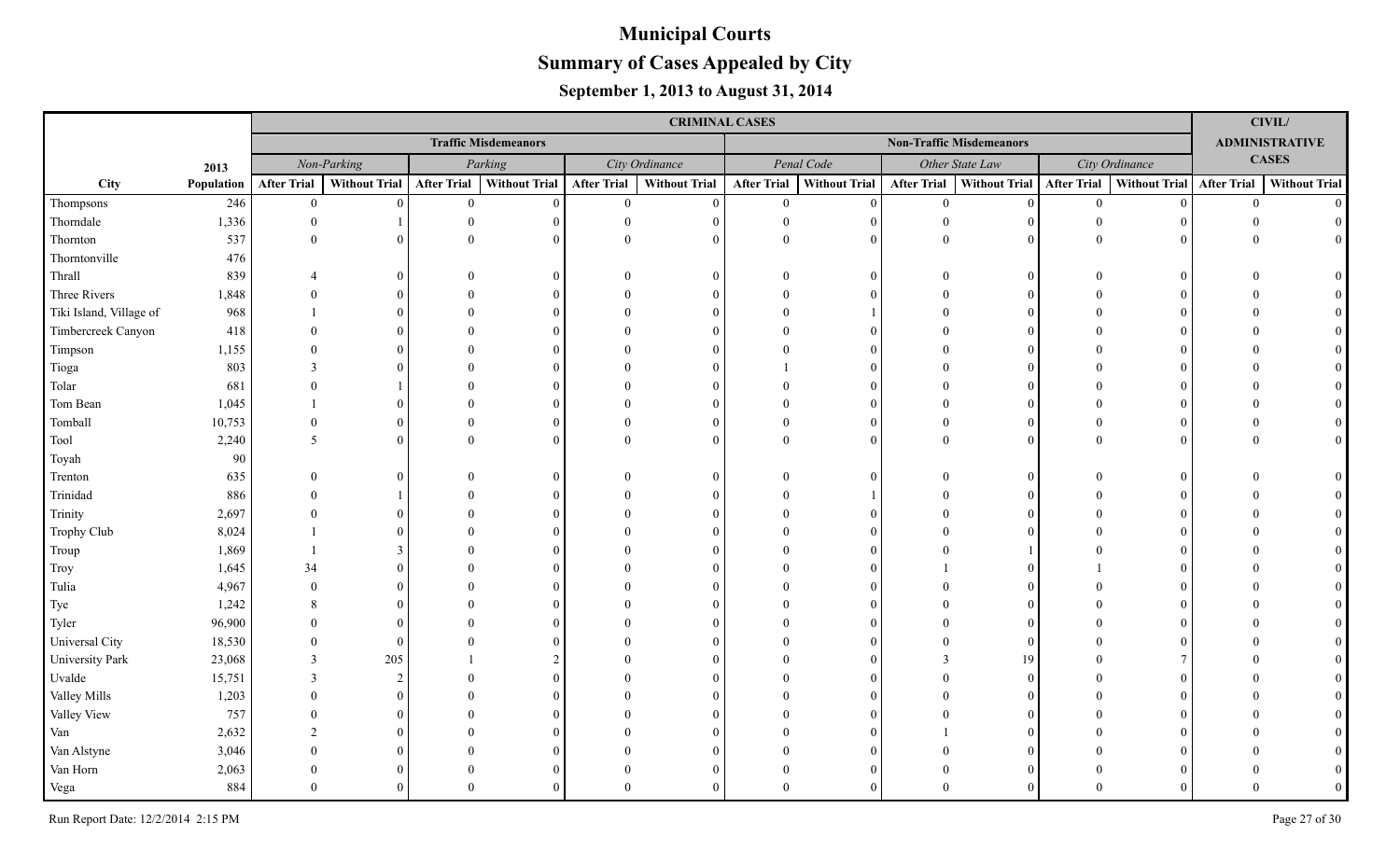|                         |            | <b>CRIMINAL CASES</b> |               |                    |                             |                    |                      |                    |                      |                    |                                 |                    |                           |                       | <b>CIVIL/</b>        |  |
|-------------------------|------------|-----------------------|---------------|--------------------|-----------------------------|--------------------|----------------------|--------------------|----------------------|--------------------|---------------------------------|--------------------|---------------------------|-----------------------|----------------------|--|
|                         |            |                       |               |                    | <b>Traffic Misdemeanors</b> |                    |                      |                    |                      |                    | <b>Non-Traffic Misdemeanors</b> |                    |                           | <b>ADMINISTRATIVE</b> |                      |  |
|                         | 2013       |                       | Non-Parking   |                    | Parking                     |                    | City Ordinance       |                    | Penal Code           |                    | Other State Law                 |                    | City Ordinance            |                       | <b>CASES</b>         |  |
| City                    | Population | <b>After Trial</b>    | Without Trial | <b>After Trial</b> | Without Trial               | <b>After Trial</b> | <b>Without Trial</b> | <b>After Trial</b> | <b>Without Trial</b> | <b>After Trial</b> | Without Trial                   | <b>After Trial</b> | Without Trial After Trial |                       | <b>Without Trial</b> |  |
| Thompsons               | 246        | $\mathbf{0}$          | $\Omega$      | $\overline{0}$     | $\Omega$                    | $\mathbf{0}$       | $\theta$             | $\mathbf{0}$       | $\Omega$             | $\mathbf{0}$       | $\Omega$                        | $\overline{0}$     |                           | $\overline{0}$        | $\Omega$             |  |
| Thorndale               | 1,336      | $\theta$              |               |                    | $\Omega$                    | $\Omega$           | $\Omega$             |                    | $\Omega$             | $\Omega$           |                                 |                    |                           |                       |                      |  |
| Thornton                | 537        | $\Omega$              | $\Omega$      |                    | $\Omega$                    | $\Omega$           | $\Omega$             | $\Omega$           | $\Omega$             | $\Omega$           |                                 |                    |                           |                       |                      |  |
| Thorntonville           | 476        |                       |               |                    |                             |                    |                      |                    |                      |                    |                                 |                    |                           |                       |                      |  |
| Thrall                  | 839        |                       | $\Omega$      |                    | $\Omega$                    |                    | $\Omega$             |                    | $\Omega$             |                    |                                 |                    |                           |                       |                      |  |
| Three Rivers            | 1,848      |                       | $\Omega$      |                    | $\Omega$                    |                    | $\Omega$             |                    | $\Omega$             |                    |                                 |                    |                           |                       |                      |  |
| Tiki Island, Village of | 968        |                       | $\Omega$      |                    | $\Omega$                    |                    | $\Omega$             |                    |                      |                    |                                 |                    |                           |                       |                      |  |
| Timbercreek Canyon      | 418        |                       | $\Omega$      |                    |                             |                    | $\Omega$             |                    | $\Omega$             |                    |                                 |                    |                           |                       |                      |  |
| Timpson                 | 1,155      |                       | $\Omega$      |                    |                             |                    | $\Omega$             |                    | $\Omega$             |                    |                                 |                    |                           |                       |                      |  |
| Tioga                   | 803        | $\mathcal{F}$         | $\Omega$      |                    |                             |                    | $\Omega$             |                    | $\Omega$             |                    |                                 |                    |                           |                       |                      |  |
| Tolar                   | 681        |                       |               |                    |                             |                    | $\Omega$             |                    | $\Omega$             |                    |                                 |                    |                           |                       |                      |  |
| Tom Bean                | 1,045      |                       | $\Omega$      |                    | $\Omega$                    |                    | $\Omega$             |                    | $\Omega$             |                    | $\Omega$                        |                    |                           |                       |                      |  |
| Tomball                 | 10,753     | $\Omega$              | $\Omega$      |                    | $\Omega$                    |                    | $\Omega$             |                    | $\Omega$             | $\Omega$           | $\Omega$                        |                    |                           |                       |                      |  |
| Tool                    | 2,240      | 5                     | $\Omega$      |                    | $\Omega$                    | $\Omega$           | $\theta$             | $\Omega$           | $\Omega$             | $\Omega$           | $\Omega$                        |                    |                           |                       |                      |  |
| Toyah                   | 90         |                       |               |                    |                             |                    |                      |                    |                      |                    |                                 |                    |                           |                       |                      |  |
| Trenton                 | 635        |                       | $\Omega$      |                    | $\Omega$                    |                    | $\Omega$             |                    | $\Omega$             |                    |                                 |                    |                           |                       |                      |  |
| Trinidad                | 886        |                       |               |                    |                             |                    | $\Omega$             |                    |                      |                    |                                 |                    |                           |                       |                      |  |
| Trinity                 | 2,697      |                       | $\Omega$      |                    |                             |                    | $\Omega$             |                    |                      |                    |                                 |                    |                           |                       |                      |  |
| Trophy Club             | 8,024      |                       |               |                    |                             |                    | $\Omega$             |                    |                      |                    |                                 |                    |                           |                       |                      |  |
| Troup                   | 1,869      |                       | $\mathcal{E}$ |                    |                             |                    |                      |                    |                      |                    |                                 |                    |                           |                       |                      |  |
| Troy                    | 1,645      | 34                    |               |                    |                             |                    | $\Omega$             |                    |                      |                    |                                 |                    |                           |                       |                      |  |
| Tulia                   | 4,967      |                       | $\Omega$      |                    |                             |                    | $\Omega$             |                    |                      |                    |                                 |                    |                           |                       |                      |  |
| Tye                     | 1,242      |                       | $\Omega$      |                    |                             |                    | $\Omega$             |                    |                      |                    |                                 |                    |                           |                       |                      |  |
| Tyler                   | 96,900     |                       | $\Omega$      |                    |                             |                    | $\Omega$             |                    |                      |                    |                                 |                    |                           |                       |                      |  |
| Universal City          | 18,530     |                       | $\Omega$      |                    |                             |                    | $\Omega$             |                    |                      |                    |                                 |                    |                           |                       |                      |  |
| University Park         | 23,068     | $\mathcal{R}$         | 205           |                    |                             |                    | $\Omega$             |                    |                      |                    | 19                              |                    |                           |                       |                      |  |
| Uvalde                  | 15,751     |                       | $\mathcal{D}$ |                    |                             |                    | $\Omega$             |                    |                      |                    |                                 |                    |                           |                       |                      |  |
| Valley Mills            | 1,203      |                       | $\Omega$      |                    |                             |                    | $\Omega$             |                    | $\Omega$             |                    |                                 |                    |                           |                       |                      |  |
| Valley View             | 757        |                       | $\Omega$      |                    |                             |                    | $\Omega$             |                    |                      |                    |                                 |                    |                           |                       |                      |  |
| Van                     | 2,632      |                       | $\Omega$      |                    |                             |                    | $\Omega$             |                    |                      |                    |                                 |                    |                           |                       |                      |  |
| Van Alstyne             | 3,046      |                       | $\Omega$      |                    |                             |                    | $\Omega$             |                    |                      |                    |                                 |                    |                           |                       |                      |  |
| Van Horn                | 2,063      |                       | $\Omega$      |                    | $\Omega$                    |                    | $\Omega$             |                    | $\Omega$             |                    |                                 |                    |                           |                       |                      |  |
| Vega                    | 884        |                       | $\Omega$      |                    |                             |                    | $\Omega$             | $\Omega$           | $\Omega$             |                    |                                 |                    |                           |                       |                      |  |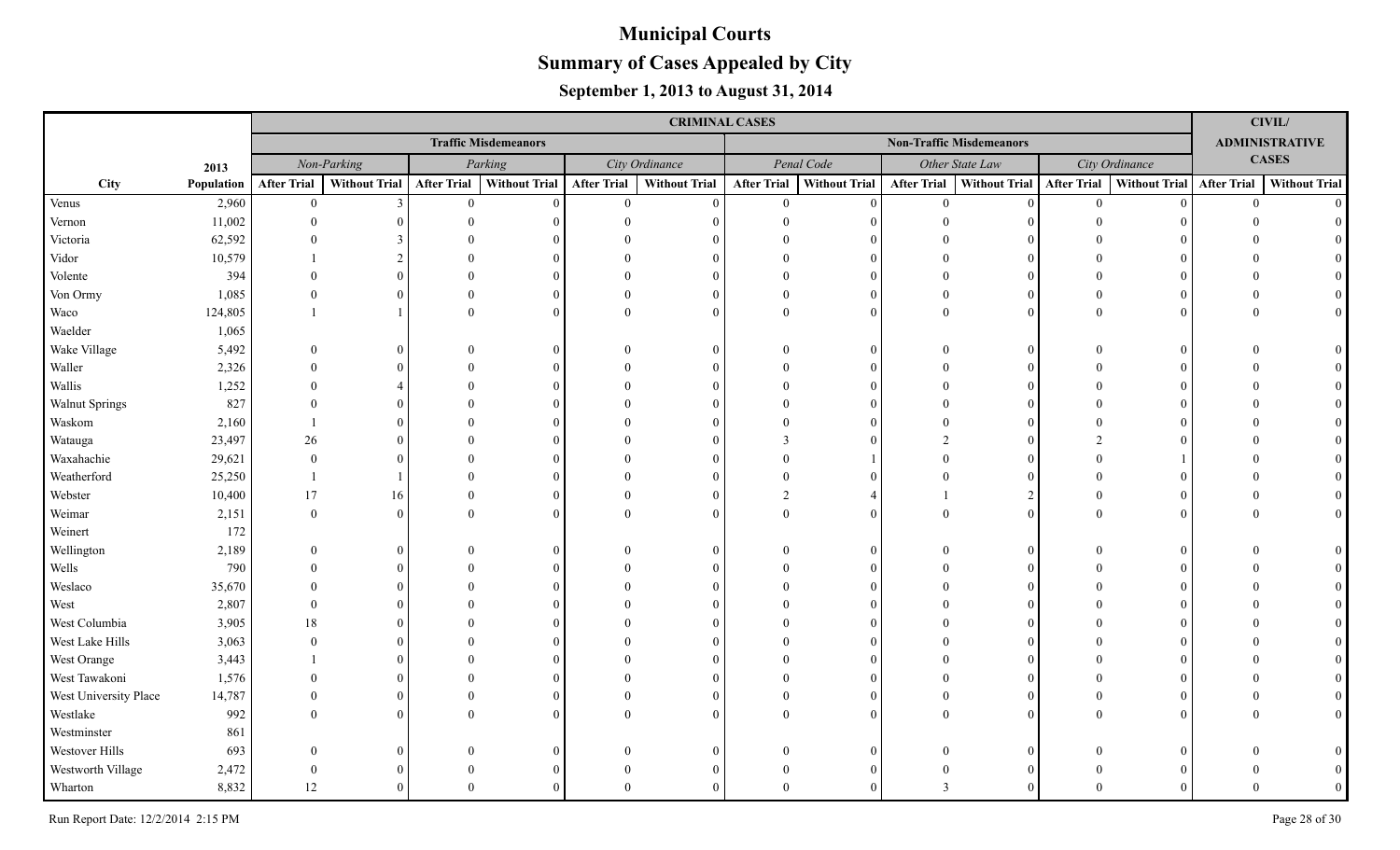|                       |            | <b>CRIMINAL CASES</b> |                      |                    |                             |                    |                                 |                    |                      |                         |                      |                    |                           |              | <b>CIVIL/</b>         |  |
|-----------------------|------------|-----------------------|----------------------|--------------------|-----------------------------|--------------------|---------------------------------|--------------------|----------------------|-------------------------|----------------------|--------------------|---------------------------|--------------|-----------------------|--|
|                       |            |                       |                      |                    | <b>Traffic Misdemeanors</b> |                    | <b>Non-Traffic Misdemeanors</b> |                    |                      |                         |                      |                    |                           |              | <b>ADMINISTRATIVE</b> |  |
|                       | 2013       |                       | Non-Parking          |                    | Parking                     |                    | City Ordinance                  |                    | Penal Code           |                         | Other State Law      | City Ordinance     |                           | <b>CASES</b> |                       |  |
| City                  | Population | <b>After Trial</b>    | <b>Without Trial</b> | <b>After Trial</b> | <b>Without Trial</b>        | <b>After Trial</b> | <b>Without Trial</b>            | <b>After Trial</b> | <b>Without Trial</b> | <b>After Trial</b>      | <b>Without Trial</b> | <b>After Trial</b> | Without Trial After Trial |              | <b>Without Trial</b>  |  |
| Venus                 | 2,960      | $\mathbf{0}$          | $\overline{3}$       | $\overline{0}$     | $\Omega$                    | $\mathbf{0}$       | $\Omega$                        | $\overline{0}$     | $\Omega$             | $\overline{0}$          | $\vert$ 0            | $\overline{0}$     | $\Omega$                  | $\mathbf{0}$ | $\Omega$              |  |
| Vernon                | 11,002     | $\Omega$              |                      |                    |                             |                    |                                 |                    |                      |                         |                      |                    |                           |              |                       |  |
| Victoria              | 62,592     |                       |                      |                    |                             |                    |                                 |                    |                      |                         |                      |                    |                           |              |                       |  |
| Vidor                 | 10,579     |                       |                      |                    |                             |                    |                                 |                    |                      |                         |                      |                    |                           |              |                       |  |
| Volente               | 394        |                       |                      |                    |                             |                    |                                 |                    |                      |                         | $\Omega$             |                    |                           |              |                       |  |
| Von Ormy              | 1,085      |                       |                      |                    |                             |                    |                                 |                    | $\Omega$             | $\Omega$                | $\Omega$             |                    |                           |              |                       |  |
| Waco                  | 124,805    |                       |                      |                    |                             |                    | $\Omega$                        |                    | $\Omega$             | $\theta$                | $\theta$             | $\Omega$           |                           |              |                       |  |
| Waelder               | 1,065      |                       |                      |                    |                             |                    |                                 |                    |                      |                         |                      |                    |                           |              |                       |  |
| Wake Village          | 5,492      | $\Omega$              | 0                    |                    |                             |                    | $\Omega$                        |                    | 0                    |                         | $\overline{0}$       |                    |                           |              |                       |  |
| Waller                | 2,326      |                       |                      |                    |                             |                    |                                 |                    | $\Omega$             |                         | $\Omega$             |                    |                           |              |                       |  |
| Wallis                | 1,252      |                       |                      |                    |                             |                    |                                 |                    | $\Omega$             |                         | 0                    |                    |                           |              |                       |  |
| <b>Walnut Springs</b> | 827        | $\Omega$              |                      |                    |                             |                    |                                 |                    | $\Omega$             |                         | $\Omega$             |                    |                           |              |                       |  |
| Waskom                | 2,160      |                       |                      |                    |                             |                    |                                 |                    | $\Omega$             |                         | $\Omega$             |                    |                           |              |                       |  |
| Watauga               | 23,497     | 26                    |                      |                    |                             |                    |                                 |                    | $\Omega$             |                         | $\Omega$             |                    |                           |              |                       |  |
| Waxahachie            | 29,621     | $\theta$              |                      |                    |                             |                    |                                 |                    |                      |                         | $\Omega$             |                    |                           |              |                       |  |
| Weatherford           | 25,250     |                       |                      |                    |                             |                    |                                 |                    |                      |                         | $\Omega$             |                    |                           |              |                       |  |
| Webster               | 10,400     | 17                    | 16                   |                    |                             |                    |                                 |                    |                      |                         | $\overline{2}$       |                    |                           |              |                       |  |
| Weimar                | 2,151      | $\theta$              | $\Omega$             |                    |                             |                    |                                 |                    |                      | $\Omega$                | $\theta$             |                    |                           |              |                       |  |
| Weinert               | 172        |                       |                      |                    |                             |                    |                                 |                    |                      |                         |                      |                    |                           |              |                       |  |
| Wellington            | 2,189      | $\Omega$              | 0                    |                    |                             |                    |                                 |                    | 0                    |                         | $\Omega$             |                    |                           |              |                       |  |
| Wells                 | 790        |                       |                      |                    |                             |                    |                                 |                    |                      |                         |                      |                    |                           |              |                       |  |
| Weslaco               | 35,670     |                       |                      |                    |                             |                    |                                 |                    |                      |                         |                      |                    |                           |              |                       |  |
| West                  | 2,807      | $\Omega$              |                      |                    |                             |                    |                                 |                    |                      |                         |                      |                    |                           |              |                       |  |
| West Columbia         | 3,905      | 18                    |                      |                    |                             |                    |                                 |                    |                      |                         |                      |                    |                           |              |                       |  |
| West Lake Hills       | 3,063      | $\Omega$              |                      |                    |                             |                    |                                 |                    |                      |                         |                      |                    |                           |              |                       |  |
| West Orange           | 3,443      |                       |                      |                    |                             |                    |                                 |                    |                      |                         |                      |                    |                           |              |                       |  |
| West Tawakoni         | 1,576      |                       |                      |                    |                             |                    |                                 |                    |                      |                         |                      |                    |                           |              |                       |  |
| West University Place | 14,787     |                       |                      |                    |                             |                    |                                 |                    |                      |                         | $\Omega$             |                    |                           |              |                       |  |
| Westlake              | 992        |                       | 0                    |                    |                             |                    |                                 |                    |                      |                         | $\Omega$             |                    |                           |              |                       |  |
| Westminster           | 861        |                       |                      |                    |                             |                    |                                 |                    |                      |                         |                      |                    |                           |              |                       |  |
| Westover Hills        | 693        | $\Omega$              |                      |                    |                             |                    |                                 |                    |                      |                         | 0                    |                    |                           |              |                       |  |
| Westworth Village     | 2,472      | $\Omega$              |                      |                    |                             |                    |                                 |                    |                      |                         | 0                    |                    |                           |              |                       |  |
| Wharton               | 8,832      | 12                    |                      |                    |                             |                    |                                 |                    |                      | $\overline{\mathbf{a}}$ |                      |                    |                           |              |                       |  |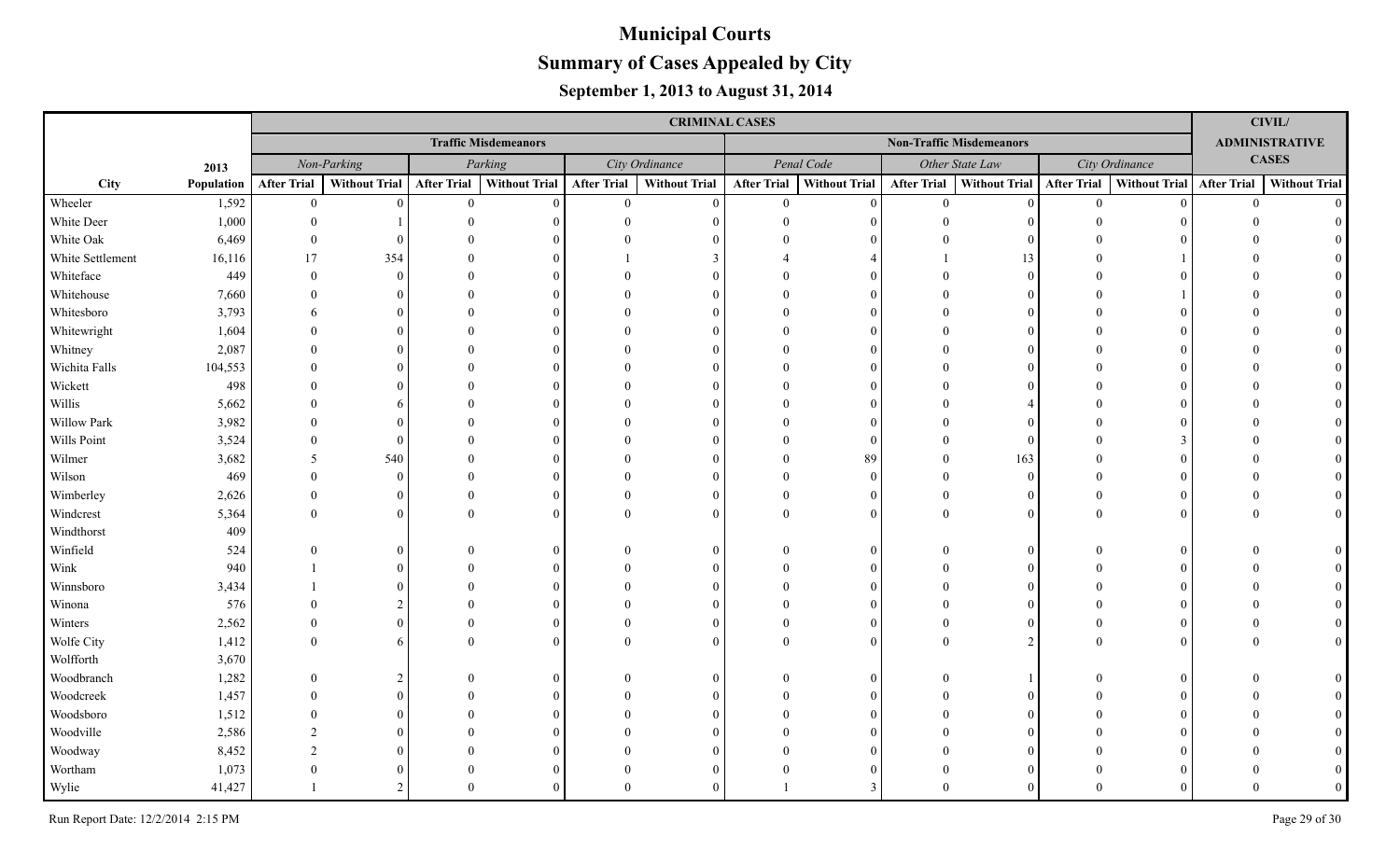|                  |            | <b>CRIMINAL CASES</b> |               |                    |                             |                    |                      |                    |                      |                    |                                 |                    |                             |                       | <b>CIVIL/</b>        |
|------------------|------------|-----------------------|---------------|--------------------|-----------------------------|--------------------|----------------------|--------------------|----------------------|--------------------|---------------------------------|--------------------|-----------------------------|-----------------------|----------------------|
|                  |            |                       |               |                    | <b>Traffic Misdemeanors</b> |                    |                      |                    |                      |                    | <b>Non-Traffic Misdemeanors</b> |                    |                             | <b>ADMINISTRATIVE</b> |                      |
|                  | 2013       |                       | Non-Parking   |                    | Parking                     |                    | City Ordinance       |                    | Penal Code           |                    | Other State Law                 | City Ordinance     |                             | <b>CASES</b>          |                      |
| City             | Population | <b>After Trial</b>    | Without Trial | <b>After Trial</b> | <b>Without Trial</b>        | <b>After Trial</b> | <b>Without Trial</b> | <b>After Trial</b> | <b>Without Trial</b> | <b>After Trial</b> | Without Trial                   | <b>After Trial</b> | Without Trial   After Trial |                       | <b>Without Trial</b> |
| Wheeler          | 1,592      | $\overline{0}$        | $\Omega$      | $\theta$           | $\Omega$                    | $\overline{0}$     | $\Omega$             | $\overline{0}$     | $\Omega$             | $\theta$           | $\Omega$                        | $\mathbf{0}$       |                             | $\theta$              | $\Omega$             |
| White Deer       | 1,000      |                       |               |                    |                             |                    |                      |                    |                      |                    |                                 |                    |                             |                       |                      |
| White Oak        | 6,469      | $\Omega$              |               |                    |                             |                    |                      |                    |                      |                    |                                 |                    |                             |                       |                      |
| White Settlement | 16,116     | 17                    | 354           |                    |                             |                    |                      |                    |                      |                    | 13                              |                    |                             |                       |                      |
| Whiteface        | 449        | $\Omega$              | $\Omega$      |                    |                             |                    |                      |                    |                      |                    |                                 |                    |                             |                       |                      |
| Whitehouse       | 7,660      |                       |               |                    |                             |                    |                      |                    | $\Omega$             |                    |                                 |                    |                             |                       |                      |
| Whitesboro       | 3,793      |                       |               |                    |                             |                    |                      |                    | $\Omega$             |                    |                                 |                    |                             |                       |                      |
| Whitewright      | 1,604      |                       |               |                    |                             |                    |                      |                    | $\Omega$             |                    |                                 |                    |                             |                       |                      |
| Whitney          | 2,087      |                       |               |                    |                             |                    |                      |                    | $\Omega$             |                    |                                 |                    |                             |                       |                      |
| Wichita Falls    | 104,553    |                       |               |                    |                             |                    |                      |                    | $\Omega$             |                    |                                 |                    |                             |                       |                      |
| Wickett          | 498        |                       |               |                    |                             |                    |                      |                    | $\Omega$             |                    |                                 |                    |                             |                       |                      |
| Willis           | 5,662      |                       | h             |                    |                             |                    |                      |                    | $\Omega$             |                    |                                 |                    |                             |                       |                      |
| Willow Park      | 3,982      |                       |               |                    |                             |                    |                      |                    | $\Omega$             |                    |                                 |                    |                             |                       |                      |
| Wills Point      | 3,524      | $\Omega$              | $\Omega$      |                    |                             |                    |                      |                    | $\Omega$             |                    | $\Omega$                        |                    |                             |                       |                      |
| Wilmer           | 3,682      | 5                     | 540           |                    |                             |                    |                      |                    | 89                   |                    | 163                             |                    |                             |                       |                      |
| Wilson           | 469        |                       | $\Omega$      |                    |                             |                    |                      |                    | $\Omega$             |                    | $\Omega$                        |                    |                             |                       |                      |
| Wimberley        | 2,626      | $\Omega$              | 0             |                    |                             |                    | $\Omega$             |                    | $\Omega$             |                    | 0                               |                    |                             |                       |                      |
| Windcrest        | 5,364      | $\Omega$              |               |                    |                             |                    | $\Omega$             |                    | $\Omega$             |                    | $\Omega$                        |                    |                             |                       |                      |
| Windthorst       | 409        |                       |               |                    |                             |                    |                      |                    |                      |                    |                                 |                    |                             |                       |                      |
| Winfield         | 524        |                       |               |                    |                             |                    | $\Omega$             |                    | $\Omega$             |                    |                                 |                    |                             |                       |                      |
| Wink             | 940        |                       |               |                    |                             |                    |                      |                    |                      |                    |                                 |                    |                             |                       |                      |
| Winnsboro        | 3,434      |                       |               |                    |                             |                    |                      |                    |                      |                    |                                 |                    |                             |                       |                      |
| Winona           | 576        |                       |               |                    |                             |                    |                      |                    |                      |                    |                                 |                    |                             |                       |                      |
| Winters          | 2,562      |                       | 0             |                    |                             |                    |                      |                    | $\Omega$             |                    |                                 |                    |                             |                       |                      |
| Wolfe City       | 1,412      |                       | 6             |                    |                             |                    | $\Omega$             |                    |                      |                    |                                 |                    |                             |                       |                      |
| Wolfforth        | 3,670      |                       |               |                    |                             |                    |                      |                    |                      |                    |                                 |                    |                             |                       |                      |
| Woodbranch       | 1,282      |                       |               |                    |                             |                    | $\Omega$             |                    | $\Omega$             |                    |                                 |                    |                             |                       |                      |
| Woodcreek        | 1,457      |                       |               |                    |                             |                    |                      |                    |                      |                    |                                 |                    |                             |                       |                      |
| Woodsboro        | 1,512      |                       |               |                    |                             |                    |                      |                    |                      |                    |                                 |                    |                             |                       |                      |
| Woodville        | 2,586      | $\mathcal{D}$         |               |                    |                             |                    |                      |                    |                      |                    |                                 |                    |                             |                       |                      |
| Woodway          | 8,452      | $\gamma$              |               |                    |                             |                    |                      |                    |                      |                    |                                 |                    |                             |                       |                      |
| Wortham          | 1,073      |                       |               |                    |                             |                    |                      |                    |                      |                    |                                 |                    |                             |                       |                      |
| Wylie            | 41,427     |                       | $\mathcal{D}$ | $\Omega$           |                             |                    | $\Omega$             |                    |                      |                    |                                 |                    |                             |                       |                      |